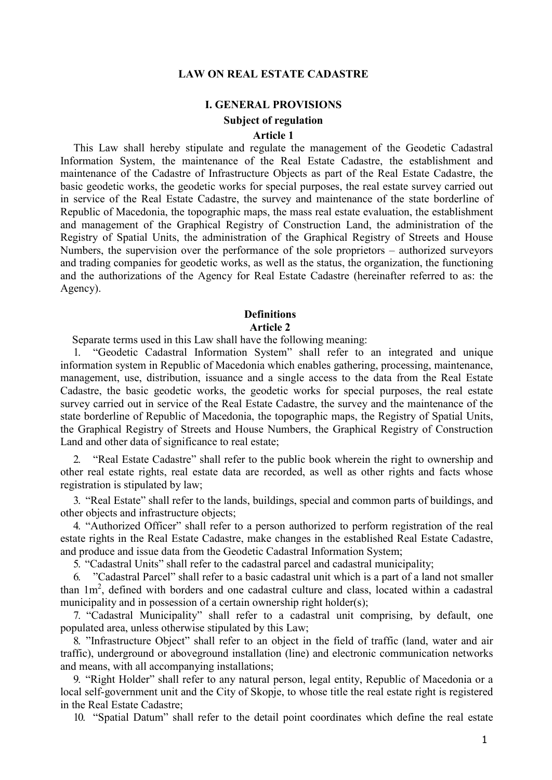### **LAW ON REAL ESTATE CADASTRE**

### **I. GENERAL PROVISIONS**

# **Subject of regulation**

# **Article 1**

This Law shall hereby stipulate and regulate the management of the Geodetic Cadastral Information System, the maintenance of the Real Estate Cadastre, the establishment and maintenance of the Cadastre of Infrastructure Objects as part of the Real Estate Cadastre, the basic geodetic works, the geodetic works for special purposes, the real estate survey carried out in service of the Real Estate Cadastre, the survey and maintenance of the state borderline of Republic of Macedonia, the topographic maps, the mass real estate evaluation, the establishment and management of the Graphical Registry of Construction Land, the administration of the Registry of Spatial Units, the administration of the Graphical Registry of Streets and House Numbers, the supervision over the performance of the sole proprietors – authorized surveyors and trading companies for geodetic works, as well as the status, the organization, the functioning and the authorizations of the Agency for Real Estate Cadastre (hereinafter referred to as: the Agency).

# **Definitions Article 2**

Separate terms used in this Law shall have the following meaning:

1. "Geodetic Cadastral Information System" shall refer to an integrated and unique information system in Republic of Macedonia which enables gathering, processing, maintenance, management, use, distribution, issuance and a single access to the data from the Real Estate Cadastre, the basic geodetic works, the geodetic works for special purposes, the real estate survey carried out in service of the Real Estate Cadastre, the survey and the maintenance of the state borderline of Republic of Macedonia, the topographic maps, the Registry of Spatial Units, the Graphical Registry of Streets and House Numbers, the Graphical Registry of Construction Land and other data of significance to real estate;

2. "Real Estate Cadastre" shall refer to the public book wherein the right to ownership and other real estate rights, real estate data are recorded, as well as other rights and facts whose registration is stipulated by law;

3. "Real Estate" shall refer to the lands, buildings, special and common parts of buildings, and other objects and infrastructure objects;

4. "Authorized Officer" shall refer to a person authorized to perform registration of the real estate rights in the Real Estate Cadastre, make changes in the established Real Estate Cadastre, and produce and issue data from the Geodetic Cadastral Information System;

5. "Cadastral Units" shall refer to the cadastral parcel and cadastral municipality;

6. "Cadastral Parcel" shall refer to a basic cadastral unit which is a part of a land not smaller than  $1m^2$ , defined with borders and one cadastral culture and class, located within a cadastral municipality and in possession of a certain ownership right holder(s);

7. "Cadastral Municipality" shall refer to a cadastral unit comprising, by default, one populated area, unless otherwise stipulated by this Law;

8. "Infrastructure Object" shall refer to an object in the field of traffic (land, water and air traffic), underground or aboveground installation (line) and electronic communication networks and means, with all accompanying installations;

9. "Right Holder" shall refer to any natural person, legal entity, Republic of Macedonia or a local self-government unit and the City of Skopje, to whose title the real estate right is registered in the Real Estate Cadastre;

10. "Spatial Datum" shall refer to the detail point coordinates which define the real estate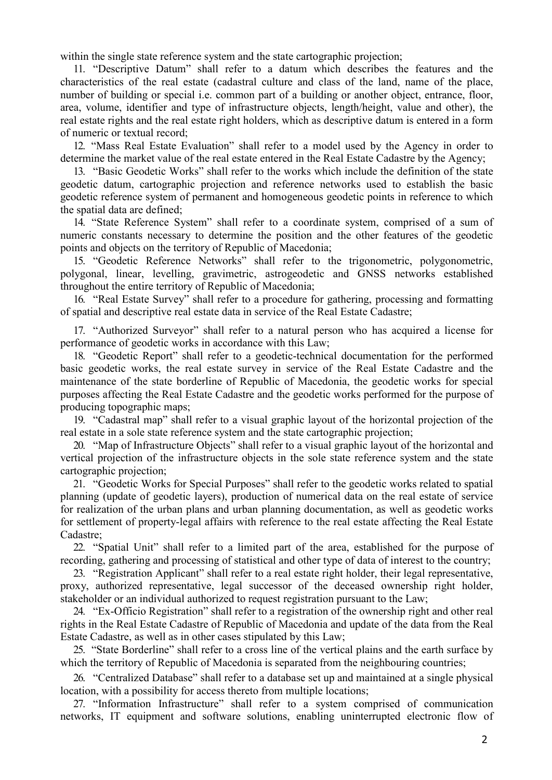within the single state reference system and the state cartographic projection;

11. "Descriptive Datum" shall refer to a datum which describes the features and the characteristics of the real estate (cadastral culture and class of the land, name of the place, number of building or special i.e. common part of a building or another object, entrance, floor, area, volume, identifier and type of infrastructure objects, length/height, value and other), the real estate rights and the real estate right holders, which as descriptive datum is entered in a form of numeric or textual record;

12. "Mass Real Estate Evaluation" shall refer to a model used by the Agency in order to determine the market value of the real estate entered in the Real Estate Cadastre by the Agency;

13. "Basic Geodetic Works" shall refer to the works which include the definition of the state geodetic datum, cartographic projection and reference networks used to establish the basic geodetic reference system of permanent and homogeneous geodetic points in reference to which the spatial data are defined;

14. "State Reference System" shall refer to a coordinate system, comprised of a sum of numeric constants necessary to determine the position and the other features of the geodetic points and objects on the territory of Republic of Macedonia;

15. "Geodetic Reference Networks" shall refer to the trigonometric, polygonometric, polygonal, linear, levelling, gravimetric, astrogeodetic and GNSS networks established throughout the entire territory of Republic of Macedonia;

16. "Real Estate Survey" shall refer to a procedure for gathering, processing and formatting of spatial and descriptive real estate data in service of the Real Estate Cadastre;

17. "Authorized Surveyor" shall refer to a natural person who has acquired a license for performance of geodetic works in accordance with this Law;

18. "Geodetic Report" shall refer to a geodetic-technical documentation for the performed basic geodetic works, the real estate survey in service of the Real Estate Cadastre and the maintenance of the state borderline of Republic of Macedonia, the geodetic works for special purposes affecting the Real Estate Cadastre and the geodetic works performed for the purpose of producing topographic maps;

19. "Cadastral map" shall refer to a visual graphic layout of the horizontal projection of the real estate in a sole state reference system and the state cartographic projection;

20. "Map of Infrastructure Objects" shall refer to a visual graphic layout of the horizontal and vertical projection of the infrastructure objects in the sole state reference system and the state cartographic projection;

21. "Geodetic Works for Special Purposes" shall refer to the geodetic works related to spatial planning (update of geodetic layers), production of numerical data on the real estate of service for realization of the urban plans and urban planning documentation, as well as geodetic works for settlement of property-legal affairs with reference to the real estate affecting the Real Estate Cadastre;

22. "Spatial Unit" shall refer to a limited part of the area, established for the purpose of recording, gathering and processing of statistical and other type of data of interest to the country;

23. "Registration Applicant" shall refer to a real estate right holder, their legal representative, proxy, authorized representative, legal successor of the deceased ownership right holder, stakeholder or an individual authorized to request registration pursuant to the Law;

24. "Ex-Officio Registration" shall refer to a registration of the ownership right and other real rights in the Real Estate Cadastre of Republic of Macedonia and update of the data from the Real Estate Cadastre, as well as in other cases stipulated by this Law;

25. "State Borderline" shall refer to a cross line of the vertical plains and the earth surface by which the territory of Republic of Macedonia is separated from the neighbouring countries;

26. "Centralized Database" shall refer to a database set up and maintained at a single physical location, with a possibility for access thereto from multiple locations;

27. "Information Infrastructure" shall refer to a system comprised of communication networks, IT equipment and software solutions, enabling uninterrupted electronic flow of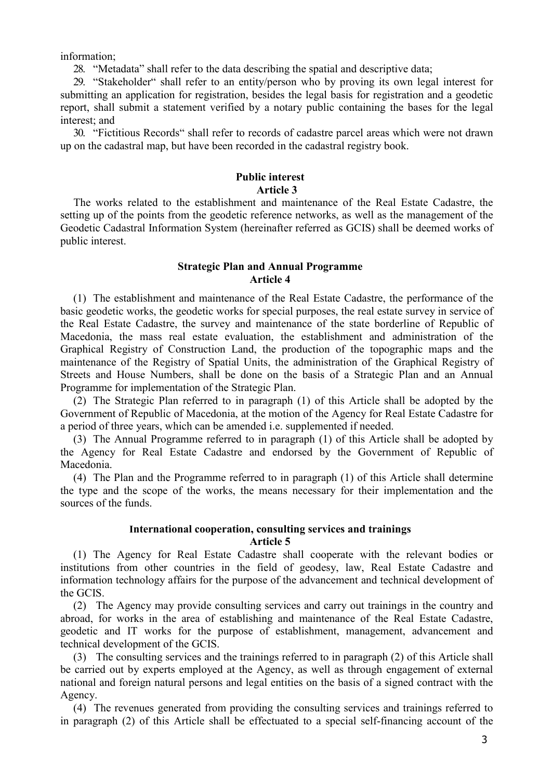information;

28. "Metadata" shall refer to the data describing the spatial and descriptive data;

29. "Stakeholder" shall refer to an entity/person who by proving its own legal interest for submitting an application for registration, besides the legal basis for registration and a geodetic report, shall submit a statement verified by a notary public containing the bases for the legal interest; and

30. "Fictitious Records" shall refer to records of cadastre parcel areas which were not drawn up on the cadastral map, but have been recorded in the cadastral registry book.

# **Public interest Article 3**

The works related to the establishment and maintenance of the Real Estate Cadastre, the setting up of the points from the geodetic reference networks, as well as the management of the Geodetic Cadastral Information System (hereinafter referred as GCIS) shall be deemed works of public interest.

# **Strategic Plan and Annual Programme Article 4**

(1) The establishment and maintenance of the Real Estate Cadastre, the performance of the basic geodetic works, the geodetic works for special purposes, the real estate survey in service of the Real Estate Cadastre, the survey and maintenance of the state borderline of Republic of Macedonia, the mass real estate evaluation, the establishment and administration of the Graphical Registry of Construction Land, the production of the topographic maps and the maintenance of the Registry of Spatial Units, the administration of the Graphical Registry of Streets and House Numbers, shall be done on the basis of a Strategic Plan and an Annual Programme for implementation of the Strategic Plan.

(2) The Strategic Plan referred to in paragraph (1) of this Article shall be adopted by the Government of Republic of Macedonia, at the motion of the Agency for Real Estate Cadastre for a period of three years, which can be amended i.e. supplemented if needed.

(3) The Annual Programme referred to in paragraph (1) of this Article shall be adopted by the Agency for Real Estate Cadastre and endorsed by the Government of Republic of Macedonia.

(4) The Plan and the Programme referred to in paragraph (1) of this Article shall determine the type and the scope of the works, the means necessary for their implementation and the sources of the funds.

### **International cooperation, consulting services and trainings Article 5**

(1) The Agency for Real Estate Cadastre shall cooperate with the relevant bodies or institutions from other countries in the field of geodesy, law, Real Estate Cadastre and information technology affairs for the purpose of the advancement and technical development of the GCIS.

(2) The Agency may provide consulting services and carry out trainings in the country and abroad, for works in the area of establishing and maintenance of the Real Estate Cadastre, geodetic and IT works for the purpose of establishment, management, advancement and technical development of the GCIS.

(3) The consulting services and the trainings referred to in paragraph (2) of this Article shall be carried out by experts employed at the Agency, as well as through engagement of external national and foreign natural persons and legal entities on the basis of a signed contract with the Agency.

(4) The revenues generated from providing the consulting services and trainings referred to in paragraph (2) of this Article shall be effectuated to a special self-financing account of the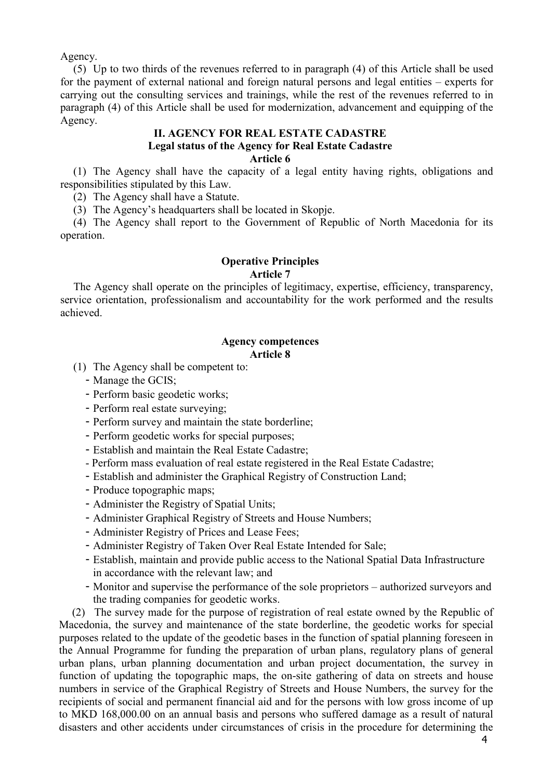Agency.

(5) Up to two thirds of the revenues referred to in paragraph (4) of this Article shall be used for the payment of external national and foreign natural persons and legal entities – experts for carrying out the consulting services and trainings, while the rest of the revenues referred to in paragraph (4) of this Article shall be used for modernization, advancement and equipping of the Agency.

# **II. AGENCY FOR REAL ESTATE CADASTRE Legal status of the Agency for Real Estate Cadastre Article 6**

(1) The Agency shall have the capacity of a legal entity having rights, obligations and responsibilities stipulated by this Law.

(2) The Agency shall have a Statute.

(3) The Agency's headquarters shall be located in Skopje.

(4) The Agency shall report to the Government of Republic of North Macedonia for its operation.

# **Operative Principles Article 7**

The Agency shall operate on the principles of legitimacy, expertise, efficiency, transparency, service orientation, professionalism and accountability for the work performed and the results achieved.

### **Agency competences Article 8**

- (1) The Agency shall be competent to:
	- Manage the GCIS;
	- Perform basic geodetic works;
	- Perform real estate surveying;
	- Perform survey and maintain the state borderline;
	- Perform geodetic works for special purposes;
	- Establish and maintain the Real Estate Cadastre;
	- Perform mass evaluation of real estate registered in the Real Estate Cadastre;
	- Establish and administer the Graphical Registry of Construction Land;
	- Produce topographic maps;
	- Administer the Registry of Spatial Units;
	- Administer Graphical Registry of Streets and House Numbers;
	- Administer Registry of Prices and Lease Fees;
	- Administer Registry of Taken Over Real Estate Intended for Sale;
	- Establish, maintain and provide public access to the National Spatial Data Infrastructure in accordance with the relevant law; and
	- Monitor and supervise the performance of the sole proprietors authorized surveyors and the trading companies for geodetic works.

(2) The survey made for the purpose of registration of real estate owned by the Republic of Macedonia, the survey and maintenance of the state borderline, the geodetic works for special purposes related to the update of the geodetic bases in the function of spatial planning foreseen in the Annual Programme for funding the preparation of urban plans, regulatory plans of general urban plans, urban planning documentation and urban project documentation, the survey in function of updating the topographic maps, the on-site gathering of data on streets and house numbers in service of the Graphical Registry of Streets and House Numbers, the survey for the recipients of social and permanent financial aid and for the persons with low gross income of up to MKD 168,000.00 on an annual basis and persons who suffered damage as a result of natural disasters and other accidents under circumstances of crisis in the procedure for determining the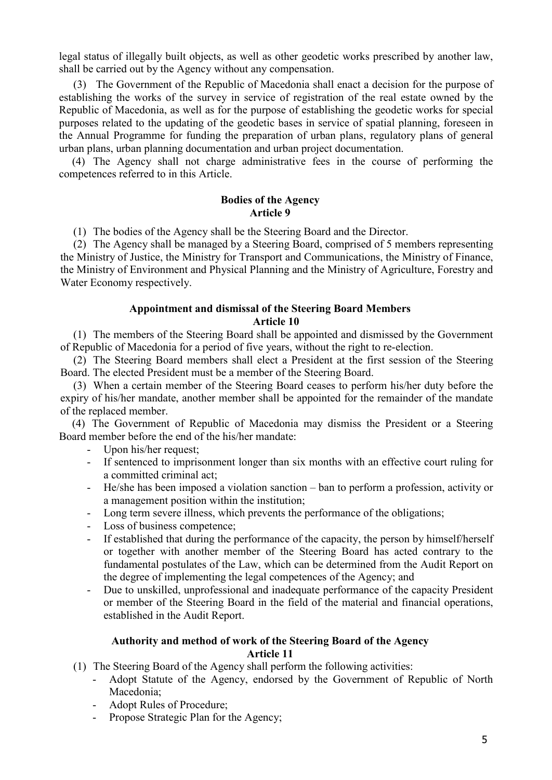legal status of illegally built objects, as well as other geodetic works prescribed by another law, shall be carried out by the Agency without any compensation.

(3) The Government of the Republic of Macedonia shall enact a decision for the purpose of establishing the works of the survey in service of registration of the real estate owned by the Republic of Macedonia, as well as for the purpose of establishing the geodetic works for special purposes related to the updating of the geodetic bases in service of spatial planning, foreseen in the Annual Programme for funding the preparation of urban plans, regulatory plans of general urban plans, urban planning documentation and urban project documentation.

(4) The Agency shall not charge administrative fees in the course of performing the competences referred to in this Article.

# **Bodies of the Agency Article 9**

(1) The bodies of the Agency shall be the Steering Board and the Director.

(2) The Agency shall be managed by a Steering Board, comprised of 5 members representing the Ministry of Justice, the Ministry for Transport and Communications, the Ministry of Finance, the Ministry of Environment and Physical Planning and the Ministry of Agriculture, Forestry and Water Economy respectively.

# **Appointment and dismissal of the Steering Board Members**

# **Article 10**

(1) The members of the Steering Board shall be appointed and dismissed by the Government of Republic of Macedonia for a period of five years, without the right to re-election.

(2) The Steering Board members shall elect a President at the first session of the Steering Board. The elected President must be a member of the Steering Board.

(3) When a certain member of the Steering Board ceases to perform his/her duty before the expiry of his/her mandate, another member shall be appointed for the remainder of the mandate of the replaced member.

(4) The Government of Republic of Macedonia may dismiss the President or a Steering Board member before the end of the his/her mandate:

- Upon his/her request;
- If sentenced to imprisonment longer than six months with an effective court ruling for a committed criminal act;
- He/she has been imposed a violation sanction ban to perform a profession, activity or a management position within the institution;
- Long term severe illness, which prevents the performance of the obligations;
- Loss of business competence;
- If established that during the performance of the capacity, the person by himself/herself or together with another member of the Steering Board has acted contrary to the fundamental postulates of the Law, which can be determined from the Audit Report on the degree of implementing the legal competences of the Agency; and
- Due to unskilled, unprofessional and inadequate performance of the capacity President or member of the Steering Board in the field of the material and financial operations, established in the Audit Report.

# **Authority and method of work of the Steering Board of the Agency Article 11**

- (1) The Steering Board of the Agency shall perform the following activities:
	- Adopt Statute of the Agency, endorsed by the Government of Republic of North Macedonia;
	- Adopt Rules of Procedure;
	- Propose Strategic Plan for the Agency;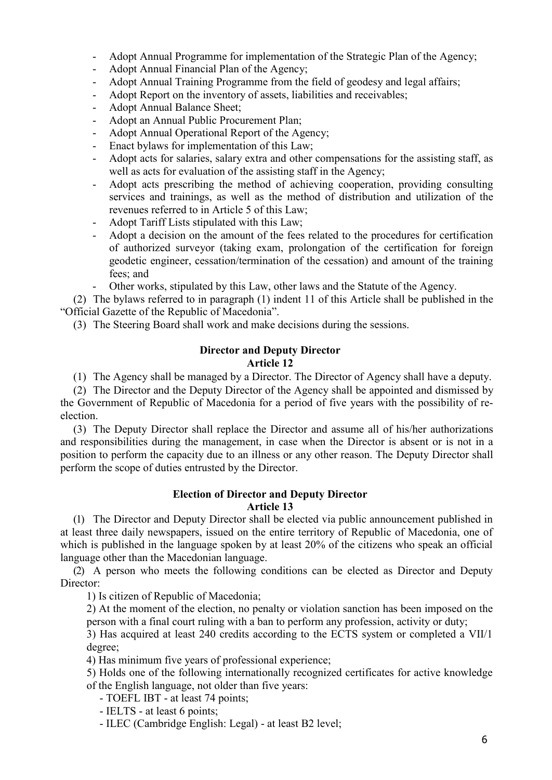- Adopt Annual Programme for implementation of the Strategic Plan of the Agency;
- Adopt Annual Financial Plan of the Agency;
- Adopt Annual Training Programme from the field of geodesy and legal affairs;
- Adopt Report on the inventory of assets, liabilities and receivables;
- Adopt Annual Balance Sheet;
- Adopt an Annual Public Procurement Plan;
- Adopt Annual Operational Report of the Agency;
- Enact bylaws for implementation of this Law;
- Adopt acts for salaries, salary extra and other compensations for the assisting staff, as well as acts for evaluation of the assisting staff in the Agency;
- Adopt acts prescribing the method of achieving cooperation, providing consulting services and trainings, as well as the method of distribution and utilization of the revenues referred to in Article 5 of this Law;
- Adopt Tariff Lists stipulated with this Law;
- Adopt a decision on the amount of the fees related to the procedures for certification of authorized surveyor (taking exam, prolongation of the certification for foreign geodetic engineer, cessation/termination of the cessation) and amount of the training fees; and
- Other works, stipulated by this Law, other laws and the Statute of the Agency.

(2) The bylaws referred to in paragraph (1) indent 11 of this Article shall be published in the "Official Gazette of the Republic of Macedonia".

(3) The Steering Board shall work and make decisions during the sessions.

# **Director and Deputy Director**

# **Article 12**

(1) The Agency shall be managed by a Director. The Director of Agency shall have a deputy.

(2) The Director and the Deputy Director of the Agency shall be appointed and dismissed by the Government of Republic of Macedonia for a period of five years with the possibility of reelection.

(3) The Deputy Director shall replace the Director and assume all of his/her authorizations and responsibilities during the management, in case when the Director is absent or is not in a position to perform the capacity due to an illness or any other reason. The Deputy Director shall perform the scope of duties entrusted by the Director.

# **Election of Director and Deputy Director Article 13**

(1) The Director and Deputy Director shall be elected via public announcement published in at least three daily newspapers, issued on the entire territory of Republic of Macedonia, one of which is published in the language spoken by at least 20% of the citizens who speak an official language other than the Macedonian language.

(2) A person who meets the following conditions can be elected as Director and Deputy Director:

1) Is citizen of Republic of Macedonia;

2) At the moment of the election, no penalty or violation sanction has been imposed on the person with a final court ruling with a ban to perform any profession, activity or duty;

3) Has acquired at least 240 credits according to the ECTS system or completed a VII/1 degree;

4) Has minimum five years of professional experience;

5) Holds one of the following internationally recognized certificates for active knowledge of the English language, not older than five years:

- TOEFL IBT at least 74 points;
- IELTS at least 6 points;
- ILEC (Cambridge English: Legal) at least B2 level;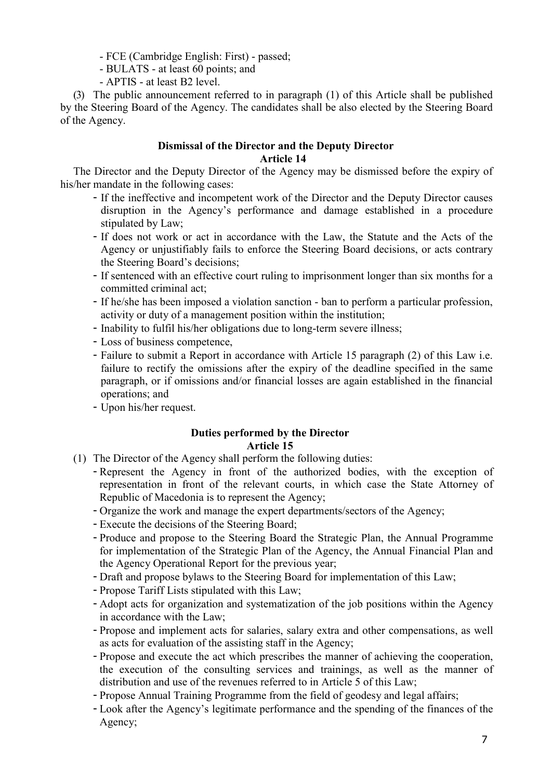- FCE (Cambridge English: First) - passed;

- BULATS at least 60 points; and
- APTIS at least B2 level.

(3) The public announcement referred to in paragraph (1) of this Article shall be published by the Steering Board of the Agency. The candidates shall be also elected by the Steering Board of the Agency.

# **Dismissal of the Director and the Deputy Director Article 14**

The Director and the Deputy Director of the Agency may be dismissed before the expiry of his/her mandate in the following cases:

- If the ineffective and incompetent work of the Director and the Deputy Director causes disruption in the Agency's performance and damage established in a procedure stipulated by Law;
- If does not work or act in accordance with the Law, the Statute and the Acts of the Agency or unjustifiably fails to enforce the Steering Board decisions, or acts contrary the Steering Board's decisions;
- If sentenced with an effective court ruling to imprisonment longer than six months for a committed criminal act;
- If he/she has been imposed a violation sanction ban to perform a particular profession, activity or duty of a management position within the institution;
- Inability to fulfil his/her obligations due to long-term severe illness;
- Loss of business competence,
- Failure to submit a Report in accordance with Article 15 paragraph (2) of this Law i.e. failure to rectify the omissions after the expiry of the deadline specified in the same paragraph, or if omissions and/or financial losses are again established in the financial operations; and
- Upon his/her request.

# **Duties performed by the Director Article 15**

- (1) The Director of the Agency shall perform the following duties:
	- Represent the Agency in front of the authorized bodies, with the exception of representation in front of the relevant courts, in which case the State Attorney of Republic of Macedonia is to represent the Agency;
	- Organize the work and manage the expert departments/sectors of the Agency;
	- Execute the decisions of the Steering Board;
	- Produce and propose to the Steering Board the Strategic Plan, the Annual Programme for implementation of the Strategic Plan of the Agency, the Annual Financial Plan and the Agency Operational Report for the previous year;
	- Draft and propose bylaws to the Steering Board for implementation of this Law;
	- Propose Tariff Lists stipulated with this Law;
	- Adopt acts for organization and systematization of the job positions within the Agency in accordance with the Law;
	- Propose and implement acts for salaries, salary extra and other compensations, as well as acts for evaluation of the assisting staff in the Agency;
	- Propose and execute the act which prescribes the manner of achieving the cooperation, the execution of the consulting services and trainings, as well as the manner of distribution and use of the revenues referred to in Article 5 of this Law;
	- Propose Annual Training Programme from the field of geodesy and legal affairs;
	- Look after the Agency's legitimate performance and the spending of the finances of the Agency;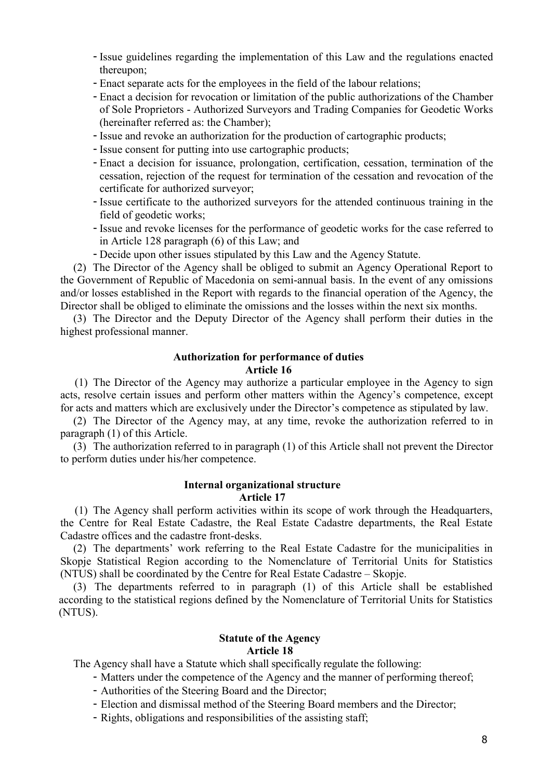- Issue guidelines regarding the implementation of this Law and the regulations enacted thereupon;
- Enact separate acts for the employees in the field of the labour relations;
- Enact a decision for revocation or limitation of the public authorizations of the Chamber of Sole Proprietors - Authorized Surveyors and Trading Companies for Geodetic Works (hereinafter referred as: the Chamber);
- Issue and revoke an authorization for the production of cartographic products;
- Issue consent for putting into use cartographic products;
- Enact a decision for issuance, prolongation, certification, cessation, termination of the cessation, rejection of the request for termination of the cessation and revocation of the certificate for authorized surveyor;
- Issue certificate to the authorized surveyors for the attended continuous training in the field of geodetic works;
- Issue and revoke licenses for the performance of geodetic works for the case referred to in Article 128 paragraph (6) of this Law; and
- Decide upon other issues stipulated by this Law and the Agency Statute.

(2) The Director of the Agency shall be obliged to submit an Agency Operational Report to the Government of Republic of Macedonia on semi-annual basis. In the event of any omissions and/or losses established in the Report with regards to the financial operation of the Agency, the Director shall be obliged to eliminate the omissions and the losses within the next six months.

(3) The Director and the Deputy Director of the Agency shall perform their duties in the highest professional manner.

# **Authorization for performance of duties Article 16**

(1) The Director of the Agency may authorize a particular employee in the Agency to sign acts, resolve certain issues and perform other matters within the Agency's competence, except for acts and matters which are exclusively under the Director's competence as stipulated by law.

(2) The Director of the Agency may, at any time, revoke the authorization referred to in paragraph (1) of this Article.

(3) The authorization referred to in paragraph (1) of this Article shall not prevent the Director to perform duties under his/her competence.

#### **Internal organizational structure Article 17**

(1) The Agency shall perform activities within its scope of work through the Headquarters, the Centre for Real Estate Cadastre, the Real Estate Cadastre departments, the Real Estate Cadastre offices and the cadastre front-desks.

(2) The departments' work referring to the Real Estate Cadastre for the municipalities in Skopje Statistical Region according to the Nomenclature of Territorial Units for Statistics (NTUS) shall be coordinated by the Centre for Real Estate Cadastre – Skopje.

(3) The departments referred to in paragraph (1) of this Article shall be established according to the statistical regions defined by the Nomenclature of Territorial Units for Statistics (NTUS).

### **Statute of the Agency Article 18**

The Agency shall have a Statute which shall specifically regulate the following:

- Matters under the competence of the Agency and the manner of performing thereof;

- Authorities of the Steering Board and the Director;
- Election and dismissal method of the Steering Board members and the Director;
- Rights, obligations and responsibilities of the assisting staff;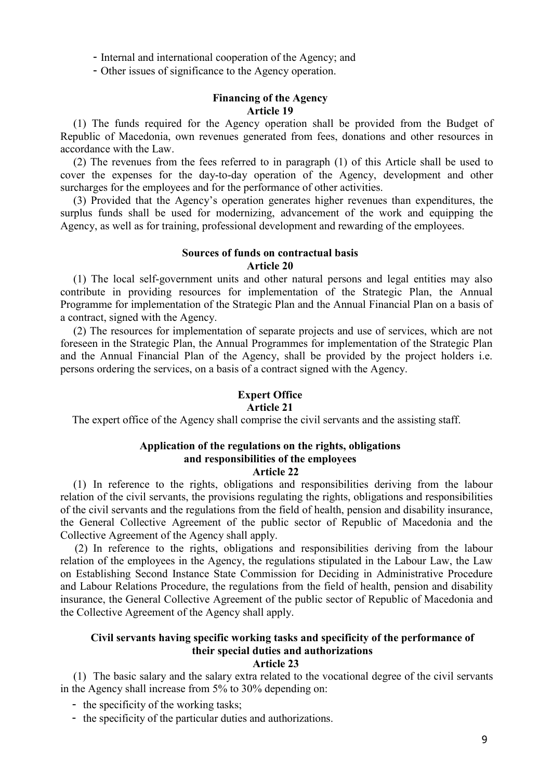- Internal and international cooperation of the Agency; and

- Other issues of significance to the Agency operation.

# **Financing of the Agency Article 19**

(1) The funds required for the Agency operation shall be provided from the Budget of Republic of Macedonia, own revenues generated from fees, donations and other resources in accordance with the Law.

(2) The revenues from the fees referred to in paragraph (1) of this Article shall be used to cover the expenses for the day-to-day operation of the Agency, development and other surcharges for the employees and for the performance of other activities.

(3) Provided that the Agency's operation generates higher revenues than expenditures, the surplus funds shall be used for modernizing, advancement of the work and equipping the Agency, as well as for training, professional development and rewarding of the employees.

# **Sources of funds on contractual basis Article 20**

(1) The local self-government units and other natural persons and legal entities may also contribute in providing resources for implementation of the Strategic Plan, the Annual Programme for implementation of the Strategic Plan and the Annual Financial Plan on a basis of a contract, signed with the Agency.

(2) The resources for implementation of separate projects and use of services, which are not foreseen in the Strategic Plan, the Annual Programmes for implementation of the Strategic Plan and the Annual Financial Plan of the Agency, shall be provided by the project holders i.e. persons ordering the services, on a basis of a contract signed with the Agency.

# **Expert Office**

# **Article 21**

The expert office of the Agency shall comprise the civil servants and the assisting staff.

# **Application of the regulations on the rights, obligations and responsibilities of the employees**

# **Article 22**

(1) In reference to the rights, obligations and responsibilities deriving from the labour relation of the civil servants, the provisions regulating the rights, obligations and responsibilities of the civil servants and the regulations from the field of health, pension and disability insurance, the General Collective Agreement of the public sector of Republic of Macedonia and the Collective Agreement of the Agency shall apply.

(2) In reference to the rights, obligations and responsibilities deriving from the labour relation of the employees in the Agency, the regulations stipulated in the Labour Law, the Law on Establishing Second Instance State Commission for Deciding in Administrative Procedure and Labour Relations Procedure, the regulations from the field of health, pension and disability insurance, the General Collective Agreement of the public sector of Republic of Macedonia and the Collective Agreement of the Agency shall apply.

# **Civil servants having specific working tasks and specificity of the performance of their special duties and authorizations**

#### **Article 23**

(1) The basic salary and the salary extra related to the vocational degree of the civil servants in the Agency shall increase from 5% to 30% depending on:

- the specificity of the working tasks;
- the specificity of the particular duties and authorizations.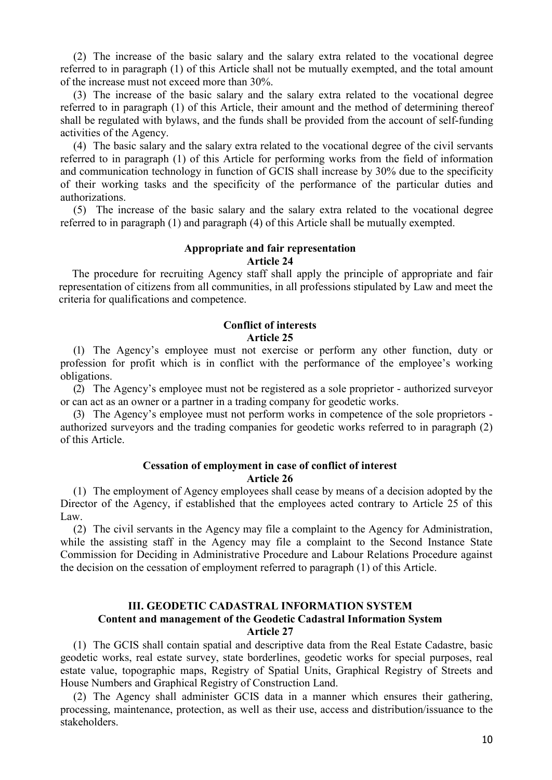(2) The increase of the basic salary and the salary extra related to the vocational degree referred to in paragraph (1) of this Article shall not be mutually exempted, and the total amount of the increase must not exceed more than 30%.

(3) The increase of the basic salary and the salary extra related to the vocational degree referred to in paragraph (1) of this Article, their amount and the method of determining thereof shall be regulated with bylaws, and the funds shall be provided from the account of self-funding activities of the Agency.

(4) The basic salary and the salary extra related to the vocational degree of the civil servants referred to in paragraph (1) of this Article for performing works from the field of information and communication technology in function of GCIS shall increase by 30% due to the specificity of their working tasks and the specificity of the performance of the particular duties and authorizations.

(5) The increase of the basic salary and the salary extra related to the vocational degree referred to in paragraph (1) and paragraph (4) of this Article shall be mutually exempted.

# **Appropriate and fair representation**

### **Article 24**

The procedure for recruiting Agency staff shall apply the principle of appropriate and fair representation of citizens from all communities, in all professions stipulated by Law and meet the criteria for qualifications and competence.

### **Conflict of interests Article 25**

(1) The Agency's employee must not exercise or perform any other function, duty or profession for profit which is in conflict with the performance of the employee's working obligations.

(2) The Agency's employee must not be registered as a sole proprietor - authorized surveyor or can act as an owner or a partner in a trading company for geodetic works.

(3) The Agency's employee must not perform works in competence of the sole proprietors authorized surveyors and the trading companies for geodetic works referred to in paragraph (2) of this Article.

### **Cessation of employment in case of conflict of interest Article 26**

(1) The employment of Agency employees shall cease by means of a decision adopted by the Director of the Agency, if established that the employees acted contrary to Article 25 of this Law.

(2) The civil servants in the Agency may file a complaint to the Agency for Administration, while the assisting staff in the Agency may file a complaint to the Second Instance State Commission for Deciding in Administrative Procedure and Labour Relations Procedure against the decision on the cessation of employment referred to paragraph (1) of this Article.

### **III. GEODETIC CADASTRAL INFORMATION SYSTEM Content and management of the Geodetic Cadastral Information System Article 27**

(1) The GCIS shall contain spatial and descriptive data from the Real Estate Cadastre, basic geodetic works, real estate survey, state borderlines, geodetic works for special purposes, real estate value, topographic maps, Registry of Spatial Units, Graphical Registry of Streets and House Numbers and Graphical Registry of Construction Land.

(2) The Agency shall administer GCIS data in a manner which ensures their gathering, processing, maintenance, protection, as well as their use, access and distribution/issuance to the stakeholders.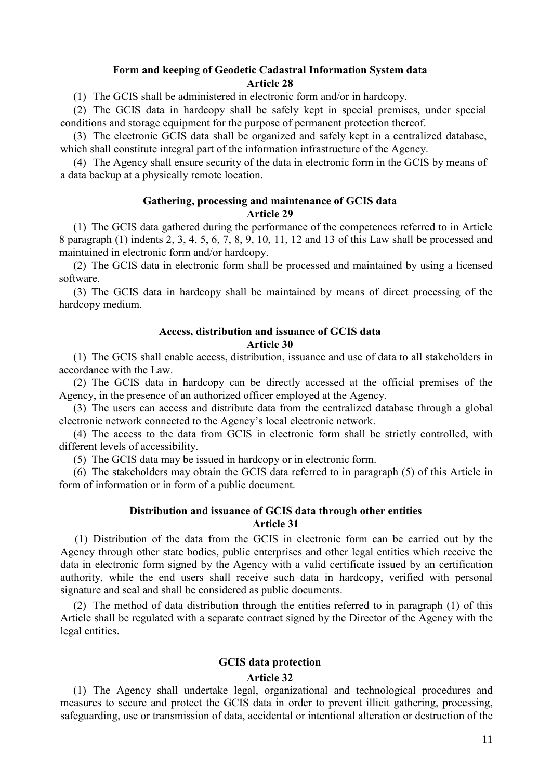# **Form and keeping of Geodetic Cadastral Information System data Article 28**

(1) The GCIS shall be administered in electronic form and/or in hardcopy.

(2) The GCIS data in hardcopy shall be safely kept in special premises, under special conditions and storage equipment for the purpose of permanent protection thereof.

(3) The electronic GCIS data shall be organized and safely kept in a centralized database, which shall constitute integral part of the information infrastructure of the Agency.

(4) The Agency shall ensure security of the data in electronic form in the GCIS by means of a data backup at a physically remote location.

# **Gathering, processing and maintenance of GCIS data Article 29**

(1) The GCIS data gathered during the performance of the competences referred to in Article 8 paragraph (1) indents 2, 3, 4, 5, 6, 7, 8, 9, 10, 11, 12 and 13 of this Law shall be processed and maintained in electronic form and/or hardcopy.

(2) The GCIS data in electronic form shall be processed and maintained by using a licensed software.

(3) The GCIS data in hardcopy shall be maintained by means of direct processing of the hardcopy medium.

# **Access, distribution and issuance of GCIS data Article 30**

(1) The GCIS shall enable access, distribution, issuance and use of data to all stakeholders in accordance with the Law.

(2) The GCIS data in hardcopy can be directly accessed at the official premises of the Agency, in the presence of an authorized officer employed at the Agency.

(3) The users can access and distribute data from the centralized database through a global electronic network connected to the Agency's local electronic network.

(4) The access to the data from GCIS in electronic form shall be strictly controlled, with different levels of accessibility.

(5) The GCIS data may be issued in hardcopy or in electronic form.

(6) The stakeholders may obtain the GCIS data referred to in paragraph (5) of this Article in form of information or in form of a public document.

# **Distribution and issuance of GCIS data through other entities Article 31**

(1) Distribution of the data from the GCIS in electronic form can be carried out by the Agency through other state bodies, public enterprises and other legal entities which receive the data in electronic form signed by the Agency with a valid certificate issued by an certification authority, while the end users shall receive such data in hardcopy, verified with personal signature and seal and shall be considered as public documents.

(2) The method of data distribution through the entities referred to in paragraph (1) of this Article shall be regulated with a separate contract signed by the Director of the Agency with the legal entities.

# **GCIS data protection**

### **Article 32**

(1) The Agency shall undertake legal, organizational and technological procedures and measures to secure and protect the GCIS data in order to prevent illicit gathering, processing, safeguarding, use or transmission of data, accidental or intentional alteration or destruction of the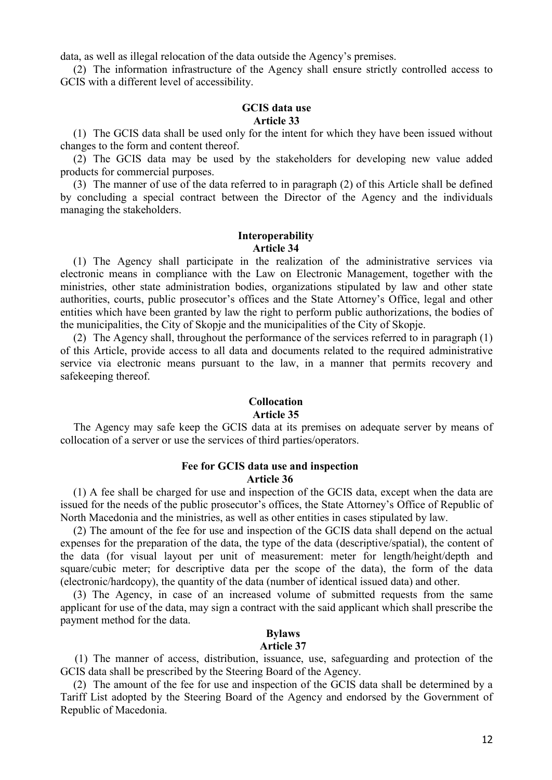data, as well as illegal relocation of the data outside the Agency's premises.

(2) The information infrastructure of the Agency shall ensure strictly controlled access to GCIS with a different level of accessibility.

### **GCIS data use Article 33**

(1) The GCIS data shall be used only for the intent for which they have been issued without changes to the form and content thereof.

(2) The GCIS data may be used by the stakeholders for developing new value added products for commercial purposes.

(3) The manner of use of the data referred to in paragraph (2) of this Article shall be defined by concluding a special contract between the Director of the Agency and the individuals managing the stakeholders.

## **Interoperability Article 34**

(1) The Agency shall participate in the realization of the administrative services via electronic means in compliance with the Law on Electronic Management, together with the ministries, other state administration bodies, organizations stipulated by law and other state authorities, courts, public prosecutor's offices and the State Attorney's Office, legal and other entities which have been granted by law the right to perform public authorizations, the bodies of the municipalities, the City of Skopje and the municipalities of the City of Skopje.

(2) The Agency shall, throughout the performance of the services referred to in paragraph (1) of this Article, provide access to all data and documents related to the required administrative service via electronic means pursuant to the law, in a manner that permits recovery and safekeeping thereof.

# **Collocation**

### **Article 35**

The Agency may safe keep the GCIS data at its premises on adequate server by means of collocation of a server or use the services of third parties/operators.

### **Fee for GCIS data use and inspection Article 36**

(1) A fee shall be charged for use and inspection of the GCIS data, except when the data are issued for the needs of the public prosecutor's offices, the State Attorney's Office of Republic of North Macedonia and the ministries, as well as other entities in cases stipulated by law.

(2) The amount of the fee for use and inspection of the GCIS data shall depend on the actual expenses for the preparation of the data, the type of the data (descriptive/spatial), the content of the data (for visual layout per unit of measurement: meter for length/height/depth and square/cubic meter; for descriptive data per the scope of the data), the form of the data (electronic/hardcopy), the quantity of the data (number of identical issued data) and other.

(3) The Agency, in case of an increased volume of submitted requests from the same applicant for use of the data, may sign a contract with the said applicant which shall prescribe the payment method for the data.

# **Bylaws**

#### **Article 37**

(1) The manner of access, distribution, issuance, use, safeguarding and protection of the GCIS data shall be prescribed by the Steering Board of the Agency.

(2) The amount of the fee for use and inspection of the GCIS data shall be determined by a Tariff List adopted by the Steering Board of the Agency and endorsed by the Government of Republic of Macedonia.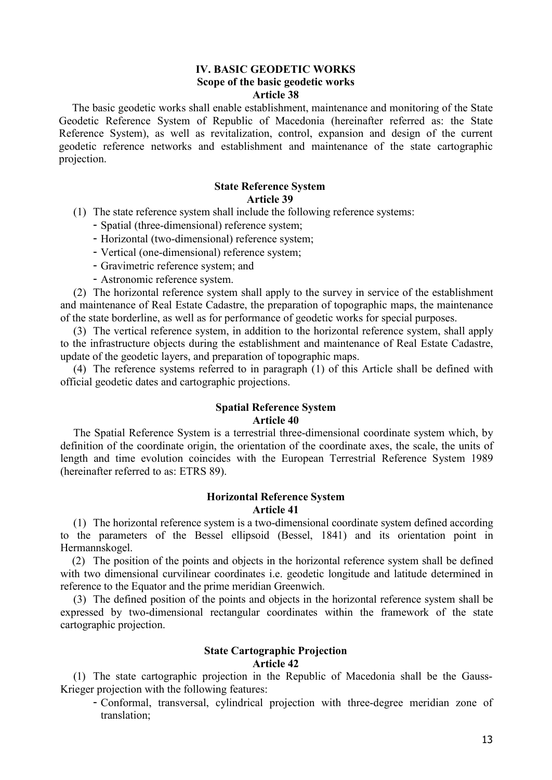# **IV. BASIC GEODETIC WORKS Scope of the basic geodetic works Article 38**

The basic geodetic works shall enable establishment, maintenance and monitoring of the State Geodetic Reference System of Republic of Macedonia (hereinafter referred as: the State Reference System), as well as revitalization, control, expansion and design of the current geodetic reference networks and establishment and maintenance of the state cartographic projection.

# **State Reference System Article 39**

- (1) The state reference system shall include the following reference systems:
	- Spatial (three-dimensional) reference system;
	- Horizontal (two-dimensional) reference system;
	- Vertical (one-dimensional) reference system;
	- Gravimetric reference system; and
	- Astronomic reference system.

(2) The horizontal reference system shall apply to the survey in service of the establishment and maintenance of Real Estate Cadastre, the preparation of topographic maps, the maintenance of the state borderline, as well as for performance of geodetic works for special purposes.

(3) The vertical reference system, in addition to the horizontal reference system, shall apply to the infrastructure objects during the establishment and maintenance of Real Estate Cadastre, update of the geodetic layers, and preparation of topographic maps.

(4) The reference systems referred to in paragraph (1) of this Article shall be defined with official geodetic dates and cartographic projections.

### **Spatial Reference System Article 40**

The Spatial Reference System is a terrestrial three-dimensional coordinate system which, by definition of the coordinate origin, the orientation of the coordinate axes, the scale, the units of length and time evolution coincides with the European Terrestrial Reference System 1989 (hereinafter referred to as: ETRS 89).

# **Horizontal Reference System Article 41**

(1) The horizontal reference system is a two-dimensional coordinate system defined according to the parameters of the Bessel ellipsoid (Bessel, 1841) and its orientation point in Hermannskogel.

(2) The position of the points and objects in the horizontal reference system shall be defined with two dimensional curvilinear coordinates i.e. geodetic longitude and latitude determined in reference to the Equator and the prime meridian Greenwich.

(3) The defined position of the points and objects in the horizontal reference system shall be expressed by two-dimensional rectangular coordinates within the framework of the state cartographic projection.

# **State Cartographic Projection**

### **Article 42**

(1) The state cartographic projection in the Republic of Macedonia shall be the Gauss-Krieger projection with the following features:

- Conformal, transversal, cylindrical projection with three-degree meridian zone of translation;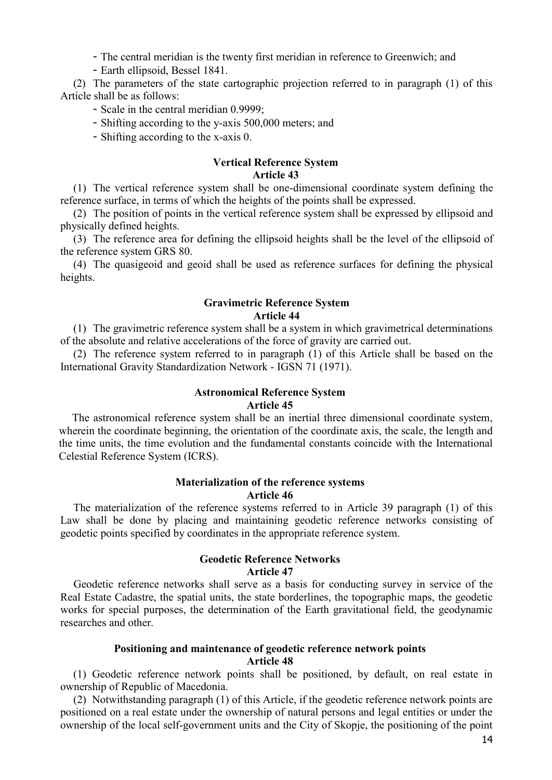- The central meridian is the twenty first meridian in reference to Greenwich; and

- Earth ellipsoid, Bessel 1841.

(2) The parameters of the state cartographic projection referred to in paragraph (1) of this Article shall be as follows:

- Scale in the central meridian 0.9999;

- Shifting according to the y-axis 500,000 meters; and

- Shifting according to the x-axis 0.

# **Vertical Reference System**

# **Article 43**

(1) The vertical reference system shall be one-dimensional coordinate system defining the reference surface, in terms of which the heights of the points shall be expressed.

(2) The position of points in the vertical reference system shall be expressed by ellipsoid and physically defined heights.

(3) The reference area for defining the ellipsoid heights shall be the level of the ellipsoid of the reference system GRS 80.

(4) The quasigeoid and geoid shall be used as reference surfaces for defining the physical heights.

# **Gravimetric Reference System Article 44**

(1) The gravimetric reference system shall be a system in which gravimetrical determinations of the absolute and relative accelerations of the force of gravity are carried out.

(2) The reference system referred to in paragraph (1) of this Article shall be based on the International Gravity Standardization Network - IGSN 71 (1971).

# **Astronomical Reference System**

### **Article 45**

The astronomical reference system shall be an inertial three dimensional coordinate system, wherein the coordinate beginning, the orientation of the coordinate axis, the scale, the length and the time units, the time evolution and the fundamental constants coincide with the International Celestial Reference System (ICRS).

### **Materialization of the reference systems**

#### **Article 46**

The materialization of the reference systems referred to in Article 39 paragraph (1) of this Law shall be done by placing and maintaining geodetic reference networks consisting of geodetic points specified by coordinates in the appropriate reference system.

### **Geodetic Reference Networks Article 47**

Geodetic reference networks shall serve as a basis for conducting survey in service of the Real Estate Cadastre, the spatial units, the state borderlines, the topographic maps, the geodetic works for special purposes, the determination of the Earth gravitational field, the geodynamic researches and other.

### **Positioning and maintenance of geodetic reference network points Article 48**

(1) Geodetic reference network points shall be positioned, by default, on real estate in ownership of Republic of Macedonia.

(2) Notwithstanding paragraph (1) of this Article, if the geodetic reference network points are positioned on a real estate under the ownership of natural persons and legal entities or under the ownership of the local self-government units and the City of Skopje, the positioning of the point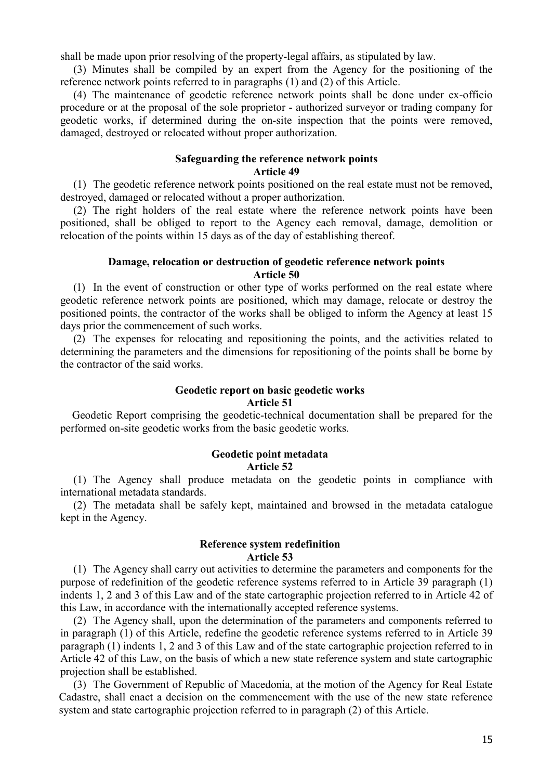shall be made upon prior resolving of the property-legal affairs, as stipulated by law.

(3) Minutes shall be compiled by an expert from the Agency for the positioning of the reference network points referred to in paragraphs (1) and (2) of this Article.

(4) The maintenance of geodetic reference network points shall be done under ex-officio procedure or at the proposal of the sole proprietor - authorized surveyor or trading company for geodetic works, if determined during the on-site inspection that the points were removed, damaged, destroyed or relocated without proper authorization.

# **Safeguarding the reference network points Article 49**

(1) The geodetic reference network points positioned on the real estate must not be removed, destroyed, damaged or relocated without a proper authorization.

(2) The right holders of the real estate where the reference network points have been positioned, shall be obliged to report to the Agency each removal, damage, demolition or relocation of the points within 15 days as of the day of establishing thereof.

# **Damage, relocation or destruction of geodetic reference network points Article 50**

(1) In the event of construction or other type of works performed on the real estate where geodetic reference network points are positioned, which may damage, relocate or destroy the positioned points, the contractor of the works shall be obliged to inform the Agency at least 15 days prior the commencement of such works.

(2) The expenses for relocating and repositioning the points, and the activities related to determining the parameters and the dimensions for repositioning of the points shall be borne by the contractor of the said works.

# **Geodetic report on basic geodetic works**

### **Article 51**

Geodetic Report comprising the geodetic-technical documentation shall be prepared for the performed on-site geodetic works from the basic geodetic works.

### **Geodetic point metadata Article 52**

(1) The Agency shall produce metadata on the geodetic points in compliance with international metadata standards.

(2) The metadata shall be safely kept, maintained and browsed in the metadata catalogue kept in the Agency.

## **Reference system redefinition Article 53**

(1) The Agency shall carry out activities to determine the parameters and components for the purpose of redefinition of the geodetic reference systems referred to in Article 39 paragraph (1) indents 1, 2 and 3 of this Law and of the state cartographic projection referred to in Article 42 of this Law, in accordance with the internationally accepted reference systems.

(2) The Agency shall, upon the determination of the parameters and components referred to in paragraph (1) of this Article, redefine the geodetic reference systems referred to in Article 39 paragraph (1) indents 1, 2 and 3 of this Law and of the state cartographic projection referred to in Article 42 of this Law, on the basis of which a new state reference system and state cartographic projection shall be established.

(3) The Government of Republic of Macedonia, at the motion of the Agency for Real Estate Cadastre, shall enact a decision on the commencement with the use of the new state reference system and state cartographic projection referred to in paragraph (2) of this Article.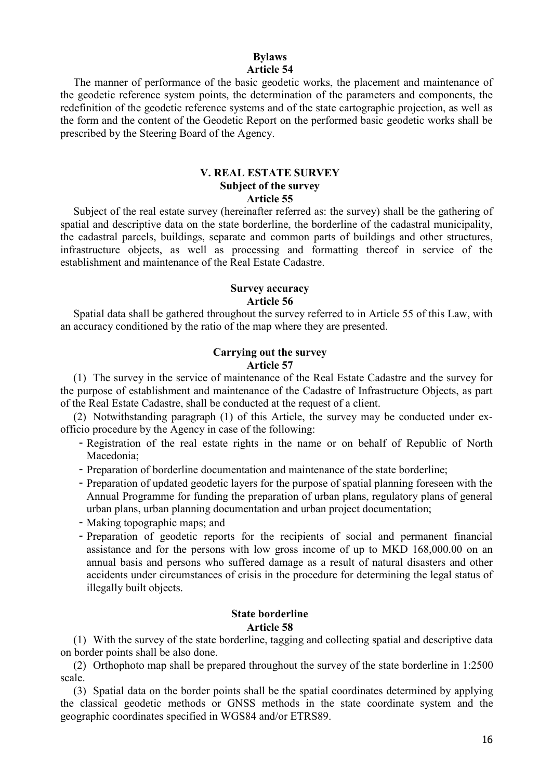# **Bylaws Article 54**

The manner of performance of the basic geodetic works, the placement and maintenance of the geodetic reference system points, the determination of the parameters and components, the redefinition of the geodetic reference systems and of the state cartographic projection, as well as the form and the content of the Geodetic Report on the performed basic geodetic works shall be prescribed by the Steering Board of the Agency.

# **V. REAL ESTATE SURVEY Subject of the survey Article 55**

Subject of the real estate survey (hereinafter referred as: the survey) shall be the gathering of spatial and descriptive data on the state borderline, the borderline of the cadastral municipality, the cadastral parcels, buildings, separate and common parts of buildings and other structures, infrastructure objects, as well as processing and formatting thereof in service of the establishment and maintenance of the Real Estate Cadastre.

# **Survey accuracy Article 56**

Spatial data shall be gathered throughout the survey referred to in Article 55 of this Law, with an accuracy conditioned by the ratio of the map where they are presented.

### **Carrying out the survey Article 57**

(1) The survey in the service of maintenance of the Real Estate Cadastre and the survey for the purpose of establishment and maintenance of the Cadastre of Infrastructure Objects, as part of the Real Estate Cadastre, shall be conducted at the request of a client.

(2) Notwithstanding paragraph (1) of this Article, the survey may be conducted under exofficio procedure by the Agency in case of the following:

- Registration of the real estate rights in the name or on behalf of Republic of North Macedonia;
- Preparation of borderline documentation and maintenance of the state borderline;
- Preparation of updated geodetic layers for the purpose of spatial planning foreseen with the Annual Programme for funding the preparation of urban plans, regulatory plans of general urban plans, urban planning documentation and urban project documentation;
- Making topographic maps; and
- Preparation of geodetic reports for the recipients of social and permanent financial assistance and for the persons with low gross income of up to MKD 168,000.00 on an annual basis and persons who suffered damage as a result of natural disasters and other accidents under circumstances of crisis in the procedure for determining the legal status of illegally built objects.

#### **State borderline Article 58**

(1) With the survey of the state borderline, tagging and collecting spatial and descriptive data on border points shall be also done.

(2) Orthophoto map shall be prepared throughout the survey of the state borderline in 1:2500 scale.

(3) Spatial data on the border points shall be the spatial coordinates determined by applying the classical geodetic methods or GNSS methods in the state coordinate system and the geographic coordinates specified in WGS84 and/or ETRS89.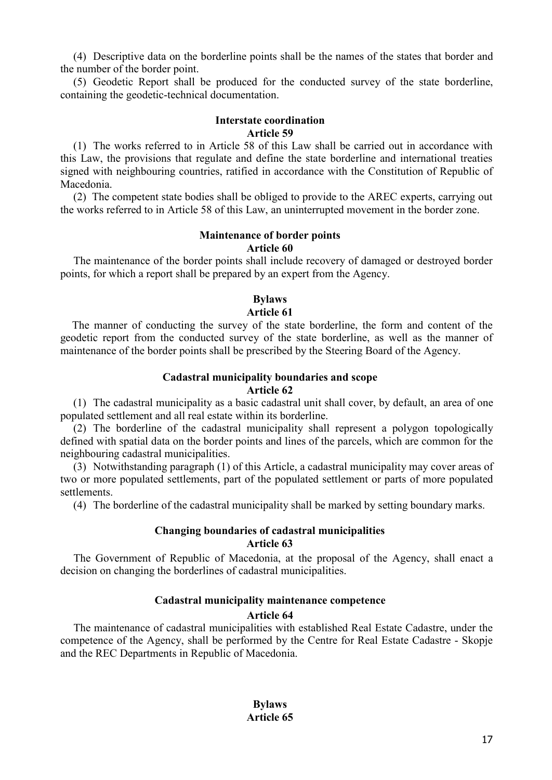(4) Descriptive data on the borderline points shall be the names of the states that border and the number of the border point.

(5) Geodetic Report shall be produced for the conducted survey of the state borderline, containing the geodetic-technical documentation.

#### **Interstate coordination Article 59**

(1) The works referred to in Article 58 of this Law shall be carried out in accordance with this Law, the provisions that regulate and define the state borderline and international treaties signed with neighbouring countries, ratified in accordance with the Constitution of Republic of Macedonia.

(2) The competent state bodies shall be obliged to provide to the AREC experts, carrying out the works referred to in Article 58 of this Law, an uninterrupted movement in the border zone.

# **Maintenance of border points Article 60**

The maintenance of the border points shall include recovery of damaged or destroyed border points, for which a report shall be prepared by an expert from the Agency.

# **Bylaws Article 61**

The manner of conducting the survey of the state borderline, the form and content of the geodetic report from the conducted survey of the state borderline, as well as the manner of maintenance of the border points shall be prescribed by the Steering Board of the Agency.

# **Cadastral municipality boundaries and scope**

**Article 62**

(1) The cadastral municipality as a basic cadastral unit shall cover, by default, an area of one populated settlement and all real estate within its borderline.

(2) The borderline of the cadastral municipality shall represent a polygon topologically defined with spatial data on the border points and lines of the parcels, which are common for the neighbouring cadastral municipalities.

(3) Notwithstanding paragraph (1) of this Article, a cadastral municipality may cover areas of two or more populated settlements, part of the populated settlement or parts of more populated settlements.

(4) The borderline of the cadastral municipality shall be marked by setting boundary marks.

# **Changing boundaries of cadastral municipalities Article 63**

The Government of Republic of Macedonia, at the proposal of the Agency, shall enact a decision on changing the borderlines of cadastral municipalities.

# **Cadastral municipality maintenance competence**

### **Article 64**

The maintenance of cadastral municipalities with established Real Estate Cadastre, under the competence of the Agency, shall be performed by the Centre for Real Estate Cadastre - Skopje and the REC Departments in Republic of Macedonia.

> **Bylaws Article 65**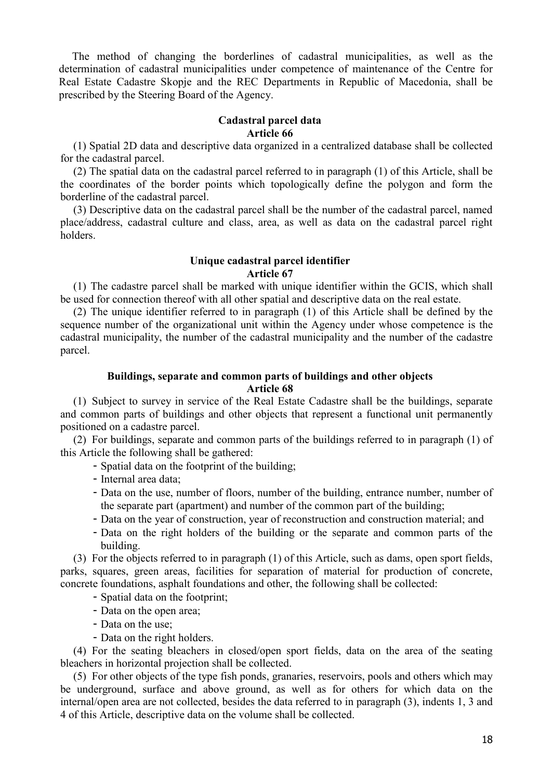The method of changing the borderlines of cadastral municipalities, as well as the determination of cadastral municipalities under competence of maintenance of the Centre for Real Estate Cadastre Skopje and the REC Departments in Republic of Macedonia, shall be prescribed by the Steering Board of the Agency.

# **Cadastral parcel data Article 66**

(1) Spatial 2D data and descriptive data organized in a centralized database shall be collected for the cadastral parcel.

(2) The spatial data on the cadastral parcel referred to in paragraph (1) of this Article, shall be the coordinates of the border points which topologically define the polygon and form the borderline of the cadastral parcel.

(3) Descriptive data on the cadastral parcel shall be the number of the cadastral parcel, named place/address, cadastral culture and class, area, as well as data on the cadastral parcel right holders.

### **Unique cadastral parcel identifier Article 67**

(1) The cadastre parcel shall be marked with unique identifier within the GCIS, which shall be used for connection thereof with all other spatial and descriptive data on the real estate.

(2) The unique identifier referred to in paragraph (1) of this Article shall be defined by the sequence number of the organizational unit within the Agency under whose competence is the cadastral municipality, the number of the cadastral municipality and the number of the cadastre parcel.

# **Buildings, separate and common parts of buildings and other objects Article 68**

(1) Subject to survey in service of the Real Estate Cadastre shall be the buildings, separate and common parts of buildings and other objects that represent a functional unit permanently positioned on a cadastre parcel.

(2) For buildings, separate and common parts of the buildings referred to in paragraph (1) of this Article the following shall be gathered:

- Spatial data on the footprint of the building;
- Internal area data;
- Data on the use, number of floors, number of the building, entrance number, number of the separate part (apartment) and number of the common part of the building;
- Data on the year of construction, year of reconstruction and construction material; and
- Data on the right holders of the building or the separate and common parts of the building.

(3) For the objects referred to in paragraph (1) of this Article, such as dams, open sport fields, parks, squares, green areas, facilities for separation of material for production of concrete, concrete foundations, asphalt foundations and other, the following shall be collected:

- Spatial data on the footprint;
- Data on the open area;
- Data on the use;
- Data on the right holders.

(4) For the seating bleachers in closed/open sport fields, data on the area of the seating bleachers in horizontal projection shall be collected.

(5) For other objects of the type fish ponds, granaries, reservoirs, pools and others which may be underground, surface and above ground, as well as for others for which data on the internal/open area are not collected, besides the data referred to in paragraph (3), indents 1, 3 and 4 of this Article, descriptive data on the volume shall be collected.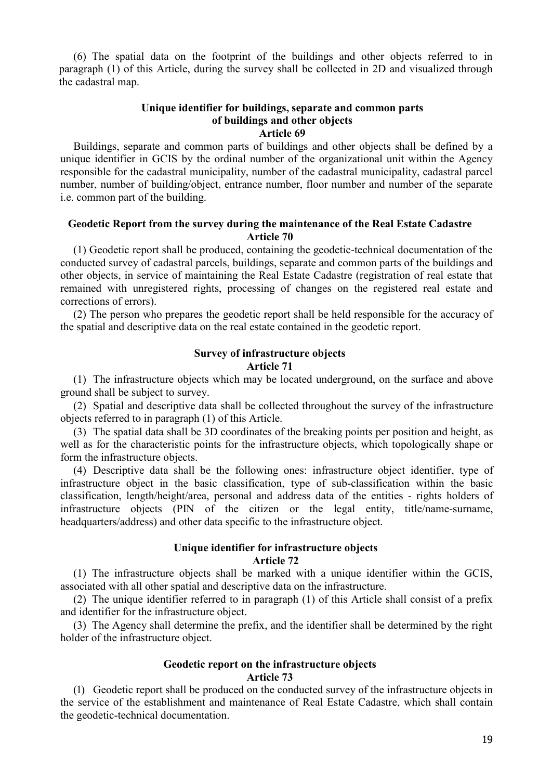(6) The spatial data on the footprint of the buildings and other objects referred to in paragraph (1) of this Article, during the survey shall be collected in 2D and visualized through the cadastral map.

# **Unique identifier for buildings, separate and common parts of buildings and other objects Article 69**

Buildings, separate and common parts of buildings and other objects shall be defined by a unique identifier in GCIS by the ordinal number of the organizational unit within the Agency responsible for the cadastral municipality, number of the cadastral municipality, cadastral parcel number, number of building/object, entrance number, floor number and number of the separate i.e. common part of the building.

# **Geodetic Report from the survey during the maintenance of the Real Estate Cadastre Article 70**

(1) Geodetic report shall be produced, containing the geodetic-technical documentation of the conducted survey of cadastral parcels, buildings, separate and common parts of the buildings and other objects, in service of maintaining the Real Estate Cadastre (registration of real estate that remained with unregistered rights, processing of changes on the registered real estate and corrections of errors).

(2) The person who prepares the geodetic report shall be held responsible for the accuracy of the spatial and descriptive data on the real estate contained in the geodetic report.

# **Survey of infrastructure objects**

### **Article 71**

(1) The infrastructure objects which may be located underground, on the surface and above ground shall be subject to survey.

(2) Spatial and descriptive data shall be collected throughout the survey of the infrastructure objects referred to in paragraph (1) of this Article.

(3) The spatial data shall be 3D coordinates of the breaking points per position and height, as well as for the characteristic points for the infrastructure objects, which topologically shape or form the infrastructure objects.

(4) Descriptive data shall be the following ones: infrastructure object identifier, type of infrastructure object in the basic classification, type of sub-classification within the basic classification, length/height/area, personal and address data of the entities - rights holders of infrastructure objects (PIN of the citizen or the legal entity, title/name-surname, headquarters/address) and other data specific to the infrastructure object.

# **Unique identifier for infrastructure objects Article 72**

(1) The infrastructure objects shall be marked with a unique identifier within the GCIS, associated with all other spatial and descriptive data on the infrastructure.

(2) The unique identifier referred to in paragraph (1) of this Article shall consist of a prefix and identifier for the infrastructure object.

(3) The Agency shall determine the prefix, and the identifier shall be determined by the right holder of the infrastructure object.

### **Geodetic report on the infrastructure objects Article 73**

(1) Geodetic report shall be produced on the conducted survey of the infrastructure objects in the service of the establishment and maintenance of Real Estate Cadastre, which shall contain the geodetic-technical documentation.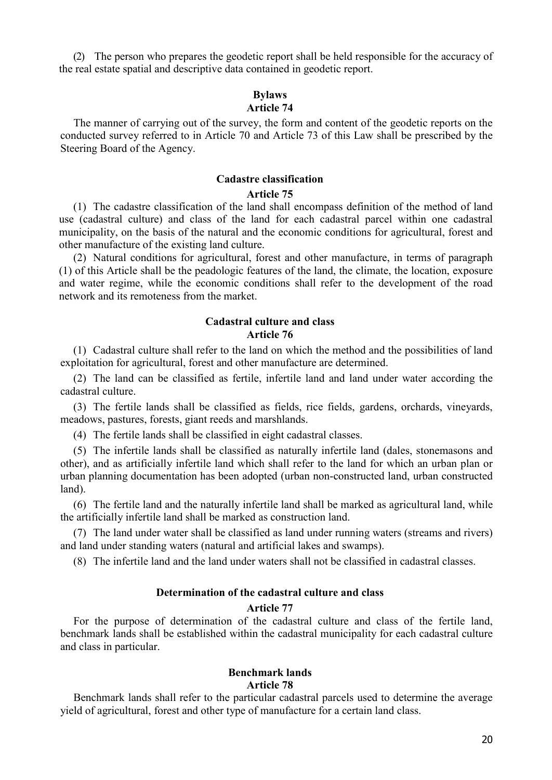(2) The person who prepares the geodetic report shall be held responsible for the accuracy of the real estate spatial and descriptive data contained in geodetic report.

#### **Bylaws Article 74**

The manner of carrying out of the survey, the form and content of the geodetic reports on the conducted survey referred to in Article 70 and Article 73 of this Law shall be prescribed by the Steering Board of the Agency.

# **Cadastre classification**

### **Article 75**

(1) The cadastre classification of the land shall encompass definition of the method of land use (cadastral culture) and class of the land for each cadastral parcel within one cadastral municipality, on the basis of the natural and the economic conditions for agricultural, forest and other manufacture of the existing land culture.

(2) Natural conditions for agricultural, forest and other manufacture, in terms of paragraph (1) of this Article shall be the peadologic features of the land, the climate, the location, exposure and water regime, while the economic conditions shall refer to the development of the road network and its remoteness from the market.

# **Cadastral culture and class Article 76**

(1) Cadastral culture shall refer to the land on which the method and the possibilities of land exploitation for agricultural, forest and other manufacture are determined.

(2) The land can be classified as fertile, infertile land and land under water according the cadastral culture.

(3) The fertile lands shall be classified as fields, rice fields, gardens, orchards, vineyards, meadows, pastures, forests, giant reeds and marshlands.

(4) The fertile lands shall be classified in eight cadastral classes.

(5) The infertile lands shall be classified as naturally infertile land (dales, stonemasons and other), and as artificially infertile land which shall refer to the land for which an urban plan or urban planning documentation has been adopted (urban non-constructed land, urban constructed land).

(6) The fertile land and the naturally infertile land shall be marked as agricultural land, while the artificially infertile land shall be marked as construction land.

(7) The land under water shall be classified as land under running waters (streams and rivers) and land under standing waters (natural and artificial lakes and swamps).

(8) The infertile land and the land under waters shall not be classified in cadastral classes.

### **Determination of the cadastral culture and class**

#### **Article 77**

For the purpose of determination of the cadastral culture and class of the fertile land, benchmark lands shall be established within the cadastral municipality for each cadastral culture and class in particular.

# **Benchmark lands Article 78**

Benchmark lands shall refer to the particular cadastral parcels used to determine the average yield of agricultural, forest and other type of manufacture for a certain land class.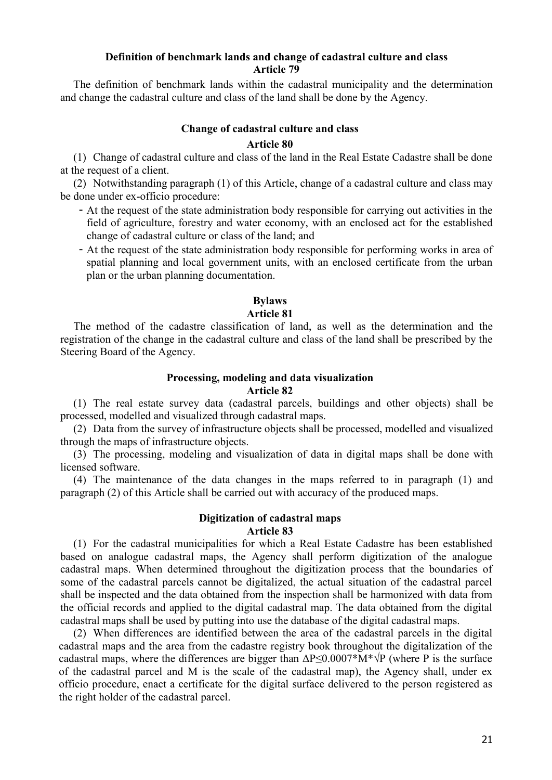### **Definition of benchmark lands and change of cadastral culture and class Article 79**

The definition of benchmark lands within the cadastral municipality and the determination and change the cadastral culture and class of the land shall be done by the Agency.

# **Change of cadastral culture and class**

### **Article 80**

(1) Change of cadastral culture and class of the land in the Real Estate Cadastre shall be done at the request of a client.

(2) Notwithstanding paragraph (1) of this Article, change of a cadastral culture and class may be done under ex-officio procedure:

- At the request of the state administration body responsible for carrying out activities in the field of agriculture, forestry and water economy, with an enclosed act for the established change of cadastral culture or class of the land; and
- At the request of the state administration body responsible for performing works in area of spatial planning and local government units, with an enclosed certificate from the urban plan or the urban planning documentation.

# **Bylaws**

# **Article 81**

The method of the cadastre classification of land, as well as the determination and the registration of the change in the cadastral culture and class of the land shall be prescribed by the Steering Board of the Agency.

### **Processing, modeling and data visualization Article 82**

(1) The real estate survey data (cadastral parcels, buildings and other objects) shall be processed, modelled and visualized through cadastral maps.

(2) Data from the survey of infrastructure objects shall be processed, modelled and visualized through the maps of infrastructure objects.

(3) The processing, modeling and visualization of data in digital maps shall be done with licensed software.

(4) The maintenance of the data changes in the maps referred to in paragraph (1) and paragraph (2) of this Article shall be carried out with accuracy of the produced maps.

# **Digitization of cadastral maps Article 83**

(1) For the cadastral municipalities for which a Real Estate Cadastre has been established based on analogue cadastral maps, the Agency shall perform digitization of the analogue cadastral maps. When determined throughout the digitization process that the boundaries of some of the cadastral parcels cannot be digitalized, the actual situation of the cadastral parcel shall be inspected and the data obtained from the inspection shall be harmonized with data from the official records and applied to the digital cadastral map. The data obtained from the digital cadastral maps shall be used by putting into use the database of the digital cadastral maps.

(2) When differences are identified between the area of the cadastral parcels in the digital cadastral maps and the area from the cadastre registry book throughout the digitalization of the cadastral maps, where the differences are bigger than  $\Delta P \leq 0.0007^* M^* \sqrt{P}$  (where P is the surface of the cadastral parcel and M is the scale of the cadastral map), the Agency shall, under ex officio procedure, enact a certificate for the digital surface delivered to the person registered as the right holder of the cadastral parcel.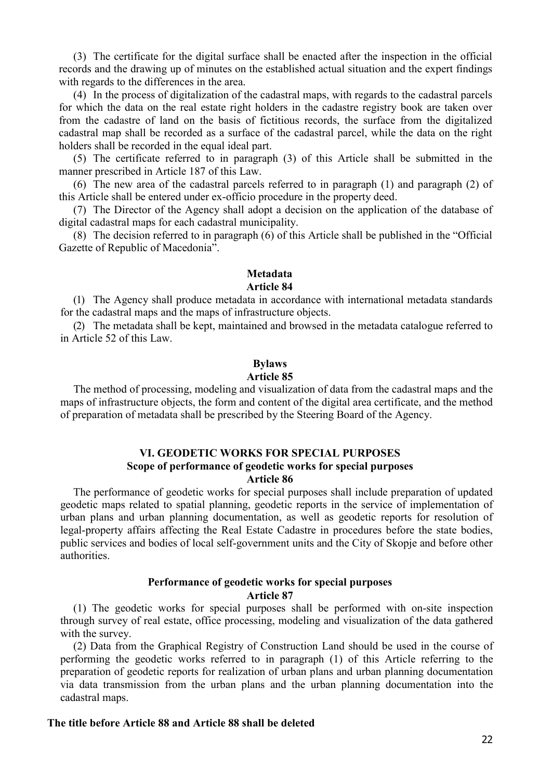(3) The certificate for the digital surface shall be enacted after the inspection in the official records and the drawing up of minutes on the established actual situation and the expert findings with regards to the differences in the area.

(4) In the process of digitalization of the cadastral maps, with regards to the cadastral parcels for which the data on the real estate right holders in the cadastre registry book are taken over from the cadastre of land on the basis of fictitious records, the surface from the digitalized cadastral map shall be recorded as a surface of the cadastral parcel, while the data on the right holders shall be recorded in the equal ideal part.

(5) The certificate referred to in paragraph (3) of this Article shall be submitted in the manner prescribed in Article 187 of this Law.

(6) The new area of the cadastral parcels referred to in paragraph (1) and paragraph (2) of this Article shall be entered under ex-officio procedure in the property deed.

(7) The Director of the Agency shall adopt a decision on the application of the database of digital cadastral maps for each cadastral municipality.

(8) The decision referred to in paragraph (6) of this Article shall be published in the "Official Gazette of Republic of Macedonia".

### **Metadata Article 84**

(1) The Agency shall produce metadata in accordance with international metadata standards for the cadastral maps and the maps of infrastructure objects.

(2) The metadata shall be kept, maintained and browsed in the metadata catalogue referred to in Article 52 of this Law.

# **Bylaws**

# **Article 85**

The method of processing, modeling and visualization of data from the cadastral maps and the maps of infrastructure objects, the form and content of the digital area certificate, and the method of preparation of metadata shall be prescribed by the Steering Board of the Agency.

### **VI. GEODETIC WORKS FOR SPECIAL PURPOSES Scope of performance of geodetic works for special purposes Article 86**

The performance of geodetic works for special purposes shall include preparation of updated geodetic maps related to spatial planning, geodetic reports in the service of implementation of urban plans and urban planning documentation, as well as geodetic reports for resolution of legal-property affairs affecting the Real Estate Cadastre in procedures before the state bodies, public services and bodies of local self-government units and the City of Skopje and before other authorities.

### **Performance of geodetic works for special purposes Article 87**

(1) The geodetic works for special purposes shall be performed with on-site inspection through survey of real estate, office processing, modeling and visualization of the data gathered with the survey.

(2) Data from the Graphical Registry of Construction Land should be used in the course of performing the geodetic works referred to in paragraph (1) of this Article referring to the preparation of geodetic reports for realization of urban plans and urban planning documentation via data transmission from the urban plans and the urban planning documentation into the cadastral maps.

### **The title before Article 88 and Article 88 shall be deleted**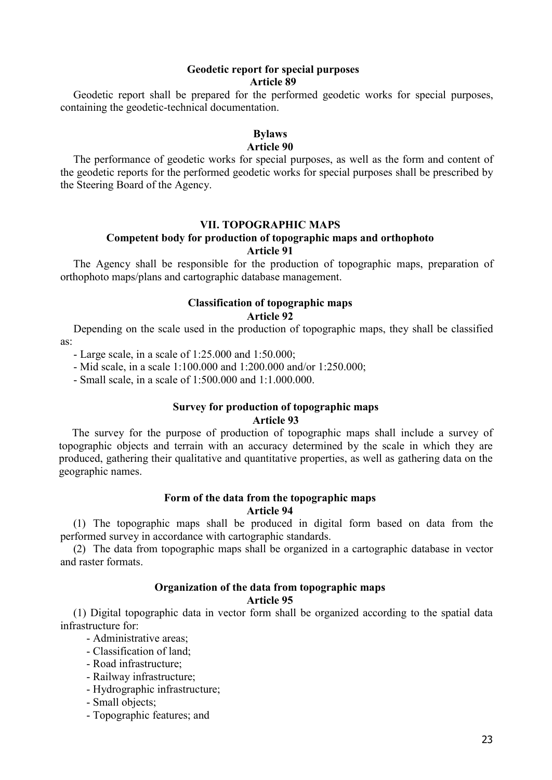# **Geodetic report for special purposes Article 89**

Geodetic report shall be prepared for the performed geodetic works for special purposes, containing the geodetic-technical documentation.

# **Bylaws**

# **Article 90**

The performance of geodetic works for special purposes, as well as the form and content of the geodetic reports for the performed geodetic works for special purposes shall be prescribed by the Steering Board of the Agency.

### **VII. TOPOGRAPHIC MAPS**

### **Competent body for production of topographic maps and orthophoto Article 91**

The Agency shall be responsible for the production of topographic maps, preparation of orthophoto maps/plans and cartographic database management.

### **Classification of topographic maps Article 92**

Depending on the scale used in the production of topographic maps, they shall be classified as:

- Large scale, in a scale of 1:25.000 and 1:50.000;

- Mid scale, in a scale 1:100.000 and 1:200.000 and/or 1:250.000;

- Small scale, in a scale of 1:500.000 and 1:1.000.000.

#### **Survey for production of topographic maps Article 93**

The survey for the purpose of production of topographic maps shall include a survey of topographic objects and terrain with an accuracy determined by the scale in which they are produced, gathering their qualitative and quantitative properties, as well as gathering data on the geographic names.

### **Form of the data from the topographic maps Article 94**

(1) The topographic maps shall be produced in digital form based on data from the performed survey in accordance with cartographic standards.

(2) The data from topographic maps shall be organized in a cartographic database in vector and raster formats.

# **Organization of the data from topographic maps**

### **Article 95**

(1) Digital topographic data in vector form shall be organized according to the spatial data infrastructure for:

- Administrative areas;

- Classification of land;
- Road infrastructure;
- Railway infrastructure;
- Hydrographic infrastructure;
- Small objects;
- Topographic features; and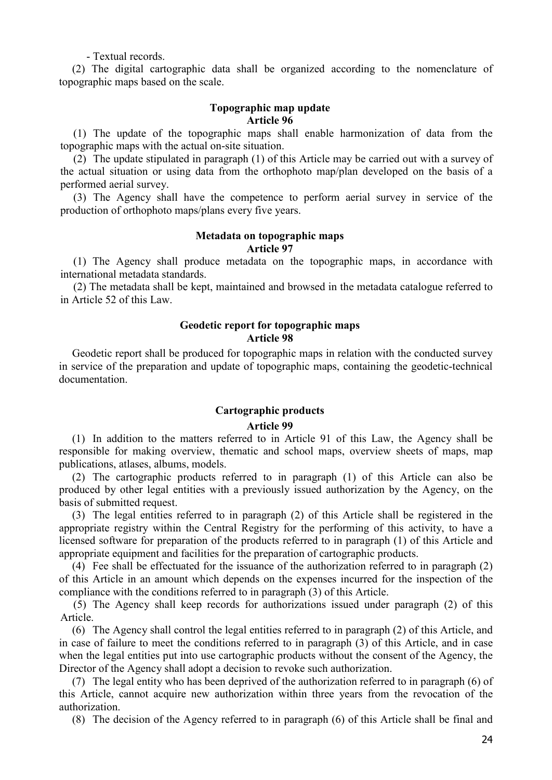- Textual records.

(2) The digital cartographic data shall be organized according to the nomenclature of topographic maps based on the scale.

### **Topographic map update Article 96**

(1) The update of the topographic maps shall enable harmonization of data from the topographic maps with the actual on-site situation.

(2) The update stipulated in paragraph (1) of this Article may be carried out with a survey of the actual situation or using data from the orthophoto map/plan developed on the basis of a performed aerial survey.

(3) The Agency shall have the competence to perform aerial survey in service of the production of orthophoto maps/plans every five years.

# **Metadata on topographic maps Article 97**

(1) The Agency shall produce metadata on the topographic maps, in accordance with international metadata standards.

(2) The metadata shall be kept, maintained and browsed in the metadata catalogue referred to in Article 52 of this Law.

# **Geodetic report for topographic maps Article 98**

Geodetic report shall be produced for topographic maps in relation with the conducted survey in service of the preparation and update of topographic maps, containing the geodetic-technical documentation.

# **Cartographic products Article 99**

(1) In addition to the matters referred to in Article 91 of this Law, the Agency shall be responsible for making overview, thematic and school maps, overview sheets of maps, map publications, atlases, albums, models.

(2) The cartographic products referred to in paragraph (1) of this Article can also be produced by other legal entities with a previously issued authorization by the Agency, on the basis of submitted request.

(3) The legal entities referred to in paragraph (2) of this Article shall be registered in the appropriate registry within the Central Registry for the performing of this activity, to have a licensed software for preparation of the products referred to in paragraph (1) of this Article and appropriate equipment and facilities for the preparation of cartographic products.

(4) Fee shall be effectuated for the issuance of the authorization referred to in paragraph (2) of this Article in an amount which depends on the expenses incurred for the inspection of the compliance with the conditions referred to in paragraph (3) of this Article.

(5) The Agency shall keep records for authorizations issued under paragraph (2) of this Article.

(6) The Agency shall control the legal entities referred to in paragraph (2) of this Article, and in case of failure to meet the conditions referred to in paragraph (3) of this Article, and in case when the legal entities put into use cartographic products without the consent of the Agency, the Director of the Agency shall adopt a decision to revoke such authorization.

(7) The legal entity who has been deprived of the authorization referred to in paragraph (6) of this Article, cannot acquire new authorization within three years from the revocation of the authorization.

(8) The decision of the Agency referred to in paragraph (6) of this Article shall be final and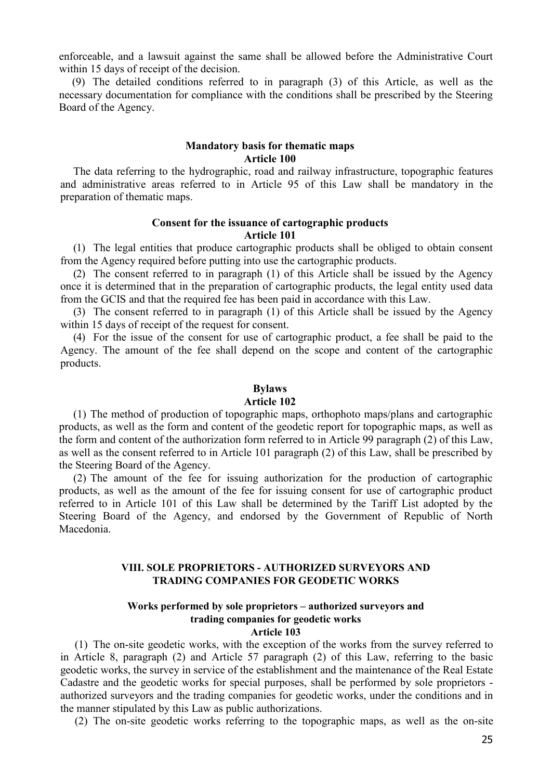enforceable, and a lawsuit against the same shall be allowed before the Administrative Court within 15 days of receipt of the decision.

(9) The detailed conditions referred to in paragraph (3) of this Article, as well as the necessary documentation for compliance with the conditions shall be prescribed by the Steering Board of the Agency.

### **Mandatory basis for thematic maps Article 100**

The data referring to the hydrographic, road and railway infrastructure, topographic features and administrative areas referred to in Article 95 of this Law shall be mandatory in the preparation of thematic maps.

# **Consent for the issuance of cartographic products Article 101**

(1) The legal entities that produce cartographic products shall be obliged to obtain consent from the Agency required before putting into use the cartographic products.

(2) The consent referred to in paragraph (1) of this Article shall be issued by the Agency once it is determined that in the preparation of cartographic products, the legal entity used data from the GCIS and that the required fee has been paid in accordance with this Law.

(3) The consent referred to in paragraph (1) of this Article shall be issued by the Agency within 15 days of receipt of the request for consent.

(4) For the issue of the consent for use of cartographic product, a fee shall be paid to the Agency. The amount of the fee shall depend on the scope and content of the cartographic products.

### **Bylaws**

#### **Article 102**

(1) The method of production of topographic maps, orthophoto maps/plans and cartographic products, as well as the form and content of the geodetic report for topographic maps, as well as the form and content of the authorization form referred to in Article 99 paragraph (2) of this Law, as well as the consent referred to in Article 101 paragraph (2) of this Law, shall be prescribed by the Steering Board of the Agency.

(2) The amount of the fee for issuing authorization for the production of cartographic products, as well as the amount of the fee for issuing consent for use of cartographic product referred to in Article 101 of this Law shall be determined by the Tariff List adopted by the Steering Board of the Agency, and endorsed by the Government of Republic of North Macedonia.

### **VIII. SOLE PROPRIETORS - AUTHORIZED SURVEYORS AND TRADING COMPANIES FOR GEODETIC WORKS**

# **Works performed by sole proprietors – authorized surveyors and trading companies for geodetic works**

### **Article 103**

(1) The on-site geodetic works, with the exception of the works from the survey referred to in Article 8, paragraph (2) and Article 57 paragraph (2) of this Law, referring to the basic geodetic works, the survey in service of the establishment and the maintenance of the Real Estate Cadastre and the geodetic works for special purposes, shall be performed by sole proprietors authorized surveyors and the trading companies for geodetic works, under the conditions and in the manner stipulated by this Law as public authorizations.

(2) The on-site geodetic works referring to the topographic maps, as well as the on-site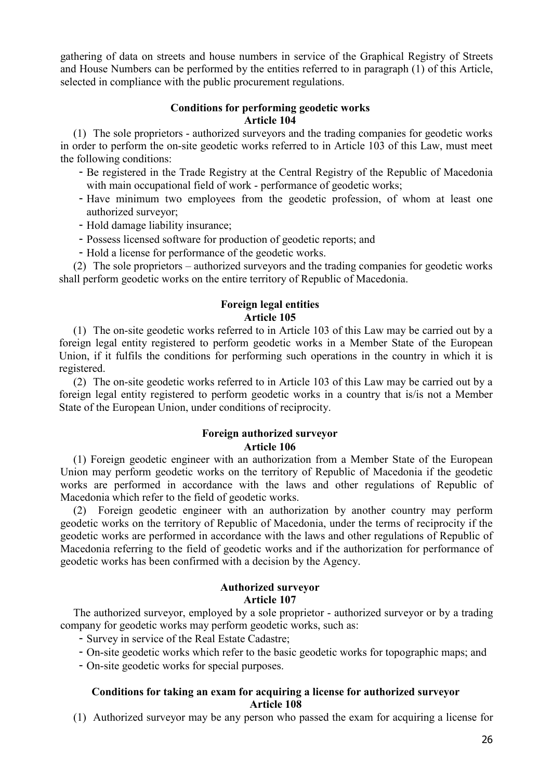gathering of data on streets and house numbers in service of the Graphical Registry of Streets and House Numbers can be performed by the entities referred to in paragraph (1) of this Article, selected in compliance with the public procurement regulations.

# **Conditions for performing geodetic works Article 104**

(1) The sole proprietors - authorized surveyors and the trading companies for geodetic works in order to perform the on-site geodetic works referred to in Article 103 of this Law, must meet the following conditions:

- Be registered in the Trade Registry at the Central Registry of the Republic of Macedonia with main occupational field of work - performance of geodetic works;
- Have minimum two employees from the geodetic profession, of whom at least one authorized surveyor;
- Hold damage liability insurance;
- Possess licensed software for production of geodetic reports; and
- Hold a license for performance of the geodetic works.

(2) The sole proprietors – authorized surveyors and the trading companies for geodetic works shall perform geodetic works on the entire territory of Republic of Macedonia.

# **Foreign legal entities Article 105**

(1) The on-site geodetic works referred to in Article 103 of this Law may be carried out by a foreign legal entity registered to perform geodetic works in a Member State of the European Union, if it fulfils the conditions for performing such operations in the country in which it is registered.

(2) The on-site geodetic works referred to in Article 103 of this Law may be carried out by a foreign legal entity registered to perform geodetic works in a country that is/is not a Member State of the European Union, under conditions of reciprocity.

# **Foreign authorized surveyor Article 106**

(1) Foreign geodetic engineer with an authorization from a Member State of the European Union may perform geodetic works on the territory of Republic of Macedonia if the geodetic works are performed in accordance with the laws and other regulations of Republic of Macedonia which refer to the field of geodetic works.

(2) Foreign geodetic engineer with an authorization by another country may perform geodetic works on the territory of Republic of Macedonia, under the terms of reciprocity if the geodetic works are performed in accordance with the laws and other regulations of Republic of Macedonia referring to the field of geodetic works and if the authorization for performance of geodetic works has been confirmed with a decision by the Agency.

# **Authorized surveyor Article 107**

The authorized surveyor, employed by a sole proprietor - authorized surveyor or by a trading company for geodetic works may perform geodetic works, such as:

- Survey in service of the Real Estate Cadastre;
- On-site geodetic works which refer to the basic geodetic works for topographic maps; and

- On-site geodetic works for special purposes.

# **Conditions for taking an exam for acquiring a license for authorized surveyor Article 108**

(1) Authorized surveyor may be any person who passed the exam for acquiring a license for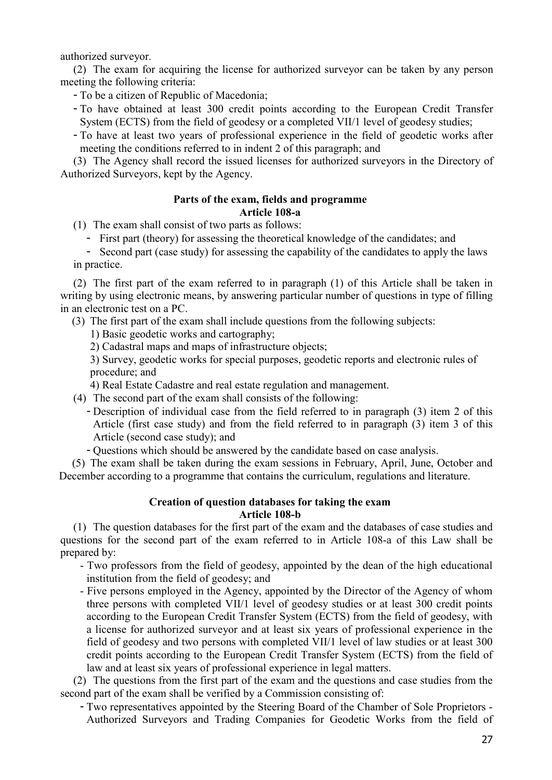authorized surveyor.

(2) The exam for acquiring the license for authorized surveyor can be taken by any person meeting the following criteria:

- To be a citizen of Republic of Macedonia;

- To have obtained at least 300 credit points according to the European Credit Transfer System (ECTS) from the field of geodesy or a completed VII/1 level of geodesy studies;
- To have at least two years of professional experience in the field of geodetic works after meeting the conditions referred to in indent 2 of this paragraph; and

(3) The Agency shall record the issued licenses for authorized surveyors in the Directory of Authorized Surveyors, kept by the Agency.

# **Parts of the exam, fields and programme Article 108-a**

(1) The exam shall consist of two parts as follows:

- First part (theory) for assessing the theoretical knowledge of the candidates; and

- Second part (case study) for assessing the capability of the candidates to apply the laws in practice.

(2) The first part of the exam referred to in paragraph (1) of this Article shall be taken in writing by using electronic means, by answering particular number of questions in type of filling in an electronic test on a PC.

(3) The first part of the exam shall include questions from the following subjects:

1) Basic geodetic works and cartography;

2) Cadastral maps and maps of infrastructure objects;

3) Survey, geodetic works for special purposes, geodetic reports and electronic rules of procedure; and

4) Real Estate Cadastre and real estate regulation and management.

- (4) The second part of the exam shall consists of the following:
	- Description of individual case from the field referred to in paragraph (3) item 2 of this Article (first case study) and from the field referred to in paragraph (3) item 3 of this Article (second case study); and
	- Questions which should be answered by the candidate based on case analysis.

(5) The exam shall be taken during the exam sessions in February, April, June, October and December according to a programme that contains the curriculum, regulations and literature.

# **Creation of question databases for taking the exam Article 108-b**

(1) The question databases for the first part of the exam and the databases of case studies and questions for the second part of the exam referred to in Article 108-a of this Law shall be prepared by:

- Two professors from the field of geodesy, appointed by the dean of the high educational institution from the field of geodesy; and
- Five persons employed in the Agency, appointed by the Director of the Agency of whom three persons with completed VII/1 level of geodesy studies or at least 300 credit points according to the European Credit Transfer System (ECTS) from the field of geodesy, with a license for authorized surveyor and at least six years of professional experience in the field of geodesy and two persons with completed VII/1 level of law studies or at least 300 credit points according to the European Credit Transfer System (ECTS) from the field of law and at least six years of professional experience in legal matters.

(2) The questions from the first part of the exam and the questions and case studies from the second part of the exam shall be verified by a Commission consisting of:

- Two representatives appointed by the Steering Board of the Chamber of Sole Proprietors - Authorized Surveyors and Trading Companies for Geodetic Works from the field of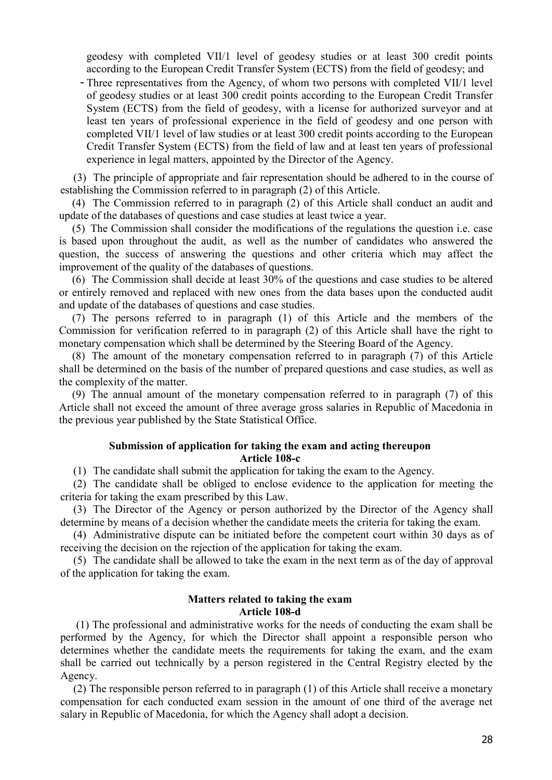geodesy with completed VII/1 level of geodesy studies or at least 300 credit points according to the European Credit Transfer System (ECTS) from the field of geodesy; and

- Three representatives from the Agency, of whom two persons with completed VII/1 level of geodesy studies or at least 300 credit points according to the European Credit Transfer System (ECTS) from the field of geodesy, with a license for authorized surveyor and at least ten years of professional experience in the field of geodesy and one person with completed VII/1 level of law studies or at least 300 credit points according to the European Credit Transfer System (ECTS) from the field of law and at least ten years of professional experience in legal matters, appointed by the Director of the Agency.

(3) The principle of appropriate and fair representation should be adhered to in the course of establishing the Commission referred to in paragraph (2) of this Article.

(4) The Commission referred to in paragraph (2) of this Article shall conduct an audit and update of the databases of questions and case studies at least twice a year.

(5) The Commission shall consider the modifications of the regulations the question i.e. case is based upon throughout the audit, as well as the number of candidates who answered the question, the success of answering the questions and other criteria which may affect the improvement of the quality of the databases of questions.

(6) The Commission shall decide at least 30% of the questions and case studies to be altered or entirely removed and replaced with new ones from the data bases upon the conducted audit and update of the databases of questions and case studies.

(7) The persons referred to in paragraph (1) of this Article and the members of the Commission for verification referred to in paragraph (2) of this Article shall have the right to monetary compensation which shall be determined by the Steering Board of the Agency.

(8) The amount of the monetary compensation referred to in paragraph (7) of this Article shall be determined on the basis of the number of prepared questions and case studies, as well as the complexity of the matter.

(9) The annual amount of the monetary compensation referred to in paragraph (7) of this Article shall not exceed the amount of three average gross salaries in Republic of Macedonia in the previous year published by the State Statistical Office.

# **Submission of application for taking the exam and acting thereupon Article 108-c**

(1) The candidate shall submit the application for taking the exam to the Agency.

(2) The candidate shall be obliged to enclose evidence to the application for meeting the criteria for taking the exam prescribed by this Law.

(3) The Director of the Agency or person authorized by the Director of the Agency shall determine by means of a decision whether the candidate meets the criteria for taking the exam.

(4) Administrative dispute can be initiated before the competent court within 30 days as of receiving the decision on the rejection of the application for taking the exam.

(5) The candidate shall be allowed to take the exam in the next term as of the day of approval of the application for taking the exam.

### **Matters related to taking the exam Article 108-d**

(1) The professional and administrative works for the needs of conducting the exam shall be performed by the Agency, for which the Director shall appoint a responsible person who determines whether the candidate meets the requirements for taking the exam, and the exam shall be carried out technically by a person registered in the Central Registry elected by the Agency.

(2) The responsible person referred to in paragraph (1) of this Article shall receive a monetary compensation for each conducted exam session in the amount of one third of the average net salary in Republic of Macedonia, for which the Agency shall adopt a decision.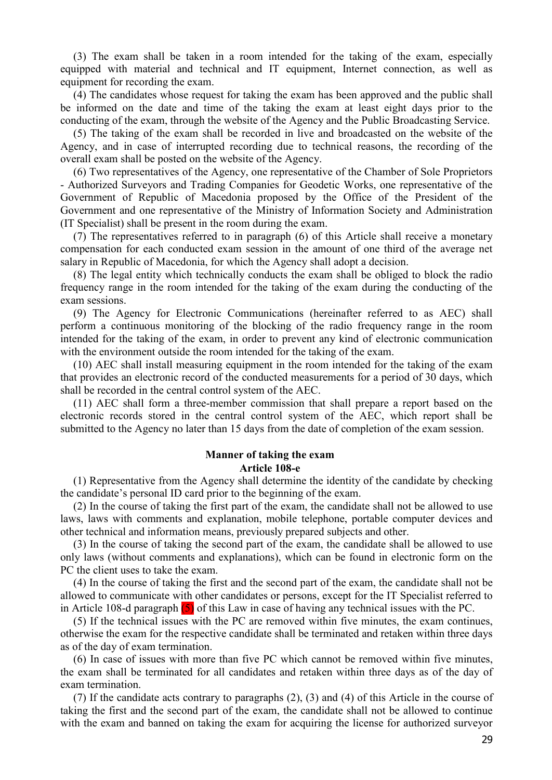(3) The exam shall be taken in a room intended for the taking of the exam, especially equipped with material and technical and IT equipment, Internet connection, as well as equipment for recording the exam.

(4) The candidates whose request for taking the exam has been approved and the public shall be informed on the date and time of the taking the exam at least eight days prior to the conducting of the exam, through the website of the Agency and the Public Broadcasting Service.

(5) The taking of the exam shall be recorded in live and broadcasted on the website of the Agency, and in case of interrupted recording due to technical reasons, the recording of the overall exam shall be posted on the website of the Agency.

(6) Two representatives of the Agency, one representative of the Chamber of Sole Proprietors - Authorized Surveyors and Trading Companies for Geodetic Works, one representative of the Government of Republic of Macedonia proposed by the Office of the President of the Government and one representative of the Ministry of Information Society and Administration (IT Specialist) shall be present in the room during the exam.

(7) The representatives referred to in paragraph (6) of this Article shall receive a monetary compensation for each conducted exam session in the amount of one third of the average net salary in Republic of Macedonia, for which the Agency shall adopt a decision.

(8) The legal entity which technically conducts the exam shall be obliged to block the radio frequency range in the room intended for the taking of the exam during the conducting of the exam sessions.

(9) The Agency for Electronic Communications (hereinafter referred to as AEC) shall perform a continuous monitoring of the blocking of the radio frequency range in the room intended for the taking of the exam, in order to prevent any kind of electronic communication with the environment outside the room intended for the taking of the exam.

(10) AEC shall install measuring equipment in the room intended for the taking of the exam that provides an electronic record of the conducted measurements for a period of 30 days, which shall be recorded in the central control system of the AEC.

(11) AEC shall form a three-member commission that shall prepare a report based on the electronic records stored in the central control system of the AEC, which report shall be submitted to the Agency no later than 15 days from the date of completion of the exam session.

#### **Manner of taking the exam Article 108-e**

(1) Representative from the Agency shall determine the identity of the candidate by checking the candidate's personal ID card prior to the beginning of the exam.

(2) In the course of taking the first part of the exam, the candidate shall not be allowed to use laws, laws with comments and explanation, mobile telephone, portable computer devices and other technical and information means, previously prepared subjects and other.

(3) In the course of taking the second part of the exam, the candidate shall be allowed to use only laws (without comments and explanations), which can be found in electronic form on the PC the client uses to take the exam.

(4) In the course of taking the first and the second part of the exam, the candidate shall not be allowed to communicate with other candidates or persons, except for the IT Specialist referred to in Article 108-d paragraph (5) of this Law in case of having any technical issues with the PC.

(5) If the technical issues with the PC are removed within five minutes, the exam continues, otherwise the exam for the respective candidate shall be terminated and retaken within three days as of the day of exam termination.

(6) In case of issues with more than five PC which cannot be removed within five minutes, the exam shall be terminated for all candidates and retaken within three days as of the day of exam termination.

(7) If the candidate acts contrary to paragraphs (2), (3) and (4) of this Article in the course of taking the first and the second part of the exam, the candidate shall not be allowed to continue with the exam and banned on taking the exam for acquiring the license for authorized surveyor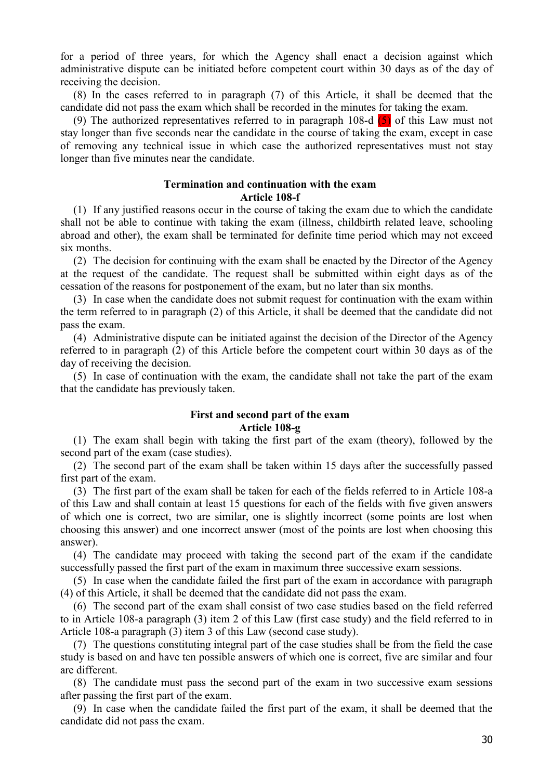for a period of three years, for which the Agency shall enact a decision against which administrative dispute can be initiated before competent court within 30 days as of the day of receiving the decision.

(8) In the cases referred to in paragraph (7) of this Article, it shall be deemed that the candidate did not pass the exam which shall be recorded in the minutes for taking the exam.

(9) The authorized representatives referred to in paragraph 108-d  $(5)$  of this Law must not stay longer than five seconds near the candidate in the course of taking the exam, except in case of removing any technical issue in which case the authorized representatives must not stay longer than five minutes near the candidate.

# **Termination and continuation with the exam Article 108-f**

(1) If any justified reasons occur in the course of taking the exam due to which the candidate shall not be able to continue with taking the exam (illness, childbirth related leave, schooling abroad and other), the exam shall be terminated for definite time period which may not exceed six months.

(2) The decision for continuing with the exam shall be enacted by the Director of the Agency at the request of the candidate. The request shall be submitted within eight days as of the cessation of the reasons for postponement of the exam, but no later than six months.

(3) In case when the candidate does not submit request for continuation with the exam within the term referred to in paragraph (2) of this Article, it shall be deemed that the candidate did not pass the exam.

(4) Administrative dispute can be initiated against the decision of the Director of the Agency referred to in paragraph (2) of this Article before the competent court within 30 days as of the day of receiving the decision.

(5) In case of continuation with the exam, the candidate shall not take the part of the exam that the candidate has previously taken.

### **First and second part of the exam Article 108-g**

(1) The exam shall begin with taking the first part of the exam (theory), followed by the second part of the exam (case studies).

(2) The second part of the exam shall be taken within 15 days after the successfully passed first part of the exam.

(3) The first part of the exam shall be taken for each of the fields referred to in Article 108-a of this Law and shall contain at least 15 questions for each of the fields with five given answers of which one is correct, two are similar, one is slightly incorrect (some points are lost when choosing this answer) and one incorrect answer (most of the points are lost when choosing this answer).

(4) The candidate may proceed with taking the second part of the exam if the candidate successfully passed the first part of the exam in maximum three successive exam sessions.

(5) In case when the candidate failed the first part of the exam in accordance with paragraph (4) of this Article, it shall be deemed that the candidate did not pass the exam.

(6) The second part of the exam shall consist of two case studies based on the field referred to in Article 108-a paragraph (3) item 2 of this Law (first case study) and the field referred to in Article 108-a paragraph (3) item 3 of this Law (second case study).

(7) The questions constituting integral part of the case studies shall be from the field the case study is based on and have ten possible answers of which one is correct, five are similar and four are different.

(8) The candidate must pass the second part of the exam in two successive exam sessions after passing the first part of the exam.

(9) In case when the candidate failed the first part of the exam, it shall be deemed that the candidate did not pass the exam.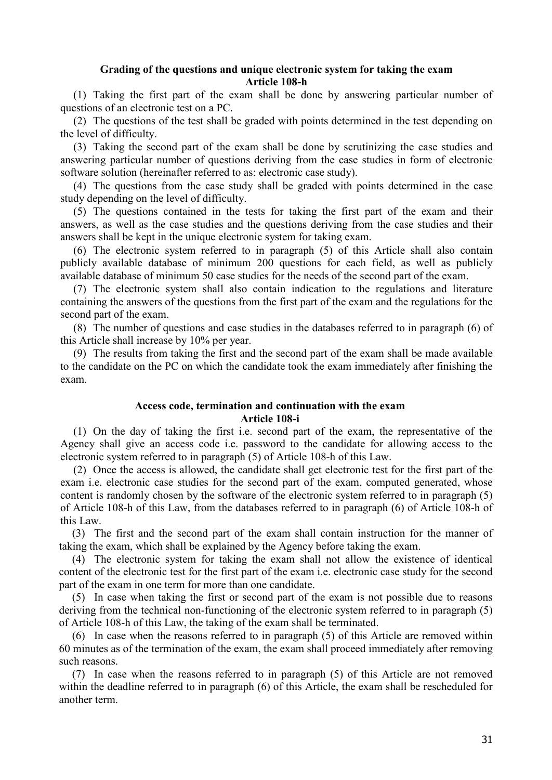# **Grading of the questions and unique electronic system for taking the exam Article 108-h**

(1) Taking the first part of the exam shall be done by answering particular number of questions of an electronic test on a PC.

(2) The questions of the test shall be graded with points determined in the test depending on the level of difficulty.

(3) Taking the second part of the exam shall be done by scrutinizing the case studies and answering particular number of questions deriving from the case studies in form of electronic software solution (hereinafter referred to as: electronic case study).

(4) The questions from the case study shall be graded with points determined in the case study depending on the level of difficulty.

(5) The questions contained in the tests for taking the first part of the exam and their answers, as well as the case studies and the questions deriving from the case studies and their answers shall be kept in the unique electronic system for taking exam.

(6) The electronic system referred to in paragraph (5) of this Article shall also contain publicly available database of minimum 200 questions for each field, as well as publicly available database of minimum 50 case studies for the needs of the second part of the exam.

(7) The electronic system shall also contain indication to the regulations and literature containing the answers of the questions from the first part of the exam and the regulations for the second part of the exam.

(8) The number of questions and case studies in the databases referred to in paragraph (6) of this Article shall increase by 10% per year.

(9) The results from taking the first and the second part of the exam shall be made available to the candidate on the PC on which the candidate took the exam immediately after finishing the exam.

### **Access code, termination and continuation with the exam Article 108-i**

(1) On the day of taking the first i.e. second part of the exam, the representative of the Agency shall give an access code i.e. password to the candidate for allowing access to the electronic system referred to in paragraph (5) of Article 108-h of this Law.

(2) Once the access is allowed, the candidate shall get electronic test for the first part of the exam i.e. electronic case studies for the second part of the exam, computed generated, whose content is randomly chosen by the software of the electronic system referred to in paragraph (5) of Article 108-h of this Law, from the databases referred to in paragraph (6) of Article 108-h of this Law.

(3) The first and the second part of the exam shall contain instruction for the manner of taking the exam, which shall be explained by the Agency before taking the exam.

(4) The electronic system for taking the exam shall not allow the existence of identical content of the electronic test for the first part of the exam i.e. electronic case study for the second part of the exam in one term for more than one candidate.

(5) In case when taking the first or second part of the exam is not possible due to reasons deriving from the technical non-functioning of the electronic system referred to in paragraph (5) of Article 108-h of this Law, the taking of the exam shall be terminated.

(6) In case when the reasons referred to in paragraph (5) of this Article are removed within 60 minutes as of the termination of the exam, the exam shall proceed immediately after removing such reasons.

(7) In case when the reasons referred to in paragraph (5) of this Article are not removed within the deadline referred to in paragraph (6) of this Article, the exam shall be rescheduled for another term.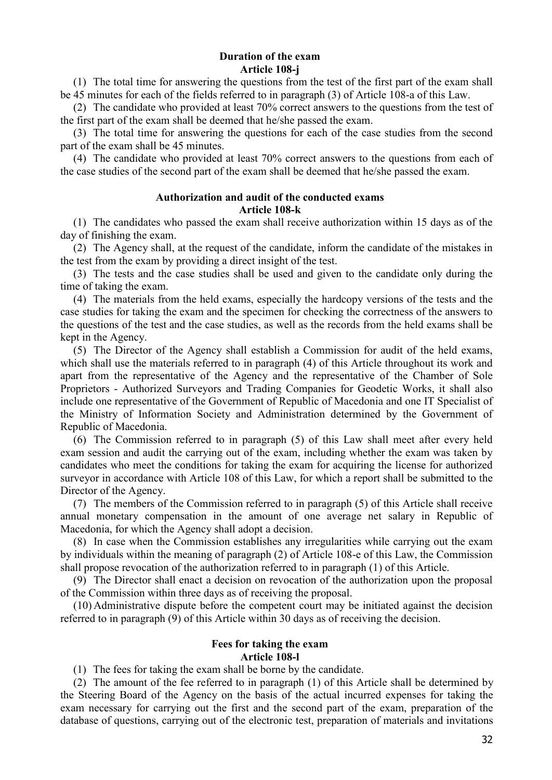### **Duration of the exam Article 108-j**

(1) The total time for answering the questions from the test of the first part of the exam shall be 45 minutes for each of the fields referred to in paragraph (3) of Article 108-a of this Law.

(2) The candidate who provided at least 70% correct answers to the questions from the test of the first part of the exam shall be deemed that he/she passed the exam.

(3) The total time for answering the questions for each of the case studies from the second part of the exam shall be 45 minutes.

(4) The candidate who provided at least 70% correct answers to the questions from each of the case studies of the second part of the exam shall be deemed that he/she passed the exam.

# **Authorization and audit of the conducted exams Article 108-k**

(1) The candidates who passed the exam shall receive authorization within 15 days as of the day of finishing the exam.

(2) The Agency shall, at the request of the candidate, inform the candidate of the mistakes in the test from the exam by providing a direct insight of the test.

(3) The tests and the case studies shall be used and given to the candidate only during the time of taking the exam.

(4) The materials from the held exams, especially the hardcopy versions of the tests and the case studies for taking the exam and the specimen for checking the correctness of the answers to the questions of the test and the case studies, as well as the records from the held exams shall be kept in the Agency.

(5) The Director of the Agency shall establish a Commission for audit of the held exams, which shall use the materials referred to in paragraph (4) of this Article throughout its work and apart from the representative of the Agency and the representative of the Chamber of Sole Proprietors - Authorized Surveyors and Trading Companies for Geodetic Works, it shall also include one representative of the Government of Republic of Macedonia and one IT Specialist of the Ministry of Information Society and Administration determined by the Government of Republic of Macedonia.

(6) The Commission referred to in paragraph (5) of this Law shall meet after every held exam session and audit the carrying out of the exam, including whether the exam was taken by candidates who meet the conditions for taking the exam for acquiring the license for authorized surveyor in accordance with Article 108 of this Law, for which a report shall be submitted to the Director of the Agency.

(7) The members of the Commission referred to in paragraph (5) of this Article shall receive annual monetary compensation in the amount of one average net salary in Republic of Macedonia, for which the Agency shall adopt a decision.

(8) In case when the Commission establishes any irregularities while carrying out the exam by individuals within the meaning of paragraph (2) of Article 108-e of this Law, the Commission shall propose revocation of the authorization referred to in paragraph (1) of this Article.

(9) The Director shall enact a decision on revocation of the authorization upon the proposal of the Commission within three days as of receiving the proposal.

(10) Administrative dispute before the competent court may be initiated against the decision referred to in paragraph (9) of this Article within 30 days as of receiving the decision.

### **Fees for taking the exam Article 108-l**

(1) The fees for taking the exam shall be borne by the candidate.

(2) The amount of the fee referred to in paragraph (1) of this Article shall be determined by the Steering Board of the Agency on the basis of the actual incurred expenses for taking the exam necessary for carrying out the first and the second part of the exam, preparation of the database of questions, carrying out of the electronic test, preparation of materials and invitations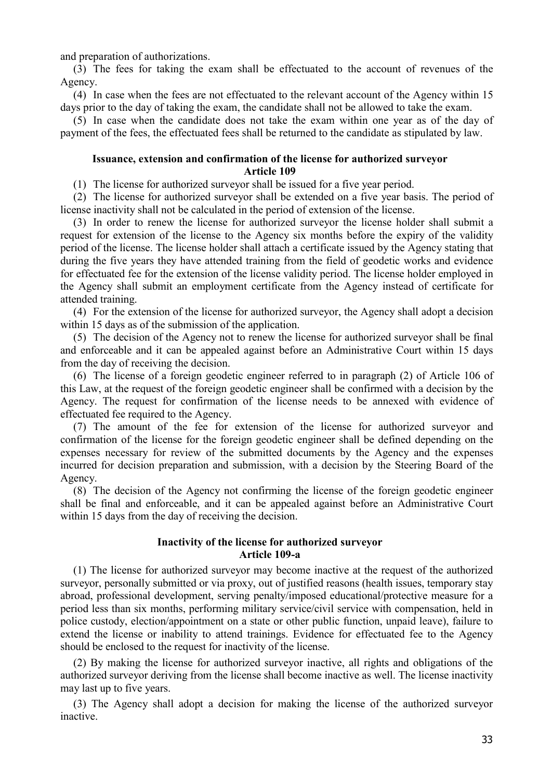and preparation of authorizations.

(3) The fees for taking the exam shall be effectuated to the account of revenues of the Agency.

(4) In case when the fees are not effectuated to the relevant account of the Agency within 15 days prior to the day of taking the exam, the candidate shall not be allowed to take the exam.

(5) In case when the candidate does not take the exam within one year as of the day of payment of the fees, the effectuated fees shall be returned to the candidate as stipulated by law.

# **Issuance, extension and confirmation of the license for authorized surveyor Article 109**

(1) The license for authorized surveyor shall be issued for a five year period.

(2) The license for authorized surveyor shall be extended on a five year basis. The period of license inactivity shall not be calculated in the period of extension of the license.

(3) In order to renew the license for authorized surveyor the license holder shall submit a request for extension of the license to the Agency six months before the expiry of the validity period of the license. The license holder shall attach a certificate issued by the Agency stating that during the five years they have attended training from the field of geodetic works and evidence for effectuated fee for the extension of the license validity period. The license holder employed in the Agency shall submit an employment certificate from the Agency instead of certificate for attended training.

(4) For the extension of the license for authorized surveyor, the Agency shall adopt a decision within 15 days as of the submission of the application.

(5) The decision of the Agency not to renew the license for authorized surveyor shall be final and enforceable and it can be appealed against before an Administrative Court within 15 days from the day of receiving the decision.

(6) The license of a foreign geodetic engineer referred to in paragraph (2) of Article 106 of this Law, at the request of the foreign geodetic engineer shall be confirmed with a decision by the Agency. The request for confirmation of the license needs to be annexed with evidence of effectuated fee required to the Agency.

(7) The amount of the fee for extension of the license for authorized surveyor and confirmation of the license for the foreign geodetic engineer shall be defined depending on the expenses necessary for review of the submitted documents by the Agency and the expenses incurred for decision preparation and submission, with a decision by the Steering Board of the Agency.

(8) The decision of the Agency not confirming the license of the foreign geodetic engineer shall be final and enforceable, and it can be appealed against before an Administrative Court within 15 days from the day of receiving the decision.

# **Inactivity of the license for authorized surveyor Article 109-a**

(1) The license for authorized surveyor may become inactive at the request of the authorized surveyor, personally submitted or via proxy, out of justified reasons (health issues, temporary stay abroad, professional development, serving penalty/imposed educational/protective measure for a period less than six months, performing military service/civil service with compensation, held in police custody, election/appointment on a state or other public function, unpaid leave), failure to extend the license or inability to attend trainings. Evidence for effectuated fee to the Agency should be enclosed to the request for inactivity of the license.

(2) By making the license for authorized surveyor inactive, all rights and obligations of the authorized surveyor deriving from the license shall become inactive as well. The license inactivity may last up to five years.

(3) The Agency shall adopt a decision for making the license of the authorized surveyor inactive.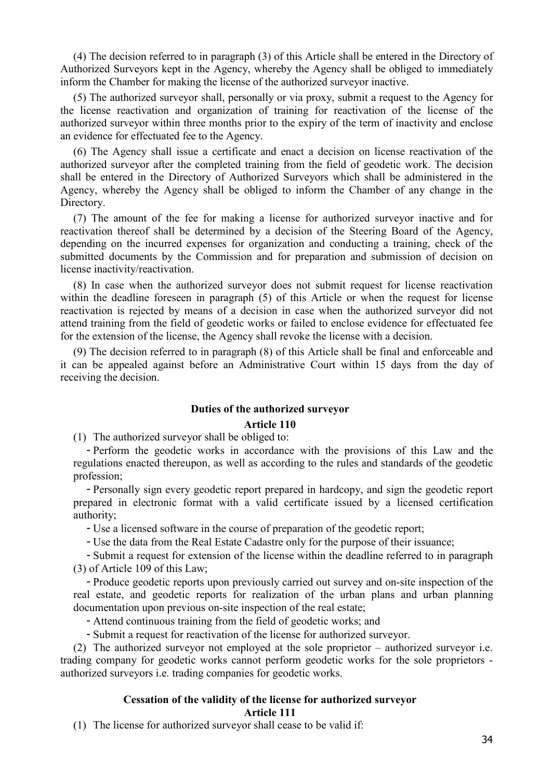(4) The decision referred to in paragraph (3) of this Article shall be entered in the Directory of Authorized Surveyors kept in the Agency, whereby the Agency shall be obliged to immediately inform the Chamber for making the license of the authorized surveyor inactive.

(5) The authorized surveyor shall, personally or via proxy, submit a request to the Agency for the license reactivation and organization of training for reactivation of the license of the authorized surveyor within three months prior to the expiry of the term of inactivity and enclose an evidence for effectuated fee to the Agency.

(6) The Agency shall issue a certificate and enact a decision on license reactivation of the authorized surveyor after the completed training from the field of geodetic work. The decision shall be entered in the Directory of Authorized Surveyors which shall be administered in the Agency, whereby the Agency shall be obliged to inform the Chamber of any change in the Directory.

(7) The amount of the fee for making a license for authorized surveyor inactive and for reactivation thereof shall be determined by a decision of the Steering Board of the Agency, depending on the incurred expenses for organization and conducting a training, check of the submitted documents by the Commission and for preparation and submission of decision on license inactivity/reactivation.

(8) In case when the authorized surveyor does not submit request for license reactivation within the deadline foreseen in paragraph (5) of this Article or when the request for license reactivation is rejected by means of a decision in case when the authorized surveyor did not attend training from the field of geodetic works or failed to enclose evidence for effectuated fee for the extension of the license, the Agency shall revoke the license with a decision.

(9) The decision referred to in paragraph (8) of this Article shall be final and enforceable and it can be appealed against before an Administrative Court within 15 days from the day of receiving the decision.

### **Duties of the authorized surveyor**

### **Article 110**

(1) The authorized surveyor shall be obliged to:

- Perform the geodetic works in accordance with the provisions of this Law and the regulations enacted thereupon, as well as according to the rules and standards of the geodetic profession;

- Personally sign every geodetic report prepared in hardcopy, and sign the geodetic report prepared in electronic format with a valid certificate issued by a licensed certification authority;

- Use a licensed software in the course of preparation of the geodetic report;

- Use the data from the Real Estate Cadastre only for the purpose of their issuance;

- Submit a request for extension of the license within the deadline referred to in paragraph (3) of Article 109 of this Law;

- Produce geodetic reports upon previously carried out survey and on-site inspection of the real estate, and geodetic reports for realization of the urban plans and urban planning documentation upon previous on-site inspection of the real estate;

- Attend continuous training from the field of geodetic works; and

- Submit a request for reactivation of the license for authorized surveyor.

(2) The authorized surveyor not employed at the sole proprietor – authorized surveyor i.e. trading company for geodetic works cannot perform geodetic works for the sole proprietors authorized surveyors i.e. trading companies for geodetic works.

### **Cessation of the validity of the license for authorized surveyor Article 111**

(1) The license for authorized surveyor shall cease to be valid if: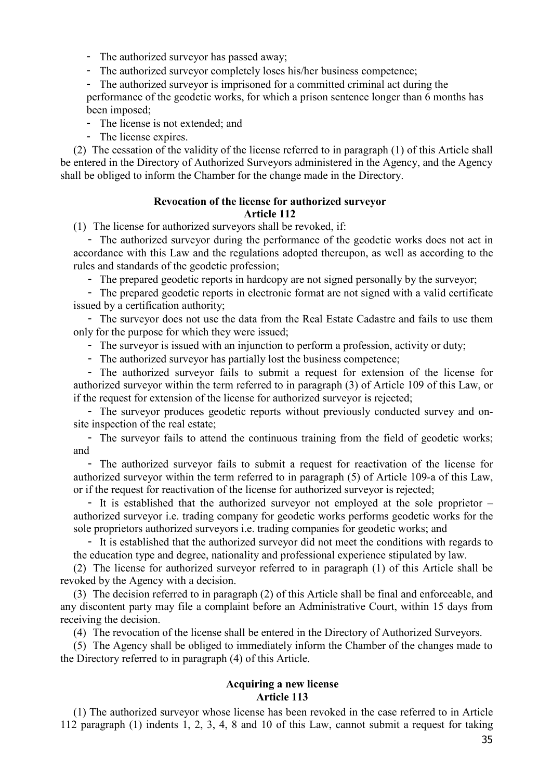- The authorized surveyor has passed away;

- The authorized surveyor completely loses his/her business competence;

- The authorized surveyor is imprisoned for a committed criminal act during the

performance of the geodetic works, for which a prison sentence longer than 6 months has been imposed;

- The license is not extended; and

- The license expires.

(2) The cessation of the validity of the license referred to in paragraph (1) of this Article shall be entered in the Directory of Authorized Surveyors administered in the Agency, and the Agency shall be obliged to inform the Chamber for the change made in the Directory.

# **Revocation of the license for authorized surveyor Article 112**

(1) The license for authorized surveyors shall be revoked, if:

- The authorized surveyor during the performance of the geodetic works does not act in accordance with this Law and the regulations adopted thereupon, as well as according to the rules and standards of the geodetic profession;

- The prepared geodetic reports in hardcopy are not signed personally by the surveyor;

- The prepared geodetic reports in electronic format are not signed with a valid certificate issued by a certification authority;

- The surveyor does not use the data from the Real Estate Cadastre and fails to use them only for the purpose for which they were issued;

- The surveyor is issued with an injunction to perform a profession, activity or duty;

- The authorized surveyor has partially lost the business competence;

- The authorized surveyor fails to submit a request for extension of the license for authorized surveyor within the term referred to in paragraph (3) of Article 109 of this Law, or if the request for extension of the license for authorized surveyor is rejected;

- The surveyor produces geodetic reports without previously conducted survey and onsite inspection of the real estate;

- The surveyor fails to attend the continuous training from the field of geodetic works; and

- The authorized surveyor fails to submit a request for reactivation of the license for authorized surveyor within the term referred to in paragraph (5) of Article 109-a of this Law, or if the request for reactivation of the license for authorized surveyor is rejected;

- It is established that the authorized surveyor not employed at the sole proprietor – authorized surveyor i.e. trading company for geodetic works performs geodetic works for the sole proprietors authorized surveyors i.e. trading companies for geodetic works; and

- It is established that the authorized surveyor did not meet the conditions with regards to the education type and degree, nationality and professional experience stipulated by law.

(2) The license for authorized surveyor referred to in paragraph (1) of this Article shall be revoked by the Agency with a decision.

(3) The decision referred to in paragraph (2) of this Article shall be final and enforceable, and any discontent party may file a complaint before an Administrative Court, within 15 days from receiving the decision.

(4) The revocation of the license shall be entered in the Directory of Authorized Surveyors.

(5) The Agency shall be obliged to immediately inform the Chamber of the changes made to the Directory referred to in paragraph (4) of this Article.

# **Acquiring a new license Article 113**

(1) The authorized surveyor whose license has been revoked in the case referred to in Article 112 paragraph (1) indents 1, 2, 3, 4, 8 and 10 of this Law, cannot submit a request for taking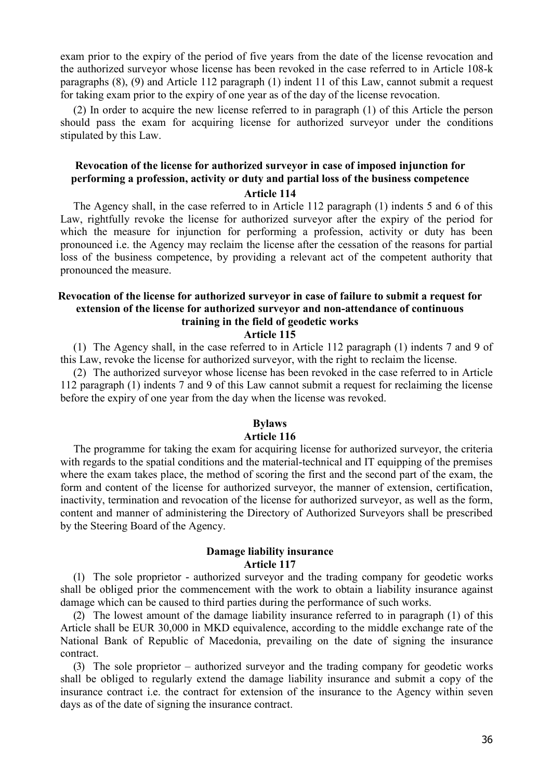exam prior to the expiry of the period of five years from the date of the license revocation and the authorized surveyor whose license has been revoked in the case referred to in Article 108-k paragraphs (8), (9) and Article 112 paragraph (1) indent 11 of this Law, cannot submit a request for taking exam prior to the expiry of one year as of the day of the license revocation.

(2) In order to acquire the new license referred to in paragraph (1) of this Article the person should pass the exam for acquiring license for authorized surveyor under the conditions stipulated by this Law.

# **Revocation of the license for authorized surveyor in case of imposed injunction for performing a profession, activity or duty and partial loss of the business competence**

**Article 114**

The Agency shall, in the case referred to in Article 112 paragraph (1) indents 5 and 6 of this Law, rightfully revoke the license for authorized surveyor after the expiry of the period for which the measure for injunction for performing a profession, activity or duty has been pronounced i.e. the Agency may reclaim the license after the cessation of the reasons for partial loss of the business competence, by providing a relevant act of the competent authority that pronounced the measure.

### **Revocation of the license for authorized surveyor in case of failure to submit a request for extension of the license for authorized surveyor and non-attendance of continuous training in the field of geodetic works Article 115**

(1) The Agency shall, in the case referred to in Article 112 paragraph (1) indents 7 and 9 of this Law, revoke the license for authorized surveyor, with the right to reclaim the license.

(2) The authorized surveyor whose license has been revoked in the case referred to in Article 112 paragraph (1) indents 7 and 9 of this Law cannot submit a request for reclaiming the license before the expiry of one year from the day when the license was revoked.

### **Bylaws Article 116**

The programme for taking the exam for acquiring license for authorized surveyor, the criteria with regards to the spatial conditions and the material-technical and IT equipping of the premises where the exam takes place, the method of scoring the first and the second part of the exam, the form and content of the license for authorized surveyor, the manner of extension, certification, inactivity, termination and revocation of the license for authorized surveyor, as well as the form, content and manner of administering the Directory of Authorized Surveyors shall be prescribed by the Steering Board of the Agency.

### **Damage liability insurance Article 117**

(1) The sole proprietor - authorized surveyor and the trading company for geodetic works shall be obliged prior the commencement with the work to obtain a liability insurance against damage which can be caused to third parties during the performance of such works.

(2) The lowest amount of the damage liability insurance referred to in paragraph (1) of this Article shall be EUR 30,000 in MKD equivalence, according to the middle exchange rate of the National Bank of Republic of Macedonia, prevailing on the date of signing the insurance contract.

(3) The sole proprietor – authorized surveyor and the trading company for geodetic works shall be obliged to regularly extend the damage liability insurance and submit a copy of the insurance contract i.e. the contract for extension of the insurance to the Agency within seven days as of the date of signing the insurance contract.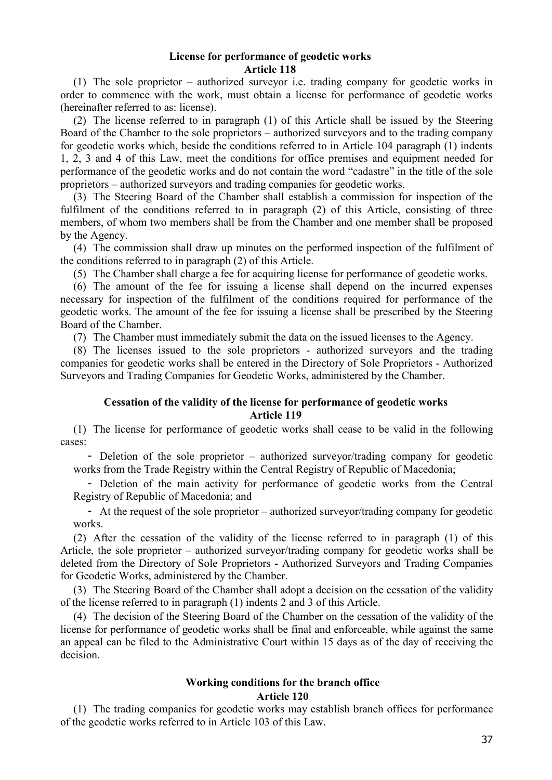#### **License for performance of geodetic works Article 118**

(1) The sole proprietor – authorized surveyor i.e. trading company for geodetic works in order to commence with the work, must obtain a license for performance of geodetic works (hereinafter referred to as: license).

(2) The license referred to in paragraph (1) of this Article shall be issued by the Steering Board of the Chamber to the sole proprietors – authorized surveyors and to the trading company for geodetic works which, beside the conditions referred to in Article 104 paragraph (1) indents 1, 2, 3 and 4 of this Law, meet the conditions for office premises and equipment needed for performance of the geodetic works and do not contain the word "cadastre" in the title of the sole proprietors – authorized surveyors and trading companies for geodetic works.

(3) The Steering Board of the Chamber shall establish a commission for inspection of the fulfilment of the conditions referred to in paragraph (2) of this Article, consisting of three members, of whom two members shall be from the Chamber and one member shall be proposed by the Agency.

(4) The commission shall draw up minutes on the performed inspection of the fulfilment of the conditions referred to in paragraph (2) of this Article.

(5) The Chamber shall charge a fee for acquiring license for performance of geodetic works.

(6) The amount of the fee for issuing a license shall depend on the incurred expenses necessary for inspection of the fulfilment of the conditions required for performance of the geodetic works. The amount of the fee for issuing a license shall be prescribed by the Steering Board of the Chamber.

(7) The Chamber must immediately submit the data on the issued licenses to the Agency.

(8) The licenses issued to the sole proprietors - authorized surveyors and the trading companies for geodetic works shall be entered in the Directory of Sole Proprietors - Authorized Surveyors and Trading Companies for Geodetic Works, administered by the Chamber.

## **Cessation of the validity of the license for performance of geodetic works Article 119**

(1) The license for performance of geodetic works shall cease to be valid in the following cases:

- Deletion of the sole proprietor – authorized surveyor/trading company for geodetic works from the Trade Registry within the Central Registry of Republic of Macedonia;

- Deletion of the main activity for performance of geodetic works from the Central Registry of Republic of Macedonia; and

- At the request of the sole proprietor – authorized surveyor/trading company for geodetic works.

(2) After the cessation of the validity of the license referred to in paragraph (1) of this Article, the sole proprietor – authorized surveyor/trading company for geodetic works shall be deleted from the Directory of Sole Proprietors - Authorized Surveyors and Trading Companies for Geodetic Works, administered by the Chamber.

(3) The Steering Board of the Chamber shall adopt a decision on the cessation of the validity of the license referred to in paragraph (1) indents 2 and 3 of this Article.

(4) The decision of the Steering Board of the Chamber on the cessation of the validity of the license for performance of geodetic works shall be final and enforceable, while against the same an appeal can be filed to the Administrative Court within 15 days as of the day of receiving the decision.

# **Working conditions for the branch office**

#### **Article 120**

(1) The trading companies for geodetic works may establish branch offices for performance of the geodetic works referred to in Article 103 of this Law.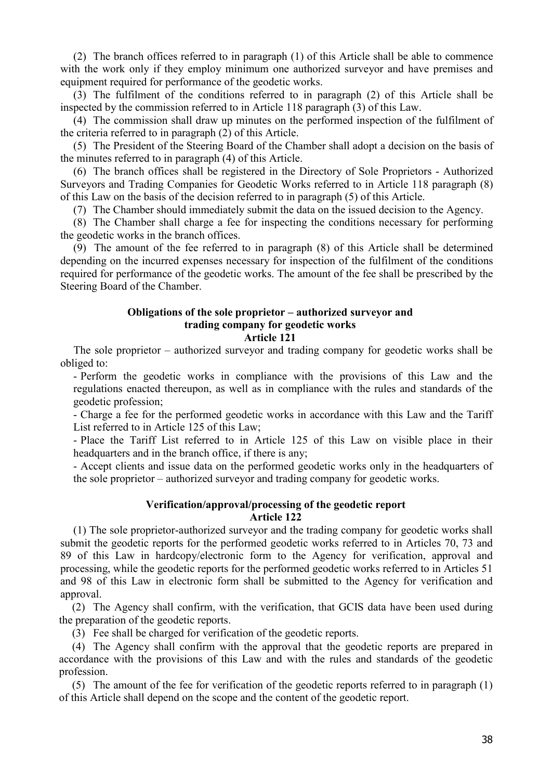(2) The branch offices referred to in paragraph (1) of this Article shall be able to commence with the work only if they employ minimum one authorized surveyor and have premises and equipment required for performance of the geodetic works.

(3) The fulfilment of the conditions referred to in paragraph (2) of this Article shall be inspected by the commission referred to in Article 118 paragraph (3) of this Law.

(4) The commission shall draw up minutes on the performed inspection of the fulfilment of the criteria referred to in paragraph (2) of this Article.

(5) The President of the Steering Board of the Chamber shall adopt a decision on the basis of the minutes referred to in paragraph (4) of this Article.

(6) The branch offices shall be registered in the Directory of Sole Proprietors - Authorized Surveyors and Trading Companies for Geodetic Works referred to in Article 118 paragraph (8) of this Law on the basis of the decision referred to in paragraph (5) of this Article.

(7) The Chamber should immediately submit the data on the issued decision to the Agency.

(8) The Chamber shall charge a fee for inspecting the conditions necessary for performing the geodetic works in the branch offices.

(9) The amount of the fee referred to in paragraph (8) of this Article shall be determined depending on the incurred expenses necessary for inspection of the fulfilment of the conditions required for performance of the geodetic works. The amount of the fee shall be prescribed by the Steering Board of the Chamber.

#### **Obligations of the sole proprietor – authorized surveyor and trading company for geodetic works Article 121**

The sole proprietor – authorized surveyor and trading company for geodetic works shall be obliged to:

- Perform the geodetic works in compliance with the provisions of this Law and the regulations enacted thereupon, as well as in compliance with the rules and standards of the geodetic profession;

- Charge a fee for the performed geodetic works in accordance with this Law and the Tariff List referred to in Article 125 of this Law;

- Place the Tariff List referred to in Article 125 of this Law on visible place in their headquarters and in the branch office, if there is any;

- Accept clients and issue data on the performed geodetic works only in the headquarters of the sole proprietor – authorized surveyor and trading company for geodetic works.

#### **Verification/approval/processing of the geodetic report Article 122**

(1) The sole proprietor-authorized surveyor and the trading company for geodetic works shall submit the geodetic reports for the performed geodetic works referred to in Articles 70, 73 and 89 of this Law in hardcopy/electronic form to the Agency for verification, approval and processing, while the geodetic reports for the performed geodetic works referred to in Articles 51 and 98 of this Law in electronic form shall be submitted to the Agency for verification and approval.

(2) The Agency shall confirm, with the verification, that GCIS data have been used during the preparation of the geodetic reports.

(3) Fee shall be charged for verification of the geodetic reports.

(4) The Agency shall confirm with the approval that the geodetic reports are prepared in accordance with the provisions of this Law and with the rules and standards of the geodetic profession.

(5) The amount of the fee for verification of the geodetic reports referred to in paragraph (1) of this Article shall depend on the scope and the content of the geodetic report.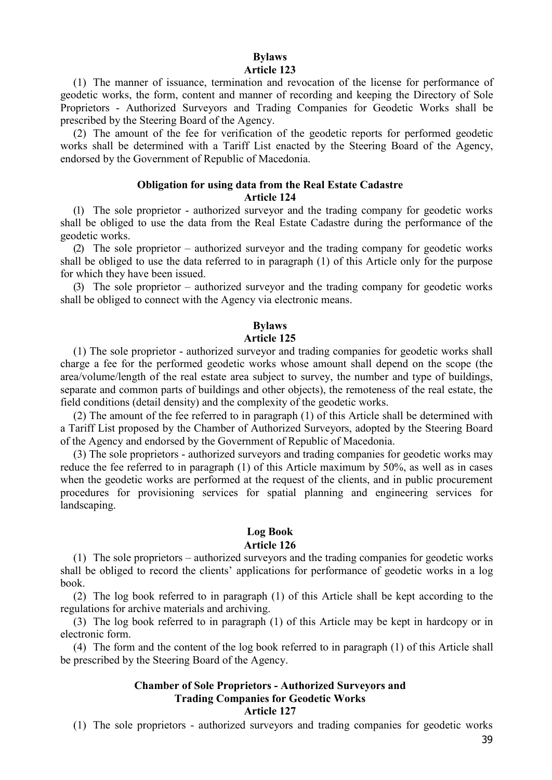#### **Bylaws Article 123**

(1) The manner of issuance, termination and revocation of the license for performance of geodetic works, the form, content and manner of recording and keeping the Directory of Sole Proprietors - Authorized Surveyors and Trading Companies for Geodetic Works shall be prescribed by the Steering Board of the Agency.

(2) The amount of the fee for verification of the geodetic reports for performed geodetic works shall be determined with a Tariff List enacted by the Steering Board of the Agency, endorsed by the Government of Republic of Macedonia.

#### **Obligation for using data from the Real Estate Cadastre**

#### **Article 124**

(1) The sole proprietor - authorized surveyor and the trading company for geodetic works shall be obliged to use the data from the Real Estate Cadastre during the performance of the geodetic works.

(2) The sole proprietor – authorized surveyor and the trading company for geodetic works shall be obliged to use the data referred to in paragraph (1) of this Article only for the purpose for which they have been issued.

(3) The sole proprietor – authorized surveyor and the trading company for geodetic works shall be obliged to connect with the Agency via electronic means.

## **Bylaws**

## **Article 125**

(1) The sole proprietor - authorized surveyor and trading companies for geodetic works shall charge a fee for the performed geodetic works whose amount shall depend on the scope (the area/volume/length of the real estate area subject to survey, the number and type of buildings, separate and common parts of buildings and other objects), the remoteness of the real estate, the field conditions (detail density) and the complexity of the geodetic works.

(2) The amount of the fee referred to in paragraph (1) of this Article shall be determined with a Tariff List proposed by the Chamber of Authorized Surveyors, adopted by the Steering Board of the Agency and endorsed by the Government of Republic of Macedonia.

(3) The sole proprietors - authorized surveyors and trading companies for geodetic works may reduce the fee referred to in paragraph (1) of this Article maximum by 50%, as well as in cases when the geodetic works are performed at the request of the clients, and in public procurement procedures for provisioning services for spatial planning and engineering services for landscaping.

# **Log Book**

## **Article 126**

(1) The sole proprietors – authorized surveyors and the trading companies for geodetic works shall be obliged to record the clients' applications for performance of geodetic works in a log book.

(2) The log book referred to in paragraph (1) of this Article shall be kept according to the regulations for archive materials and archiving.

(3) The log book referred to in paragraph (1) of this Article may be kept in hardcopy or in electronic form.

(4) The form and the content of the log book referred to in paragraph (1) of this Article shall be prescribed by the Steering Board of the Agency.

#### **Chamber of Sole Proprietors - Authorized Surveyors and Trading Companies for Geodetic Works Article 127**

(1) The sole proprietors - authorized surveyors and trading companies for geodetic works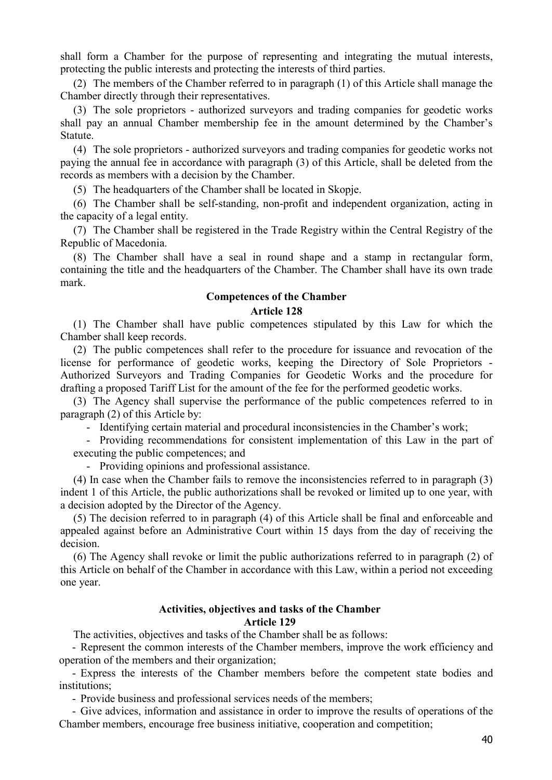shall form a Chamber for the purpose of representing and integrating the mutual interests, protecting the public interests and protecting the interests of third parties.

(2) The members of the Chamber referred to in paragraph (1) of this Article shall manage the Chamber directly through their representatives.

(3) The sole proprietors - authorized surveyors and trading companies for geodetic works shall pay an annual Chamber membership fee in the amount determined by the Chamber's Statute.

(4) The sole proprietors - authorized surveyors and trading companies for geodetic works not paying the annual fee in accordance with paragraph (3) of this Article, shall be deleted from the records as members with a decision by the Chamber.

(5) The headquarters of the Chamber shall be located in Skopje.

(6) The Chamber shall be self-standing, non-profit and independent organization, acting in the capacity of a legal entity.

(7) The Chamber shall be registered in the Trade Registry within the Central Registry of the Republic of Macedonia.

(8) The Chamber shall have a seal in round shape and a stamp in rectangular form, containing the title and the headquarters of the Chamber. The Chamber shall have its own trade mark.

## **Competences of the Chamber Article 128**

(1) The Chamber shall have public competences stipulated by this Law for which the Chamber shall keep records.

(2) The public competences shall refer to the procedure for issuance and revocation of the license for performance of geodetic works, keeping the Directory of Sole Proprietors - Authorized Surveyors and Trading Companies for Geodetic Works and the procedure for drafting a proposed Tariff List for the amount of the fee for the performed geodetic works.

(3) The Agency shall supervise the performance of the public competences referred to in paragraph (2) of this Article by:

- Identifying certain material and procedural inconsistencies in the Chamber's work;

- Providing recommendations for consistent implementation of this Law in the part of executing the public competences; and

- Providing opinions and professional assistance.

(4) In case when the Chamber fails to remove the inconsistencies referred to in paragraph (3) indent 1 of this Article, the public authorizations shall be revoked or limited up to one year, with a decision adopted by the Director of the Agency.

(5) The decision referred to in paragraph (4) of this Article shall be final and enforceable and appealed against before an Administrative Court within 15 days from the day of receiving the decision.

(6) The Agency shall revoke or limit the public authorizations referred to in paragraph (2) of this Article on behalf of the Chamber in accordance with this Law, within a period not exceeding one year.

#### **Activities, objectives and tasks of the Chamber Article 129**

The activities, objectives and tasks of the Chamber shall be as follows:

- Represent the common interests of the Chamber members, improve the work efficiency and operation of the members and their organization;

- Express the interests of the Chamber members before the competent state bodies and institutions;

- Provide business and professional services needs of the members;

- Give advices, information and assistance in order to improve the results of operations of the Chamber members, encourage free business initiative, cooperation and competition;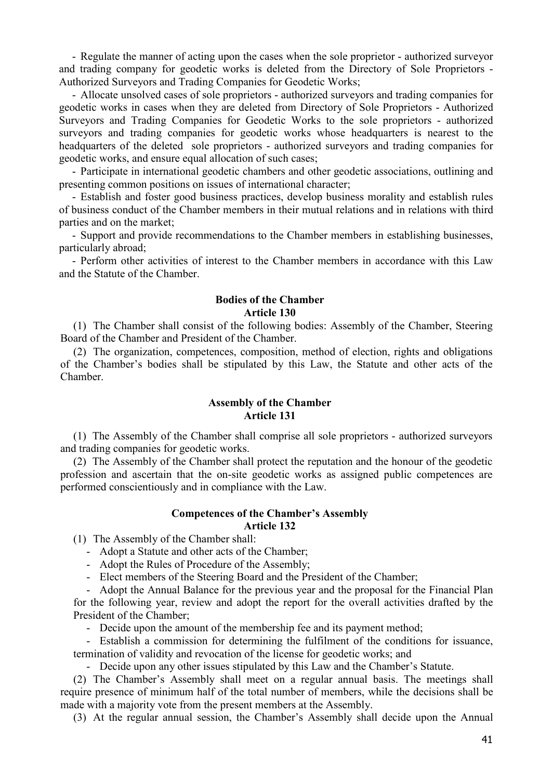- Regulate the manner of acting upon the cases when the sole proprietor - authorized surveyor and trading company for geodetic works is deleted from the Directory of Sole Proprietors - Authorized Surveyors and Trading Companies for Geodetic Works;

- Allocate unsolved cases of sole proprietors - authorized surveyors and trading companies for geodetic works in cases when they are deleted from Directory of Sole Proprietors - Authorized Surveyors and Trading Companies for Geodetic Works to the sole proprietors - authorized surveyors and trading companies for geodetic works whose headquarters is nearest to the headquarters of the deleted sole proprietors - authorized surveyors and trading companies for geodetic works, and ensure equal allocation of such cases;

- Participate in international geodetic chambers and other geodetic associations, outlining and presenting common positions on issues of international character;

- Establish and foster good business practices, develop business morality and establish rules of business conduct of the Chamber members in their mutual relations and in relations with third parties and on the market;

- Support and provide recommendations to the Chamber members in establishing businesses, particularly abroad;

- Perform other activities of interest to the Chamber members in accordance with this Law and the Statute of the Chamber.

## **Bodies of the Chamber Article 130**

(1) The Chamber shall consist of the following bodies: Assembly of the Chamber, Steering Board of the Chamber and President of the Chamber.

(2) The organization, competences, composition, method of election, rights and obligations of the Chamber's bodies shall be stipulated by this Law, the Statute and other acts of the Chamber.

#### **Assembly of the Chamber Article 131**

(1) The Assembly of the Chamber shall comprise all sole proprietors - authorized surveyors and trading companies for geodetic works.

(2) The Assembly of the Chamber shall protect the reputation and the honour of the geodetic profession and ascertain that the on-site geodetic works as assigned public competences are performed conscientiously and in compliance with the Law.

#### **Competences of the Chamber's Assembly Article 132**

(1) The Assembly of the Chamber shall:

- Adopt a Statute and other acts of the Chamber;
- Adopt the Rules of Procedure of the Assembly;
- Elect members of the Steering Board and the President of the Chamber;

- Adopt the Annual Balance for the previous year and the proposal for the Financial Plan for the following year, review and adopt the report for the overall activities drafted by the President of the Chamber;

- Decide upon the amount of the membership fee and its payment method;

- Establish a commission for determining the fulfilment of the conditions for issuance, termination of validity and revocation of the license for geodetic works; and

- Decide upon any other issues stipulated by this Law and the Chamber's Statute.

(2) The Chamber's Assembly shall meet on a regular annual basis. The meetings shall require presence of minimum half of the total number of members, while the decisions shall be made with a majority vote from the present members at the Assembly.

(3) At the regular annual session, the Chamber's Assembly shall decide upon the Annual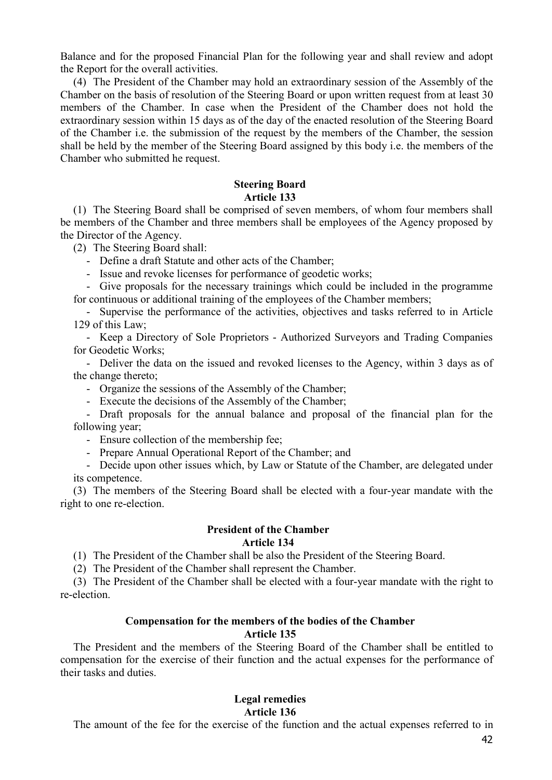Balance and for the proposed Financial Plan for the following year and shall review and adopt the Report for the overall activities.

(4) The President of the Chamber may hold an extraordinary session of the Assembly of the Chamber on the basis of resolution of the Steering Board or upon written request from at least 30 members of the Chamber. In case when the President of the Chamber does not hold the extraordinary session within 15 days as of the day of the enacted resolution of the Steering Board of the Chamber i.e. the submission of the request by the members of the Chamber, the session shall be held by the member of the Steering Board assigned by this body i.e. the members of the Chamber who submitted he request.

#### **Steering Board Article 133**

(1) The Steering Board shall be comprised of seven members, of whom four members shall be members of the Chamber and three members shall be employees of the Agency proposed by the Director of the Agency.

(2) The Steering Board shall:

- Define a draft Statute and other acts of the Chamber;

- Issue and revoke licenses for performance of geodetic works;

- Give proposals for the necessary trainings which could be included in the programme for continuous or additional training of the employees of the Chamber members;

- Supervise the performance of the activities, objectives and tasks referred to in Article 129 of this Law;

- Keep a Directory of Sole Proprietors - Authorized Surveyors and Trading Companies for Geodetic Works;

- Deliver the data on the issued and revoked licenses to the Agency, within 3 days as of the change thereto;

- Organize the sessions of the Assembly of the Chamber;

- Execute the decisions of the Assembly of the Chamber;

- Draft proposals for the annual balance and proposal of the financial plan for the following year;

- Ensure collection of the membership fee;

- Prepare Annual Operational Report of the Chamber; and

- Decide upon other issues which, by Law or Statute of the Chamber, are delegated under its competence.

(3) The members of the Steering Board shall be elected with a four-year mandate with the right to one re-election.

## **President of the Chamber Article 134**

(1) The President of the Chamber shall be also the President of the Steering Board.

(2) The President of the Chamber shall represent the Chamber.

(3) The President of the Chamber shall be elected with a four-year mandate with the right to re-election.

## **Compensation for the members of the bodies of the Chamber**

## **Article 135**

The President and the members of the Steering Board of the Chamber shall be entitled to compensation for the exercise of their function and the actual expenses for the performance of their tasks and duties.

# **Legal remedies**

#### **Article 136**

The amount of the fee for the exercise of the function and the actual expenses referred to in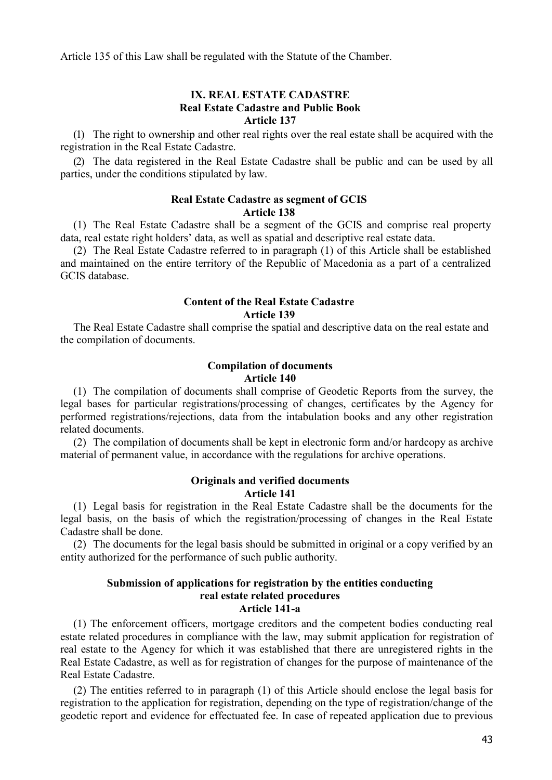Article 135 of this Law shall be regulated with the Statute of the Chamber.

#### **IX. REAL ESTATE CADASTRE Real Estate Cadastre and Public Book Article 137**

(1) The right to ownership and other real rights over the real estate shall be acquired with the registration in the Real Estate Cadastre.

(2) The data registered in the Real Estate Cadastre shall be public and can be used by all parties, under the conditions stipulated by law.

## **Real Estate Cadastre as segment of GCIS Article 138**

(1) The Real Estate Cadastre shall be a segment of the GCIS and comprise real property data, real estate right holders' data, as well as spatial and descriptive real estate data.

(2) The Real Estate Cadastre referred to in paragraph (1) of this Article shall be established and maintained on the entire territory of the Republic of Macedonia as a part of a centralized GCIS database.

## **Content of the Real Estate Cadastre Article 139**

The Real Estate Cadastre shall comprise the spatial and descriptive data on the real estate and the compilation of documents.

## **Compilation of documents Article 140**

(1) The compilation of documents shall comprise of Geodetic Reports from the survey, the legal bases for particular registrations/processing of changes, certificates by the Agency for performed registrations/rejections, data from the intabulation books and any other registration related documents.

(2) The compilation of documents shall be kept in electronic form and/or hardcopy as archive material of permanent value, in accordance with the regulations for archive operations.

#### **Originals and verified documents Article 141**

(1) Legal basis for registration in the Real Estate Cadastre shall be the documents for the legal basis, on the basis of which the registration/processing of changes in the Real Estate Cadastre shall be done.

(2) The documents for the legal basis should be submitted in original or a copy verified by an entity authorized for the performance of such public authority.

#### **Submission of applications for registration by the entities conducting real estate related procedures Article 141-a**

(1) The enforcement officers, mortgage creditors and the competent bodies conducting real estate related procedures in compliance with the law, may submit application for registration of real estate to the Agency for which it was established that there are unregistered rights in the Real Estate Cadastre, as well as for registration of changes for the purpose of maintenance of the Real Estate Cadastre.

(2) The entities referred to in paragraph (1) of this Article should enclose the legal basis for registration to the application for registration, depending on the type of registration/change of the geodetic report and evidence for effectuated fee. In case of repeated application due to previous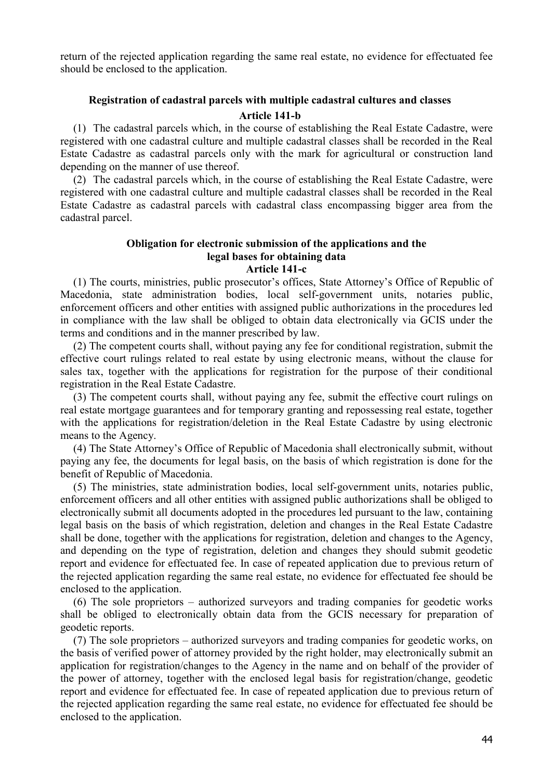return of the rejected application regarding the same real estate, no evidence for effectuated fee should be enclosed to the application.

## **Registration of cadastral parcels with multiple cadastral cultures and classes Article 141-b**

(1) The cadastral parcels which, in the course of establishing the Real Estate Cadastre, were registered with one cadastral culture and multiple cadastral classes shall be recorded in the Real Estate Cadastre as cadastral parcels only with the mark for agricultural or construction land depending on the manner of use thereof.

(2) The cadastral parcels which, in the course of establishing the Real Estate Cadastre, were registered with one cadastral culture and multiple cadastral classes shall be recorded in the Real Estate Cadastre as cadastral parcels with cadastral class encompassing bigger area from the cadastral parcel.

#### **Obligation for electronic submission of the applications and the legal bases for obtaining data Article 141-c**

(1) The courts, ministries, public prosecutor's offices, State Attorney's Office of Republic of Macedonia, state administration bodies, local self-government units, notaries public, enforcement officers and other entities with assigned public authorizations in the procedures led in compliance with the law shall be obliged to obtain data electronically via GCIS under the terms and conditions and in the manner prescribed by law.

(2) The competent courts shall, without paying any fee for conditional registration, submit the effective court rulings related to real estate by using electronic means, without the clause for sales tax, together with the applications for registration for the purpose of their conditional registration in the Real Estate Cadastre.

(3) The competent courts shall, without paying any fee, submit the effective court rulings on real estate mortgage guarantees and for temporary granting and repossessing real estate, together with the applications for registration/deletion in the Real Estate Cadastre by using electronic means to the Agency.

(4) The State Attorney's Office of Republic of Macedonia shall electronically submit, without paying any fee, the documents for legal basis, on the basis of which registration is done for the benefit of Republic of Macedonia.

(5) The ministries, state administration bodies, local self-government units, notaries public, enforcement officers and all other entities with assigned public authorizations shall be obliged to electronically submit all documents adopted in the procedures led pursuant to the law, containing legal basis on the basis of which registration, deletion and changes in the Real Estate Cadastre shall be done, together with the applications for registration, deletion and changes to the Agency, and depending on the type of registration, deletion and changes they should submit geodetic report and evidence for effectuated fee. In case of repeated application due to previous return of the rejected application regarding the same real estate, no evidence for effectuated fee should be enclosed to the application.

(6) The sole proprietors – authorized surveyors and trading companies for geodetic works shall be obliged to electronically obtain data from the GCIS necessary for preparation of geodetic reports.

(7) The sole proprietors – authorized surveyors and trading companies for geodetic works, on the basis of verified power of attorney provided by the right holder, may electronically submit an application for registration/changes to the Agency in the name and on behalf of the provider of the power of attorney, together with the enclosed legal basis for registration/change, geodetic report and evidence for effectuated fee. In case of repeated application due to previous return of the rejected application regarding the same real estate, no evidence for effectuated fee should be enclosed to the application.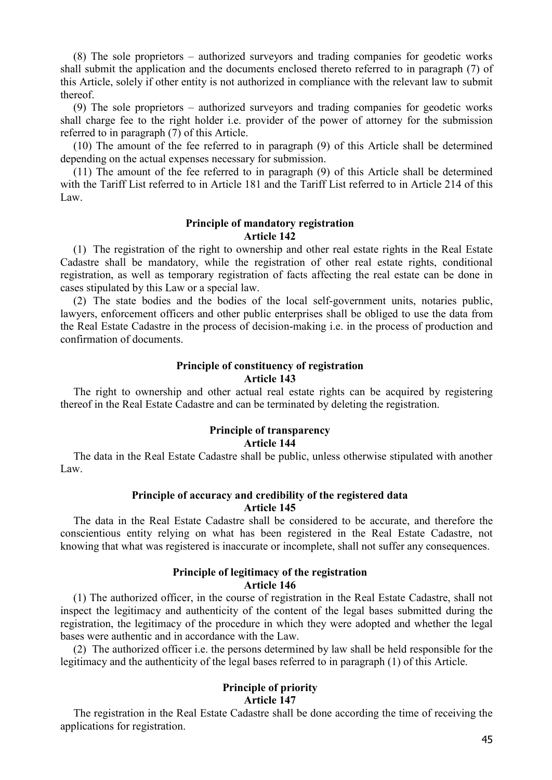(8) The sole proprietors – authorized surveyors and trading companies for geodetic works shall submit the application and the documents enclosed thereto referred to in paragraph (7) of this Article, solely if other entity is not authorized in compliance with the relevant law to submit thereof.

(9) The sole proprietors – authorized surveyors and trading companies for geodetic works shall charge fee to the right holder i.e. provider of the power of attorney for the submission referred to in paragraph (7) of this Article.

(10) The amount of the fee referred to in paragraph (9) of this Article shall be determined depending on the actual expenses necessary for submission.

(11) The amount of the fee referred to in paragraph (9) of this Article shall be determined with the Tariff List referred to in Article 181 and the Tariff List referred to in Article 214 of this Law.

## **Principle of mandatory registration Article 142**

(1) The registration of the right to ownership and other real estate rights in the Real Estate Cadastre shall be mandatory, while the registration of other real estate rights, conditional registration, as well as temporary registration of facts affecting the real estate can be done in cases stipulated by this Law or a special law.

(2) The state bodies and the bodies of the local self-government units, notaries public, lawyers, enforcement officers and other public enterprises shall be obliged to use the data from the Real Estate Cadastre in the process of decision-making i.e. in the process of production and confirmation of documents.

## **Principle of constituency of registration Article 143**

The right to ownership and other actual real estate rights can be acquired by registering thereof in the Real Estate Cadastre and can be terminated by deleting the registration.

## **Principle of transparency Article 144**

The data in the Real Estate Cadastre shall be public, unless otherwise stipulated with another Law.

## **Principle of accuracy and credibility of the registered data Article 145**

The data in the Real Estate Cadastre shall be considered to be accurate, and therefore the conscientious entity relying on what has been registered in the Real Estate Cadastre, not knowing that what was registered is inaccurate or incomplete, shall not suffer any consequences.

## **Principle of legitimacy of the registration Article 146**

(1) The authorized officer, in the course of registration in the Real Estate Cadastre, shall not inspect the legitimacy and authenticity of the content of the legal bases submitted during the registration, the legitimacy of the procedure in which they were adopted and whether the legal bases were authentic and in accordance with the Law.

(2) The authorized officer i.e. the persons determined by law shall be held responsible for the legitimacy and the authenticity of the legal bases referred to in paragraph (1) of this Article.

## **Principle of priority Article 147**

The registration in the Real Estate Cadastre shall be done according the time of receiving the applications for registration.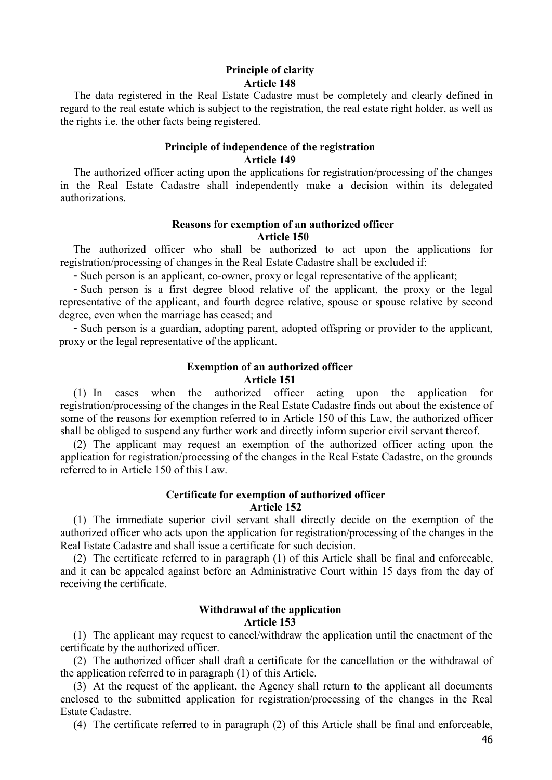## **Principle of clarity Article 148**

The data registered in the Real Estate Cadastre must be completely and clearly defined in regard to the real estate which is subject to the registration, the real estate right holder, as well as the rights i.e. the other facts being registered.

#### **Principle of independence of the registration Article 149**

The authorized officer acting upon the applications for registration/processing of the changes in the Real Estate Cadastre shall independently make a decision within its delegated authorizations.

#### **Reasons for exemption of an authorized officer Article 150**

The authorized officer who shall be authorized to act upon the applications for registration/processing of changes in the Real Estate Cadastre shall be excluded if:

- Such person is an applicant, co-owner, proxy or legal representative of the applicant;

- Such person is a first degree blood relative of the applicant, the proxy or the legal representative of the applicant, and fourth degree relative, spouse or spouse relative by second degree, even when the marriage has ceased; and

- Such person is a guardian, adopting parent, adopted offspring or provider to the applicant, proxy or the legal representative of the applicant.

## **Exemption of an authorized officer Article 151**

(1) In cases when the authorized officer acting upon the application for registration/processing of the changes in the Real Estate Cadastre finds out about the existence of some of the reasons for exemption referred to in Article 150 of this Law, the authorized officer shall be obliged to suspend any further work and directly inform superior civil servant thereof.

(2) The applicant may request an exemption of the authorized officer acting upon the application for registration/processing of the changes in the Real Estate Cadastre, on the grounds referred to in Article 150 of this Law.

## **Certificate for exemption of authorized officer Article 152**

(1) The immediate superior civil servant shall directly decide on the exemption of the authorized officer who acts upon the application for registration/processing of the changes in the Real Estate Cadastre and shall issue a certificate for such decision.

(2) The certificate referred to in paragraph (1) of this Article shall be final and enforceable, and it can be appealed against before an Administrative Court within 15 days from the day of receiving the certificate.

## **Withdrawal of the application Article 153**

(1) The applicant may request to cancel/withdraw the application until the enactment of the certificate by the authorized officer.

(2) The authorized officer shall draft a certificate for the cancellation or the withdrawal of the application referred to in paragraph (1) of this Article.

(3) At the request of the applicant, the Agency shall return to the applicant all documents enclosed to the submitted application for registration/processing of the changes in the Real Estate Cadastre.

(4) The certificate referred to in paragraph (2) of this Article shall be final and enforceable,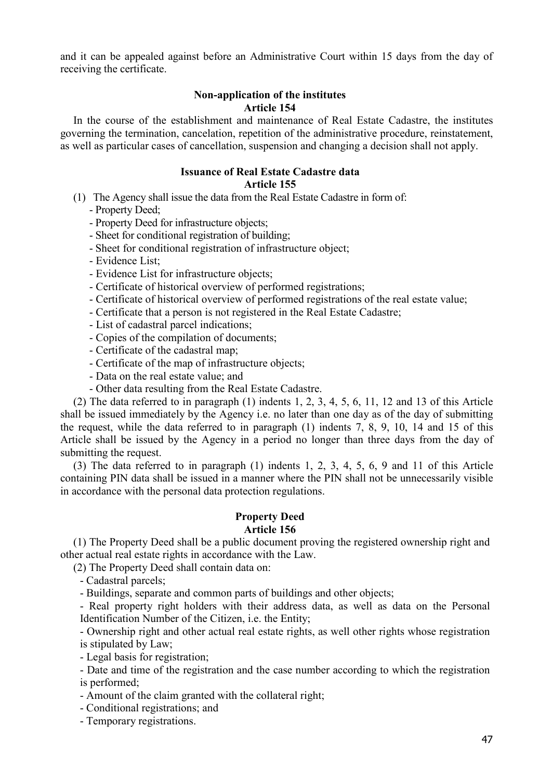and it can be appealed against before an Administrative Court within 15 days from the day of receiving the certificate.

## **Non-application of the institutes Article 154**

In the course of the establishment and maintenance of Real Estate Cadastre, the institutes governing the termination, cancelation, repetition of the administrative procedure, reinstatement, as well as particular cases of cancellation, suspension and changing a decision shall not apply.

## **Issuance of Real Estate Cadastre data Article 155**

(1) The Agency shall issue the data from the Real Estate Cadastre in form of:

- Property Deed;

- Property Deed for infrastructure objects;

- Sheet for conditional registration of building;
- Sheet for conditional registration of infrastructure object;
- Evidence List;
- Evidence List for infrastructure objects;
- Certificate of historical overview of performed registrations;
- Certificate of historical overview of performed registrations of the real estate value;
- Certificate that a person is not registered in the Real Estate Cadastre;
- List of cadastral parcel indications;
- Copies of the compilation of documents;
- Certificate of the cadastral map;
- Certificate of the map of infrastructure objects;
- Data on the real estate value; and
- Other data resulting from the Real Estate Cadastre.

(2) The data referred to in paragraph (1) indents 1, 2, 3, 4, 5, 6, 11, 12 and 13 of this Article shall be issued immediately by the Agency i.e. no later than one day as of the day of submitting the request, while the data referred to in paragraph (1) indents 7, 8, 9, 10, 14 and 15 of this Article shall be issued by the Agency in a period no longer than three days from the day of submitting the request.

(3) The data referred to in paragraph (1) indents 1, 2, 3, 4, 5, 6, 9 and 11 of this Article containing PIN data shall be issued in a manner where the PIN shall not be unnecessarily visible in accordance with the personal data protection regulations.

## **Property Deed**

## **Article 156**

(1) The Property Deed shall be a public document proving the registered ownership right and other actual real estate rights in accordance with the Law.

(2) The Property Deed shall contain data on:

- Cadastral parcels;

- Buildings, separate and common parts of buildings and other objects;

- Real property right holders with their address data, as well as data on the Personal Identification Number of the Citizen, i.e. the Entity;

- Ownership right and other actual real estate rights, as well other rights whose registration is stipulated by Law;

- Legal basis for registration;

- Date and time of the registration and the case number according to which the registration is performed;

- Amount of the claim granted with the collateral right;

- Conditional registrations; and

- Temporary registrations.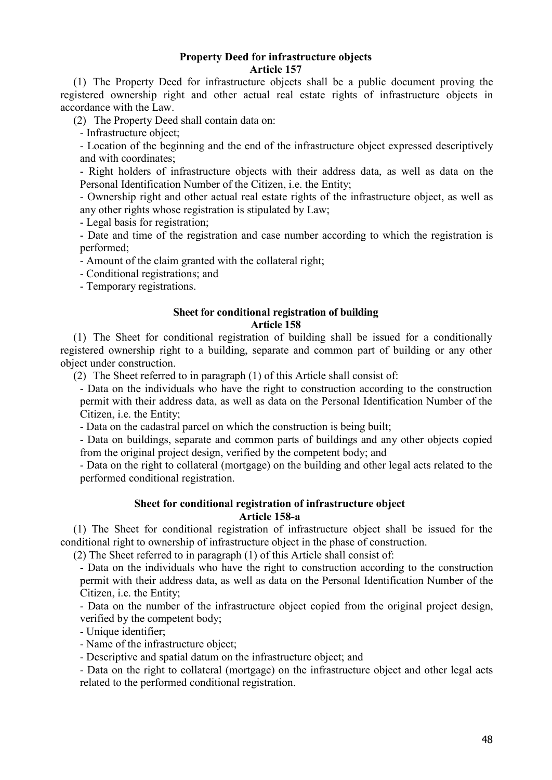#### **Property Deed for infrastructure objects Article 157**

(1) The Property Deed for infrastructure objects shall be a public document proving the registered ownership right and other actual real estate rights of infrastructure objects in accordance with the Law.

(2) The Property Deed shall contain data on:

- Infrastructure object;

- Location of the beginning and the end of the infrastructure object expressed descriptively and with coordinates;

- Right holders of infrastructure objects with their address data, as well as data on the Personal Identification Number of the Citizen, i.e. the Entity;

- Ownership right and other actual real estate rights of the infrastructure object, as well as any other rights whose registration is stipulated by Law;

- Legal basis for registration;

- Date and time of the registration and case number according to which the registration is performed;

- Amount of the claim granted with the collateral right;

- Conditional registrations; and

- Temporary registrations.

#### **Sheet for conditional registration of building Article 158**

(1) The Sheet for conditional registration of building shall be issued for a conditionally registered ownership right to a building, separate and common part of building or any other object under construction.

(2) The Sheet referred to in paragraph (1) of this Article shall consist of:

- Data on the individuals who have the right to construction according to the construction permit with their address data, as well as data on the Personal Identification Number of the Citizen, i.e. the Entity;

- Data on the cadastral parcel on which the construction is being built;

- Data on buildings, separate and common parts of buildings and any other objects copied from the original project design, verified by the competent body; and

- Data on the right to collateral (mortgage) on the building and other legal acts related to the performed conditional registration.

#### **Sheet for conditional registration of infrastructure object Article 158-a**

(1) The Sheet for conditional registration of infrastructure object shall be issued for the conditional right to ownership of infrastructure object in the phase of construction.

(2) The Sheet referred to in paragraph (1) of this Article shall consist of:

- Data on the individuals who have the right to construction according to the construction permit with their address data, as well as data on the Personal Identification Number of the Citizen, i.e. the Entity;

- Data on the number of the infrastructure object copied from the original project design, verified by the competent body;

- Unique identifier;

- Name of the infrastructure object;

- Descriptive and spatial datum on the infrastructure object; and

- Data on the right to collateral (mortgage) on the infrastructure object and other legal acts related to the performed conditional registration.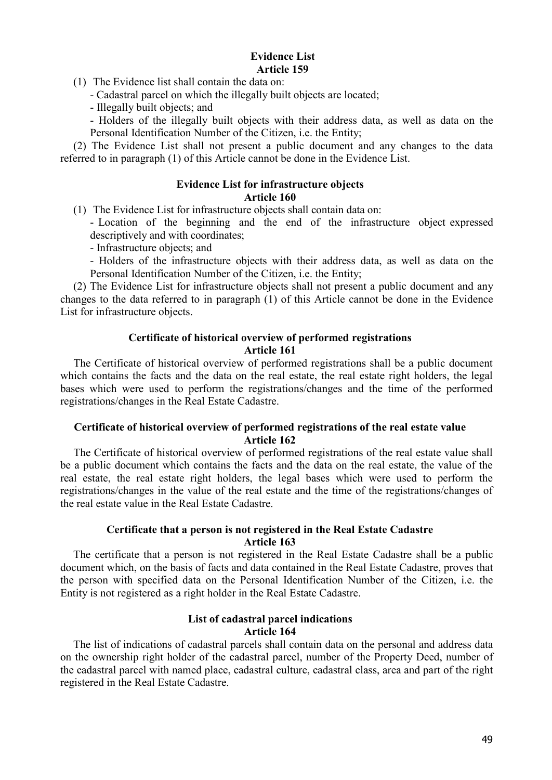#### **Evidence List Article 159**

- (1) The Evidence list shall contain the data on:
	- Cadastral parcel on which the illegally built objects are located;
	- Illegally built objects; and

- Holders of the illegally built objects with their address data, as well as data on the Personal Identification Number of the Citizen, i.e. the Entity;

(2) The Evidence List shall not present a public document and any changes to the data referred to in paragraph (1) of this Article cannot be done in the Evidence List.

## **Evidence List for infrastructure objects**

## **Article 160**

- (1) The Evidence List for infrastructure objects shall contain data on:
	- Location of the beginning and the end of the infrastructure object expressed descriptively and with coordinates;

- Infrastructure objects; and

- Holders of the infrastructure objects with their address data, as well as data on the Personal Identification Number of the Citizen, i.e. the Entity;

(2) The Evidence List for infrastructure objects shall not present a public document and any changes to the data referred to in paragraph (1) of this Article cannot be done in the Evidence List for infrastructure objects.

## **Certificate of historical overview of performed registrations Article 161**

The Certificate of historical overview of performed registrations shall be a public document which contains the facts and the data on the real estate, the real estate right holders, the legal bases which were used to perform the registrations/changes and the time of the performed registrations/changes in the Real Estate Cadastre.

## **Certificate of historical overview of performed registrations of the real estate value Article 162**

The Certificate of historical overview of performed registrations of the real estate value shall be a public document which contains the facts and the data on the real estate, the value of the real estate, the real estate right holders, the legal bases which were used to perform the registrations/changes in the value of the real estate and the time of the registrations/changes of the real estate value in the Real Estate Cadastre.

## **Certificate that a person is not registered in the Real Estate Cadastre Article 163**

The certificate that a person is not registered in the Real Estate Cadastre shall be a public document which, on the basis of facts and data contained in the Real Estate Cadastre, proves that the person with specified data on the Personal Identification Number of the Citizen, i.e. the Entity is not registered as a right holder in the Real Estate Cadastre.

## **List of cadastral parcel indications Article 164**

The list of indications of cadastral parcels shall contain data on the personal and address data on the ownership right holder of the cadastral parcel, number of the Property Deed, number of the cadastral parcel with named place, cadastral culture, cadastral class, area and part of the right registered in the Real Estate Cadastre.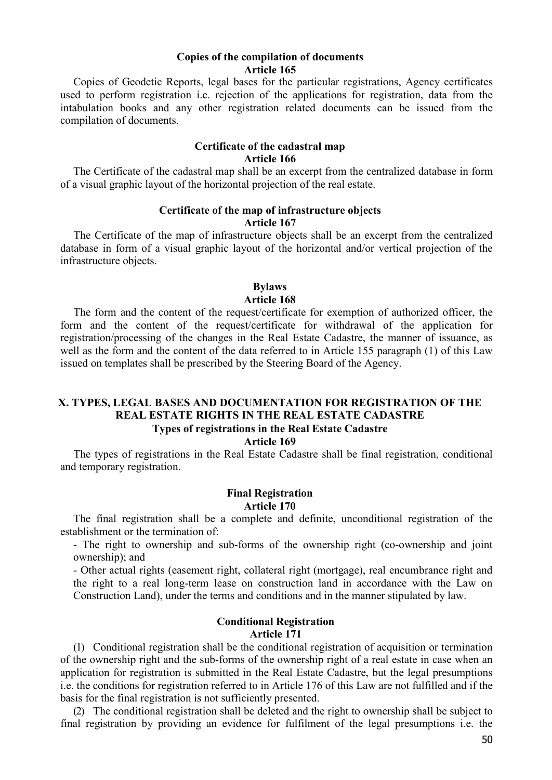#### **Copies of the compilation of documents Article 165**

Copies of Geodetic Reports, legal bases for the particular registrations, Agency certificates used to perform registration i.e. rejection of the applications for registration, data from the intabulation books and any other registration related documents can be issued from the compilation of documents.

#### **Certificate of the cadastral map Article 166**

The Certificate of the cadastral map shall be an excerpt from the centralized database in form of a visual graphic layout of the horizontal projection of the real estate.

#### **Certificate of the map of infrastructure objects Article 167**

The Certificate of the map of infrastructure objects shall be an excerpt from the centralized database in form of a visual graphic layout of the horizontal and/or vertical projection of the infrastructure objects.

## **Bylaws**

#### **Article 168**

The form and the content of the request/certificate for exemption of authorized officer, the form and the content of the request/certificate for withdrawal of the application for registration/processing of the changes in the Real Estate Cadastre, the manner of issuance, as well as the form and the content of the data referred to in Article 155 paragraph (1) of this Law issued on templates shall be prescribed by the Steering Board of the Agency.

## **X. TYPES, LEGAL BASES AND DOCUMENTATION FOR REGISTRATION OF THE REAL ESTATE RIGHTS IN THE REAL ESTATE CADASTRE Types of registrations in the Real Estate Cadastre**

#### **Article 169**

The types of registrations in the Real Estate Cadastre shall be final registration, conditional and temporary registration.

## **Final Registration Article 170**

The final registration shall be a complete and definite, unconditional registration of the establishment or the termination of:

- The right to ownership and sub-forms of the ownership right (co-ownership and joint ownership); and

- Other actual rights (easement right, collateral right (mortgage), real encumbrance right and the right to a real long-term lease on construction land in accordance with the Law on Construction Land), under the terms and conditions and in the manner stipulated by law.

## **Conditional Registration Article 171**

(1) Conditional registration shall be the conditional registration of acquisition or termination of the ownership right and the sub-forms of the ownership right of a real estate in case when an application for registration is submitted in the Real Estate Cadastre, but the legal presumptions i.e. the conditions for registration referred to in Article 176 of this Law are not fulfilled and if the basis for the final registration is not sufficiently presented.

(2) The conditional registration shall be deleted and the right to ownership shall be subject to final registration by providing an evidence for fulfilment of the legal presumptions i.e. the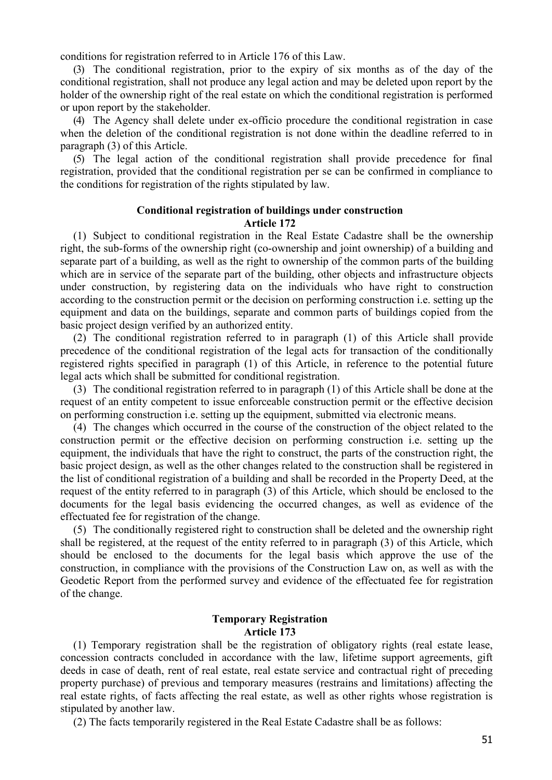conditions for registration referred to in Article 176 of this Law.

(3) The conditional registration, prior to the expiry of six months as of the day of the conditional registration, shall not produce any legal action and may be deleted upon report by the holder of the ownership right of the real estate on which the conditional registration is performed or upon report by the stakeholder.

(4) The Agency shall delete under ex-officio procedure the conditional registration in case when the deletion of the conditional registration is not done within the deadline referred to in paragraph (3) of this Article.

(5) The legal action of the conditional registration shall provide precedence for final registration, provided that the conditional registration per se can be confirmed in compliance to the conditions for registration of the rights stipulated by law.

#### **Conditional registration of buildings under construction Article 172**

(1) Subject to conditional registration in the Real Estate Cadastre shall be the ownership right, the sub-forms of the ownership right (co-ownership and joint ownership) of a building and separate part of a building, as well as the right to ownership of the common parts of the building which are in service of the separate part of the building, other objects and infrastructure objects under construction, by registering data on the individuals who have right to construction according to the construction permit or the decision on performing construction i.e. setting up the equipment and data on the buildings, separate and common parts of buildings copied from the basic project design verified by an authorized entity.

(2) The conditional registration referred to in paragraph (1) of this Article shall provide precedence of the conditional registration of the legal acts for transaction of the conditionally registered rights specified in paragraph (1) of this Article, in reference to the potential future legal acts which shall be submitted for conditional registration.

(3) The conditional registration referred to in paragraph (1) of this Article shall be done at the request of an entity competent to issue enforceable construction permit or the effective decision on performing construction i.e. setting up the equipment, submitted via electronic means.

(4) The changes which occurred in the course of the construction of the object related to the construction permit or the effective decision on performing construction i.e. setting up the equipment, the individuals that have the right to construct, the parts of the construction right, the basic project design, as well as the other changes related to the construction shall be registered in the list of conditional registration of a building and shall be recorded in the Property Deed, at the request of the entity referred to in paragraph (3) of this Article, which should be enclosed to the documents for the legal basis evidencing the occurred changes, as well as evidence of the effectuated fee for registration of the change.

(5) The conditionally registered right to construction shall be deleted and the ownership right shall be registered, at the request of the entity referred to in paragraph (3) of this Article, which should be enclosed to the documents for the legal basis which approve the use of the construction, in compliance with the provisions of the Construction Law on, as well as with the Geodetic Report from the performed survey and evidence of the effectuated fee for registration of the change.

#### **Temporary Registration Article 173**

(1) Temporary registration shall be the registration of obligatory rights (real estate lease, concession contracts concluded in accordance with the law, lifetime support agreements, gift deeds in case of death, rent of real estate, real estate service and contractual right of preceding property purchase) of previous and temporary measures (restrains and limitations) affecting the real estate rights, of facts affecting the real estate, as well as other rights whose registration is stipulated by another law.

(2) The facts temporarily registered in the Real Estate Cadastre shall be as follows: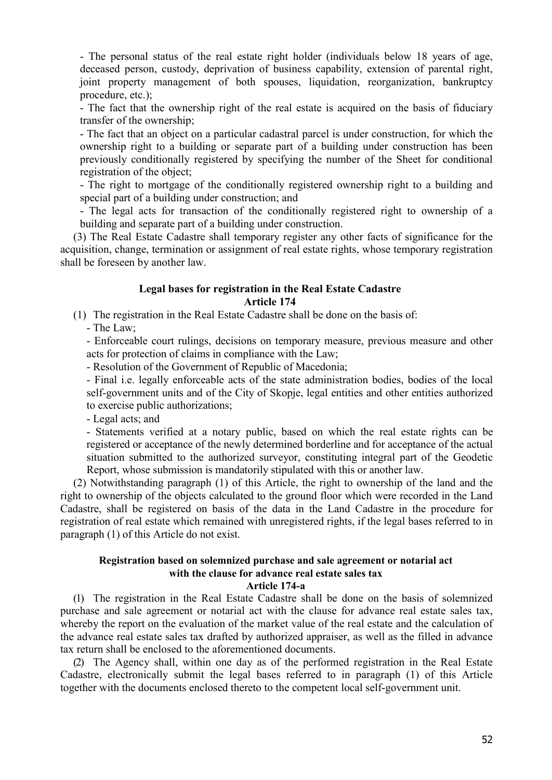- The personal status of the real estate right holder (individuals below 18 years of age, deceased person, custody, deprivation of business capability, extension of parental right, joint property management of both spouses, liquidation, reorganization, bankruptcy procedure, etc.);

- The fact that the ownership right of the real estate is acquired on the basis of fiduciary transfer of the ownership;

- The fact that an object on a particular cadastral parcel is under construction, for which the ownership right to a building or separate part of a building under construction has been previously conditionally registered by specifying the number of the Sheet for conditional registration of the object;

- The right to mortgage of the conditionally registered ownership right to a building and special part of a building under construction; and

- The legal acts for transaction of the conditionally registered right to ownership of a building and separate part of a building under construction.

(3) The Real Estate Cadastre shall temporary register any other facts of significance for the acquisition, change, termination or assignment of real estate rights, whose temporary registration shall be foreseen by another law.

## **Legal bases for registration in the Real Estate Cadastre Article 174**

(1) The registration in the Real Estate Cadastre shall be done on the basis of:

- The Law;

- Enforceable court rulings, decisions on temporary measure, previous measure and other acts for protection of claims in compliance with the Law;

- Resolution of the Government of Republic of Macedonia;

- Final i.e. legally enforceable acts of the state administration bodies, bodies of the local self-government units and of the City of Skopje, legal entities and other entities authorized to exercise public authorizations;

- Legal acts; and

- Statements verified at a notary public, based on which the real estate rights can be registered or acceptance of the newly determined borderline and for acceptance of the actual situation submitted to the authorized surveyor, constituting integral part of the Geodetic Report, whose submission is mandatorily stipulated with this or another law.

(2) Notwithstanding paragraph (1) of this Article, the right to ownership of the land and the right to ownership of the objects calculated to the ground floor which were recorded in the Land Cadastre, shall be registered on basis of the data in the Land Cadastre in the procedure for registration of real estate which remained with unregistered rights, if the legal bases referred to in paragraph (1) of this Article do not exist.

## **Registration based on solemnized purchase and sale agreement or notarial act with the clause for advance real estate sales tax**

#### **Article 174-a**

(1) The registration in the Real Estate Cadastre shall be done on the basis of solemnized purchase and sale agreement or notarial act with the clause for advance real estate sales tax, whereby the report on the evaluation of the market value of the real estate and the calculation of the advance real estate sales tax drafted by authorized appraiser, as well as the filled in advance tax return shall be enclosed to the aforementioned documents.

(2) The Agency shall, within one day as of the performed registration in the Real Estate Cadastre, electronically submit the legal bases referred to in paragraph (1) of this Article together with the documents enclosed thereto to the competent local self-government unit.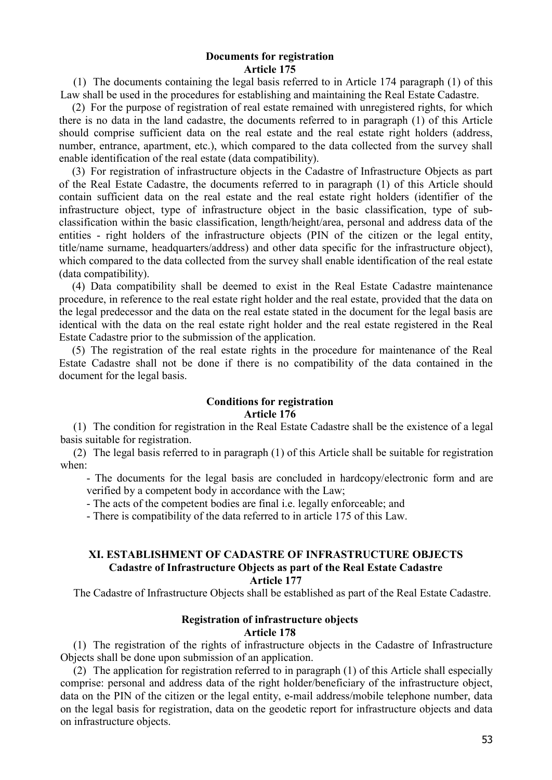#### **Documents for registration Article 175**

(1) The documents containing the legal basis referred to in Article 174 paragraph (1) of this Law shall be used in the procedures for establishing and maintaining the Real Estate Cadastre.

(2) For the purpose of registration of real estate remained with unregistered rights, for which there is no data in the land cadastre, the documents referred to in paragraph (1) of this Article should comprise sufficient data on the real estate and the real estate right holders (address, number, entrance, apartment, etc.), which compared to the data collected from the survey shall enable identification of the real estate (data compatibility).

(3) For registration of infrastructure objects in the Cadastre of Infrastructure Objects as part of the Real Estate Cadastre, the documents referred to in paragraph (1) of this Article should contain sufficient data on the real estate and the real estate right holders (identifier of the infrastructure object, type of infrastructure object in the basic classification, type of subclassification within the basic classification, length/height/area, personal and address data of the entities - right holders of the infrastructure objects (PIN of the citizen or the legal entity, title/name surname, headquarters/address) and other data specific for the infrastructure object), which compared to the data collected from the survey shall enable identification of the real estate (data compatibility).

(4) Data compatibility shall be deemed to exist in the Real Estate Cadastre maintenance procedure, in reference to the real estate right holder and the real estate, provided that the data on the legal predecessor and the data on the real estate stated in the document for the legal basis are identical with the data on the real estate right holder and the real estate registered in the Real Estate Cadastre prior to the submission of the application.

(5) The registration of the real estate rights in the procedure for maintenance of the Real Estate Cadastre shall not be done if there is no compatibility of the data contained in the document for the legal basis.

# **Conditions for registration**

#### **Article 176**

(1) The condition for registration in the Real Estate Cadastre shall be the existence of a legal basis suitable for registration.

(2) The legal basis referred to in paragraph (1) of this Article shall be suitable for registration when:

- The documents for the legal basis are concluded in hardcopy/electronic form and are verified by a competent body in accordance with the Law;

- The acts of the competent bodies are final i.e. legally enforceable; and

- There is compatibility of the data referred to in article 175 of this Law.

# **XI. ESTABLISHMENT OF CADASTRE OF INFRASTRUCTURE OBJECTS Cadastre of Infrastructure Objects as part of the Real Estate Cadastre**

**Article 177**

The Cadastre of Infrastructure Objects shall be established as part of the Real Estate Cadastre.

## **Registration of infrastructure objects Article 178**

(1) The registration of the rights of infrastructure objects in the Cadastre of Infrastructure Objects shall be done upon submission of an application.

(2) The application for registration referred to in paragraph (1) of this Article shall especially comprise: personal and address data of the right holder/beneficiary of the infrastructure object, data on the PIN of the citizen or the legal entity, e-mail address/mobile telephone number, data on the legal basis for registration, data on the geodetic report for infrastructure objects and data on infrastructure objects.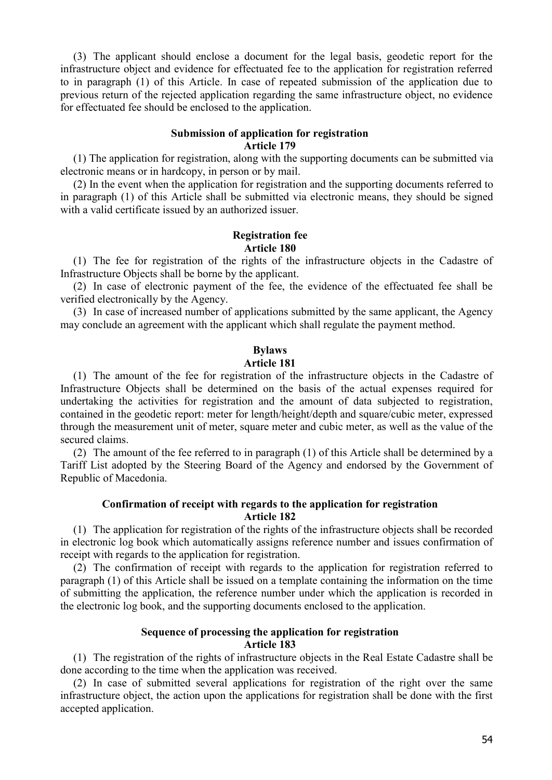(3) The applicant should enclose a document for the legal basis, geodetic report for the infrastructure object and evidence for effectuated fee to the application for registration referred to in paragraph (1) of this Article. In case of repeated submission of the application due to previous return of the rejected application regarding the same infrastructure object, no evidence for effectuated fee should be enclosed to the application.

## **Submission of application for registration Article 179**

(1) The application for registration, along with the supporting documents can be submitted via electronic means or in hardcopy, in person or by mail.

(2) In the event when the application for registration and the supporting documents referred to in paragraph (1) of this Article shall be submitted via electronic means, they should be signed with a valid certificate issued by an authorized issuer.

## **Registration fee Article 180**

(1) The fee for registration of the rights of the infrastructure objects in the Cadastre of Infrastructure Objects shall be borne by the applicant.

(2) In case of electronic payment of the fee, the evidence of the effectuated fee shall be verified electronically by the Agency.

(3) In case of increased number of applications submitted by the same applicant, the Agency may conclude an agreement with the applicant which shall regulate the payment method.

## **Bylaws**

#### **Article 181**

(1) The amount of the fee for registration of the infrastructure objects in the Cadastre of Infrastructure Objects shall be determined on the basis of the actual expenses required for undertaking the activities for registration and the amount of data subjected to registration, contained in the geodetic report: meter for length/height/depth and square/cubic meter, expressed through the measurement unit of meter, square meter and cubic meter, as well as the value of the secured claims.

(2) The amount of the fee referred to in paragraph (1) of this Article shall be determined by a Tariff List adopted by the Steering Board of the Agency and endorsed by the Government of Republic of Macedonia.

#### **Confirmation of receipt with regards to the application for registration Article 182**

(1) The application for registration of the rights of the infrastructure objects shall be recorded in electronic log book which automatically assigns reference number and issues confirmation of receipt with regards to the application for registration.

(2) The confirmation of receipt with regards to the application for registration referred to paragraph (1) of this Article shall be issued on a template containing the information on the time of submitting the application, the reference number under which the application is recorded in the electronic log book, and the supporting documents enclosed to the application.

#### **Sequence of processing the application for registration Article 183**

(1) The registration of the rights of infrastructure objects in the Real Estate Cadastre shall be done according to the time when the application was received.

(2) In case of submitted several applications for registration of the right over the same infrastructure object, the action upon the applications for registration shall be done with the first accepted application.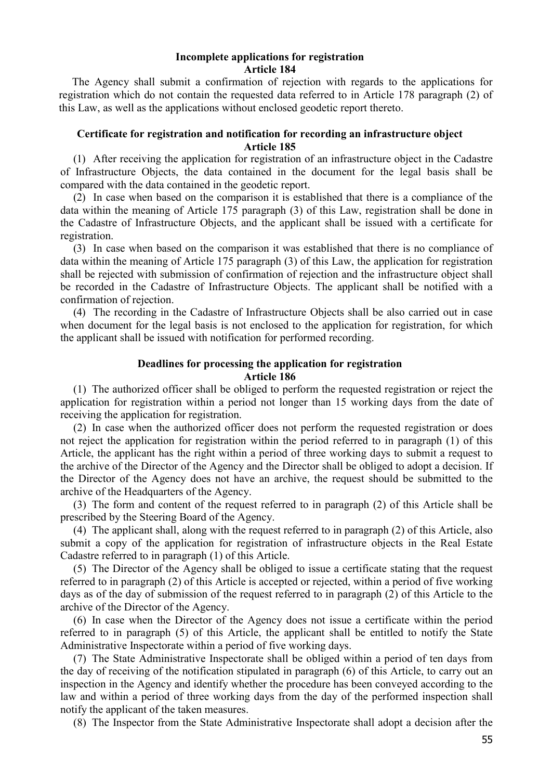#### **Incomplete applications for registration Article 184**

The Agency shall submit a confirmation of rejection with regards to the applications for registration which do not contain the requested data referred to in Article 178 paragraph (2) of this Law, as well as the applications without enclosed geodetic report thereto.

## **Certificate for registration and notification for recording an infrastructure object Article 185**

(1) After receiving the application for registration of an infrastructure object in the Cadastre of Infrastructure Objects, the data contained in the document for the legal basis shall be compared with the data contained in the geodetic report.

(2) In case when based on the comparison it is established that there is a compliance of the data within the meaning of Article 175 paragraph (3) of this Law, registration shall be done in the Cadastre of Infrastructure Objects, and the applicant shall be issued with a certificate for registration.

(3) In case when based on the comparison it was established that there is no compliance of data within the meaning of Article 175 paragraph (3) of this Law, the application for registration shall be rejected with submission of confirmation of rejection and the infrastructure object shall be recorded in the Cadastre of Infrastructure Objects. The applicant shall be notified with a confirmation of rejection.

(4) The recording in the Cadastre of Infrastructure Objects shall be also carried out in case when document for the legal basis is not enclosed to the application for registration, for which the applicant shall be issued with notification for performed recording.

## **Deadlines for processing the application for registration Article 186**

(1) The authorized officer shall be obliged to perform the requested registration or reject the application for registration within a period not longer than 15 working days from the date of receiving the application for registration.

(2) In case when the authorized officer does not perform the requested registration or does not reject the application for registration within the period referred to in paragraph (1) of this Article, the applicant has the right within a period of three working days to submit a request to the archive of the Director of the Agency and the Director shall be obliged to adopt a decision. If the Director of the Agency does not have an archive, the request should be submitted to the archive of the Headquarters of the Agency.

(3) The form and content of the request referred to in paragraph (2) of this Article shall be prescribed by the Steering Board of the Agency.

(4) The applicant shall, along with the request referred to in paragraph (2) of this Article, also submit a copy of the application for registration of infrastructure objects in the Real Estate Cadastre referred to in paragraph (1) of this Article.

(5) The Director of the Agency shall be obliged to issue a certificate stating that the request referred to in paragraph (2) of this Article is accepted or rejected, within a period of five working days as of the day of submission of the request referred to in paragraph (2) of this Article to the archive of the Director of the Agency.

(6) In case when the Director of the Agency does not issue a certificate within the period referred to in paragraph (5) of this Article, the applicant shall be entitled to notify the State Administrative Inspectorate within a period of five working days.

(7) The State Administrative Inspectorate shall be obliged within a period of ten days from the day of receiving of the notification stipulated in paragraph (6) of this Article, to carry out an inspection in the Agency and identify whether the procedure has been conveyed according to the law and within a period of three working days from the day of the performed inspection shall notify the applicant of the taken measures.

(8) The Inspector from the State Administrative Inspectorate shall adopt a decision after the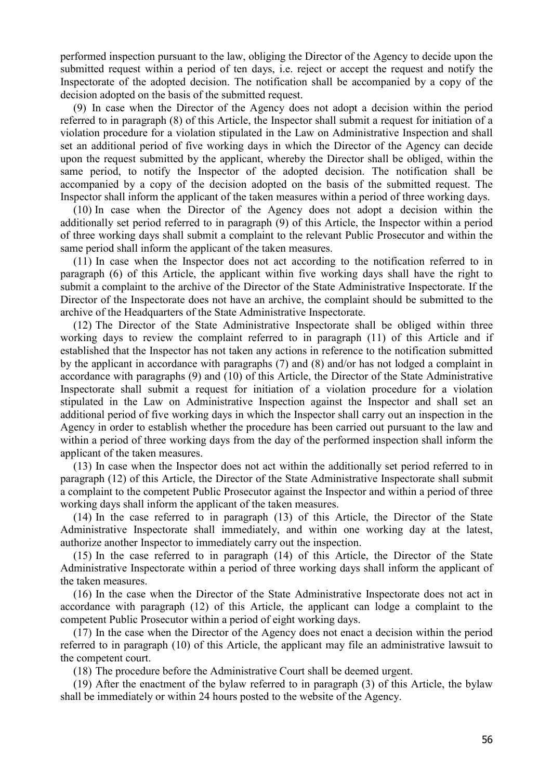performed inspection pursuant to the law, obliging the Director of the Agency to decide upon the submitted request within a period of ten days, i.e. reject or accept the request and notify the Inspectorate of the adopted decision. The notification shall be accompanied by a copy of the decision adopted on the basis of the submitted request.

(9) In case when the Director of the Agency does not adopt a decision within the period referred to in paragraph (8) of this Article, the Inspector shall submit a request for initiation of a violation procedure for a violation stipulated in the Law on Administrative Inspection and shall set an additional period of five working days in which the Director of the Agency can decide upon the request submitted by the applicant, whereby the Director shall be obliged, within the same period, to notify the Inspector of the adopted decision. The notification shall be accompanied by a copy of the decision adopted on the basis of the submitted request. The Inspector shall inform the applicant of the taken measures within a period of three working days.

(10) In case when the Director of the Agency does not adopt a decision within the additionally set period referred to in paragraph (9) of this Article, the Inspector within a period of three working days shall submit a complaint to the relevant Public Prosecutor and within the same period shall inform the applicant of the taken measures.

(11) In case when the Inspector does not act according to the notification referred to in paragraph (6) of this Article, the applicant within five working days shall have the right to submit a complaint to the archive of the Director of the State Administrative Inspectorate. If the Director of the Inspectorate does not have an archive, the complaint should be submitted to the archive of the Headquarters of the State Administrative Inspectorate.

(12) The Director of the State Administrative Inspectorate shall be obliged within three working days to review the complaint referred to in paragraph (11) of this Article and if established that the Inspector has not taken any actions in reference to the notification submitted by the applicant in accordance with paragraphs (7) and (8) and/or has not lodged a complaint in accordance with paragraphs (9) and (10) of this Article, the Director of the State Administrative Inspectorate shall submit a request for initiation of a violation procedure for a violation stipulated in the Law on Administrative Inspection against the Inspector and shall set an additional period of five working days in which the Inspector shall carry out an inspection in the Agency in order to establish whether the procedure has been carried out pursuant to the law and within a period of three working days from the day of the performed inspection shall inform the applicant of the taken measures.

(13) In case when the Inspector does not act within the additionally set period referred to in paragraph (12) of this Article, the Director of the State Administrative Inspectorate shall submit a complaint to the competent Public Prosecutor against the Inspector and within a period of three working days shall inform the applicant of the taken measures.

(14) In the case referred to in paragraph (13) of this Article, the Director of the State Administrative Inspectorate shall immediately, and within one working day at the latest, authorize another Inspector to immediately carry out the inspection.

(15) In the case referred to in paragraph (14) of this Article, the Director of the State Administrative Inspectorate within a period of three working days shall inform the applicant of the taken measures.

(16) In the case when the Director of the State Administrative Inspectorate does not act in accordance with paragraph (12) of this Article, the applicant can lodge a complaint to the competent Public Prosecutor within a period of eight working days.

(17) In the case when the Director of the Agency does not enact a decision within the period referred to in paragraph (10) of this Article, the applicant may file an administrative lawsuit to the competent court.

(18) The procedure before the Administrative Court shall be deemed urgent.

(19) After the enactment of the bylaw referred to in paragraph (3) of this Article, the bylaw shall be immediately or within 24 hours posted to the website of the Agency.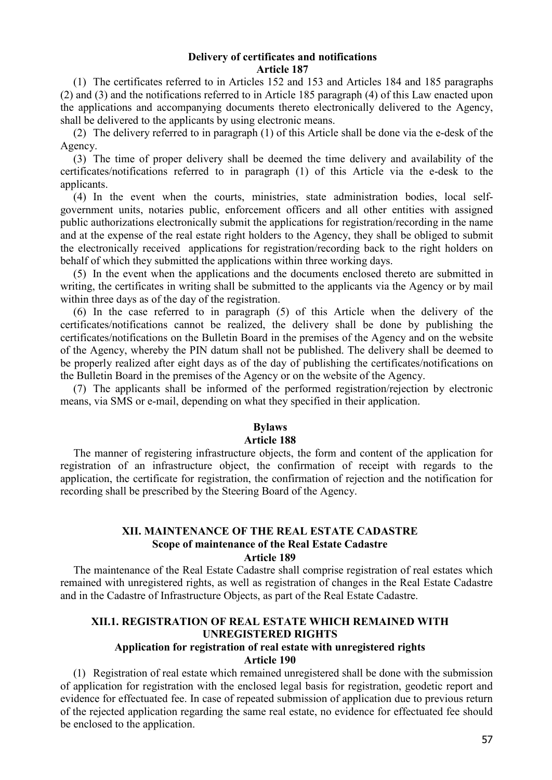#### **Delivery of certificates and notifications Article 187**

(1) The certificates referred to in Articles 152 and 153 and Articles 184 and 185 paragraphs (2) and (3) and the notifications referred to in Article 185 paragraph (4) of this Law enacted upon the applications and accompanying documents thereto electronically delivered to the Agency, shall be delivered to the applicants by using electronic means.

(2) The delivery referred to in paragraph (1) of this Article shall be done via the e-desk of the Agency.

(3) The time of proper delivery shall be deemed the time delivery and availability of the certificates/notifications referred to in paragraph (1) of this Article via the e-desk to the applicants.

(4) In the event when the courts, ministries, state administration bodies, local selfgovernment units, notaries public, enforcement officers and all other entities with assigned public authorizations electronically submit the applications for registration/recording in the name and at the expense of the real estate right holders to the Agency, they shall be obliged to submit the electronically received applications for registration/recording back to the right holders on behalf of which they submitted the applications within three working days.

(5) In the event when the applications and the documents enclosed thereto are submitted in writing, the certificates in writing shall be submitted to the applicants via the Agency or by mail within three days as of the day of the registration.

(6) In the case referred to in paragraph (5) of this Article when the delivery of the certificates/notifications cannot be realized, the delivery shall be done by publishing the certificates/notifications on the Bulletin Board in the premises of the Agency and on the website of the Agency, whereby the PIN datum shall not be published. The delivery shall be deemed to be properly realized after eight days as of the day of publishing the certificates/notifications on the Bulletin Board in the premises of the Agency or on the website of the Agency.

(7) The applicants shall be informed of the performed registration/rejection by electronic means, via SMS or e-mail, depending on what they specified in their application.

## **Bylaws**

## **Article 188**

The manner of registering infrastructure objects, the form and content of the application for registration of an infrastructure object, the confirmation of receipt with regards to the application, the certificate for registration, the confirmation of rejection and the notification for recording shall be prescribed by the Steering Board of the Agency.

## **XII. MAINTENANCE OF THE REAL ESTATE CADASTRE Scope of maintenance of the Real Estate Cadastre Article 189**

The maintenance of the Real Estate Cadastre shall comprise registration of real estates which remained with unregistered rights, as well as registration of changes in the Real Estate Cadastre and in the Cadastre of Infrastructure Objects, as part of the Real Estate Cadastre.

## **XII.1. REGISTRATION OF REAL ESTATE WHICH REMAINED WITH UNREGISTERED RIGHTS**

#### **Application for registration of real estate with unregistered rights Article 190**

(1) Registration of real estate which remained unregistered shall be done with the submission of application for registration with the enclosed legal basis for registration, geodetic report and evidence for effectuated fee. In case of repeated submission of application due to previous return of the rejected application regarding the same real estate, no evidence for effectuated fee should be enclosed to the application.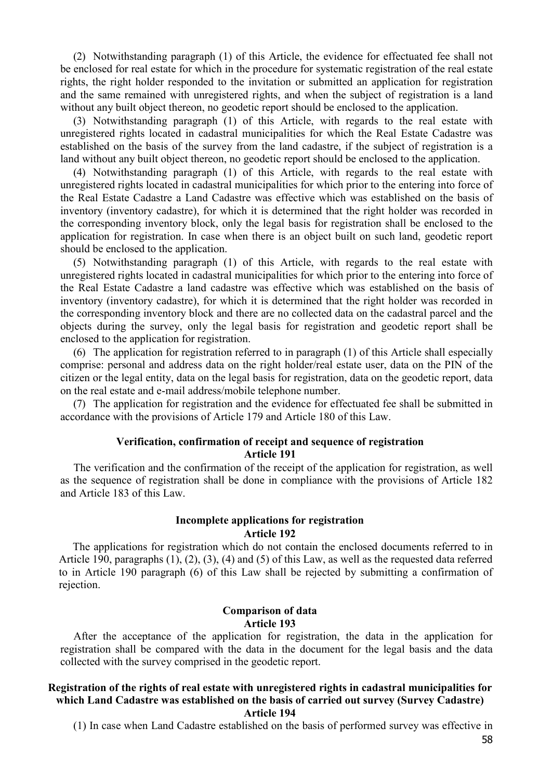(2) Notwithstanding paragraph (1) of this Article, the evidence for effectuated fee shall not be enclosed for real estate for which in the procedure for systematic registration of the real estate rights, the right holder responded to the invitation or submitted an application for registration and the same remained with unregistered rights, and when the subject of registration is a land without any built object thereon, no geodetic report should be enclosed to the application.

(3) Notwithstanding paragraph (1) of this Article, with regards to the real estate with unregistered rights located in cadastral municipalities for which the Real Estate Cadastre was established on the basis of the survey from the land cadastre, if the subject of registration is a land without any built object thereon, no geodetic report should be enclosed to the application.

(4) Notwithstanding paragraph (1) of this Article, with regards to the real estate with unregistered rights located in cadastral municipalities for which prior to the entering into force of the Real Estate Cadastre a Land Cadastre was effective which was established on the basis of inventory (inventory cadastre), for which it is determined that the right holder was recorded in the corresponding inventory block, only the legal basis for registration shall be enclosed to the application for registration. In case when there is an object built on such land, geodetic report should be enclosed to the application.

(5) Notwithstanding paragraph (1) of this Article, with regards to the real estate with unregistered rights located in cadastral municipalities for which prior to the entering into force of the Real Estate Cadastre a land cadastre was effective which was established on the basis of inventory (inventory cadastre), for which it is determined that the right holder was recorded in the corresponding inventory block and there are no collected data on the cadastral parcel and the objects during the survey, only the legal basis for registration and geodetic report shall be enclosed to the application for registration.

(6) The application for registration referred to in paragraph (1) of this Article shall especially comprise: personal and address data on the right holder/real estate user, data on the PIN of the citizen or the legal entity, data on the legal basis for registration, data on the geodetic report, data on the real estate and e-mail address/mobile telephone number.

(7) The application for registration and the evidence for effectuated fee shall be submitted in accordance with the provisions of Article 179 and Article 180 of this Law.

## **Verification, confirmation of receipt and sequence of registration**

**Article 191**

The verification and the confirmation of the receipt of the application for registration, as well as the sequence of registration shall be done in compliance with the provisions of Article 182 and Article 183 of this Law.

#### **Incomplete applications for registration Article 192**

The applications for registration which do not contain the enclosed documents referred to in Article 190, paragraphs (1), (2), (3), (4) and (5) of this Law, as well as the requested data referred to in Article 190 paragraph (6) of this Law shall be rejected by submitting a confirmation of rejection.

## **Comparison of data Article 193**

After the acceptance of the application for registration, the data in the application for registration shall be compared with the data in the document for the legal basis and the data collected with the survey comprised in the geodetic report.

# **Registration of the rights of real estate with unregistered rights in cadastral municipalities for which Land Cadastre was established on the basis of carried out survey (Survey Cadastre)**

**Article 194**

(1) In case when Land Cadastre established on the basis of performed survey was effective in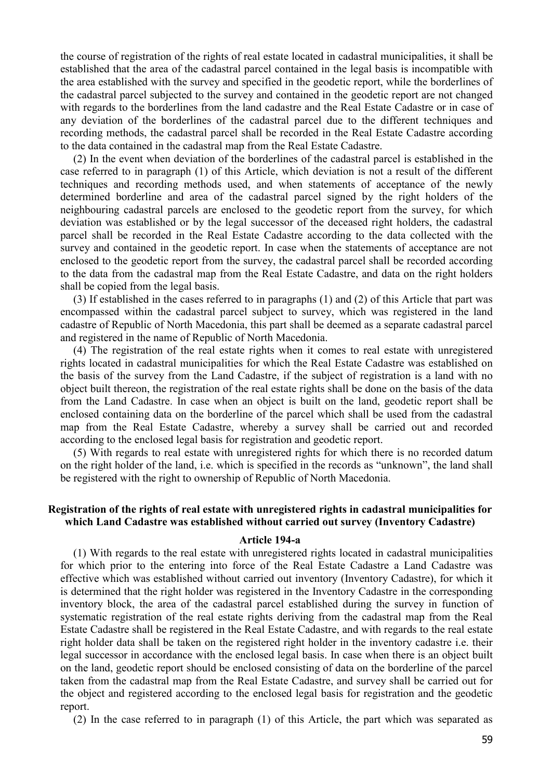the course of registration of the rights of real estate located in cadastral municipalities, it shall be established that the area of the cadastral parcel contained in the legal basis is incompatible with the area established with the survey and specified in the geodetic report, while the borderlines of the cadastral parcel subjected to the survey and contained in the geodetic report are not changed with regards to the borderlines from the land cadastre and the Real Estate Cadastre or in case of any deviation of the borderlines of the cadastral parcel due to the different techniques and recording methods, the cadastral parcel shall be recorded in the Real Estate Cadastre according to the data contained in the cadastral map from the Real Estate Cadastre.

(2) In the event when deviation of the borderlines of the cadastral parcel is established in the case referred to in paragraph (1) of this Article, which deviation is not a result of the different techniques and recording methods used, and when statements of acceptance of the newly determined borderline and area of the cadastral parcel signed by the right holders of the neighbouring cadastral parcels are enclosed to the geodetic report from the survey, for which deviation was established or by the legal successor of the deceased right holders, the cadastral parcel shall be recorded in the Real Estate Cadastre according to the data collected with the survey and contained in the geodetic report. In case when the statements of acceptance are not enclosed to the geodetic report from the survey, the cadastral parcel shall be recorded according to the data from the cadastral map from the Real Estate Cadastre, and data on the right holders shall be copied from the legal basis.

(3) If established in the cases referred to in paragraphs (1) and (2) of this Article that part was encompassed within the cadastral parcel subject to survey, which was registered in the land cadastre of Republic of North Macedonia, this part shall be deemed as a separate cadastral parcel and registered in the name of Republic of North Macedonia.

(4) The registration of the real estate rights when it comes to real estate with unregistered rights located in cadastral municipalities for which the Real Estate Cadastre was established on the basis of the survey from the Land Cadastre, if the subject of registration is a land with no object built thereon, the registration of the real estate rights shall be done on the basis of the data from the Land Cadastre. In case when an object is built on the land, geodetic report shall be enclosed containing data on the borderline of the parcel which shall be used from the cadastral map from the Real Estate Cadastre, whereby a survey shall be carried out and recorded according to the enclosed legal basis for registration and geodetic report.

(5) With regards to real estate with unregistered rights for which there is no recorded datum on the right holder of the land, i.e. which is specified in the records as "unknown", the land shall be registered with the right to ownership of Republic of North Macedonia.

## **Registration of the rights of real estate with unregistered rights in cadastral municipalities for which Land Cadastre was established without carried out survey (Inventory Cadastre)**

#### **Article 194-a**

(1) With regards to the real estate with unregistered rights located in cadastral municipalities for which prior to the entering into force of the Real Estate Cadastre a Land Cadastre was effective which was established without carried out inventory (Inventory Cadastre), for which it is determined that the right holder was registered in the Inventory Cadastre in the corresponding inventory block, the area of the cadastral parcel established during the survey in function of systematic registration of the real estate rights deriving from the cadastral map from the Real Estate Cadastre shall be registered in the Real Estate Cadastre, and with regards to the real estate right holder data shall be taken on the registered right holder in the inventory cadastre i.e. their legal successor in accordance with the enclosed legal basis. In case when there is an object built on the land, geodetic report should be enclosed consisting of data on the borderline of the parcel taken from the cadastral map from the Real Estate Cadastre, and survey shall be carried out for the object and registered according to the enclosed legal basis for registration and the geodetic report.

(2) In the case referred to in paragraph (1) of this Article, the part which was separated as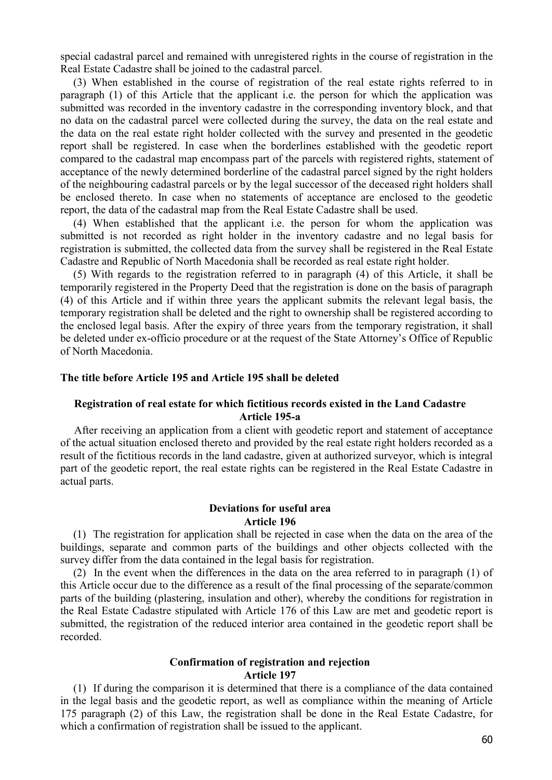special cadastral parcel and remained with unregistered rights in the course of registration in the Real Estate Cadastre shall be joined to the cadastral parcel.

(3) When established in the course of registration of the real estate rights referred to in paragraph (1) of this Article that the applicant i.e. the person for which the application was submitted was recorded in the inventory cadastre in the corresponding inventory block, and that no data on the cadastral parcel were collected during the survey, the data on the real estate and the data on the real estate right holder collected with the survey and presented in the geodetic report shall be registered. In case when the borderlines established with the geodetic report compared to the cadastral map encompass part of the parcels with registered rights, statement of acceptance of the newly determined borderline of the cadastral parcel signed by the right holders of the neighbouring cadastral parcels or by the legal successor of the deceased right holders shall be enclosed thereto. In case when no statements of acceptance are enclosed to the geodetic report, the data of the cadastral map from the Real Estate Cadastre shall be used.

(4) When established that the applicant i.e. the person for whom the application was submitted is not recorded as right holder in the inventory cadastre and no legal basis for registration is submitted, the collected data from the survey shall be registered in the Real Estate Cadastre and Republic of North Macedonia shall be recorded as real estate right holder.

(5) With regards to the registration referred to in paragraph (4) of this Article, it shall be temporarily registered in the Property Deed that the registration is done on the basis of paragraph (4) of this Article and if within three years the applicant submits the relevant legal basis, the temporary registration shall be deleted and the right to ownership shall be registered according to the enclosed legal basis. After the expiry of three years from the temporary registration, it shall be deleted under ex-officio procedure or at the request of the State Attorney's Office of Republic of North Macedonia.

#### **The title before Article 195 and Article 195 shall be deleted**

#### **Registration of real estate for which fictitious records existed in the Land Cadastre Article 195-a**

After receiving an application from a client with geodetic report and statement of acceptance of the actual situation enclosed thereto and provided by the real estate right holders recorded as a result of the fictitious records in the land cadastre, given at authorized surveyor, which is integral part of the geodetic report, the real estate rights can be registered in the Real Estate Cadastre in actual parts.

## **Deviations for useful area Article 196**

(1) The registration for application shall be rejected in case when the data on the area of the buildings, separate and common parts of the buildings and other objects collected with the survey differ from the data contained in the legal basis for registration.

(2) In the event when the differences in the data on the area referred to in paragraph (1) of this Article occur due to the difference as a result of the final processing of the separate/common parts of the building (plastering, insulation and other), whereby the conditions for registration in the Real Estate Cadastre stipulated with Article 176 of this Law are met and geodetic report is submitted, the registration of the reduced interior area contained in the geodetic report shall be recorded.

#### **Confirmation of registration and rejection Article 197**

(1) If during the comparison it is determined that there is a compliance of the data contained in the legal basis and the geodetic report, as well as compliance within the meaning of Article 175 paragraph (2) of this Law, the registration shall be done in the Real Estate Cadastre, for which a confirmation of registration shall be issued to the applicant.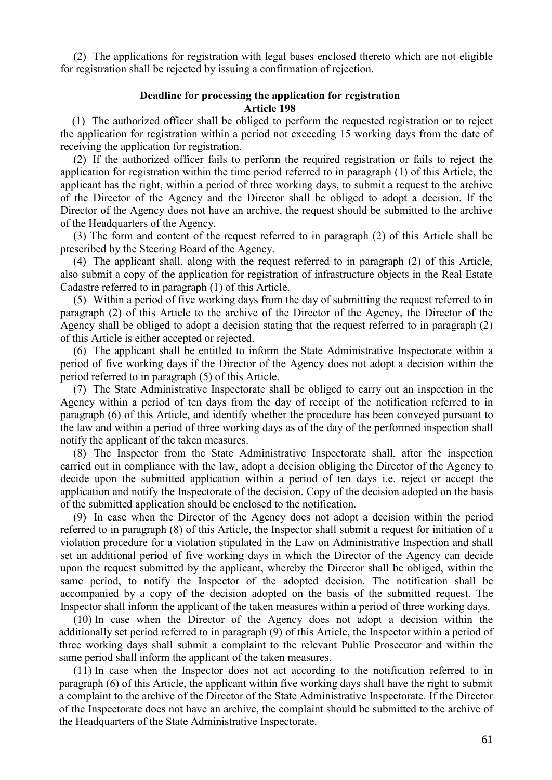(2) The applications for registration with legal bases enclosed thereto which are not eligible for registration shall be rejected by issuing a confirmation of rejection.

#### **Deadline for processing the application for registration Article 198**

(1) The authorized officer shall be obliged to perform the requested registration or to reject the application for registration within a period not exceeding 15 working days from the date of receiving the application for registration.

(2) If the authorized officer fails to perform the required registration or fails to reject the application for registration within the time period referred to in paragraph (1) of this Article, the applicant has the right, within a period of three working days, to submit a request to the archive of the Director of the Agency and the Director shall be obliged to adopt a decision. If the Director of the Agency does not have an archive, the request should be submitted to the archive of the Headquarters of the Agency.

(3) The form and content of the request referred to in paragraph (2) of this Article shall be prescribed by the Steering Board of the Agency.

(4) The applicant shall, along with the request referred to in paragraph (2) of this Article, also submit a copy of the application for registration of infrastructure objects in the Real Estate Cadastre referred to in paragraph (1) of this Article.

(5) Within a period of five working days from the day of submitting the request referred to in paragraph (2) of this Article to the archive of the Director of the Agency, the Director of the Agency shall be obliged to adopt a decision stating that the request referred to in paragraph (2) of this Article is either accepted or rejected.

(6) The applicant shall be entitled to inform the State Administrative Inspectorate within a period of five working days if the Director of the Agency does not adopt a decision within the period referred to in paragraph (5) of this Article.

(7) The State Administrative Inspectorate shall be obliged to carry out an inspection in the Agency within a period of ten days from the day of receipt of the notification referred to in paragraph (6) of this Article, and identify whether the procedure has been conveyed pursuant to the law and within a period of three working days as of the day of the performed inspection shall notify the applicant of the taken measures.

(8) The Inspector from the State Administrative Inspectorate shall, after the inspection carried out in compliance with the law, adopt a decision obliging the Director of the Agency to decide upon the submitted application within a period of ten days i.e. reject or accept the application and notify the Inspectorate of the decision. Copy of the decision adopted on the basis of the submitted application should be enclosed to the notification.

(9) In case when the Director of the Agency does not adopt a decision within the period referred to in paragraph (8) of this Article, the Inspector shall submit a request for initiation of a violation procedure for a violation stipulated in the Law on Administrative Inspection and shall set an additional period of five working days in which the Director of the Agency can decide upon the request submitted by the applicant, whereby the Director shall be obliged, within the same period, to notify the Inspector of the adopted decision. The notification shall be accompanied by a copy of the decision adopted on the basis of the submitted request. The Inspector shall inform the applicant of the taken measures within a period of three working days.

(10) In case when the Director of the Agency does not adopt a decision within the additionally set period referred to in paragraph (9) of this Article, the Inspector within a period of three working days shall submit a complaint to the relevant Public Prosecutor and within the same period shall inform the applicant of the taken measures.

(11) In case when the Inspector does not act according to the notification referred to in paragraph (6) of this Article, the applicant within five working days shall have the right to submit a complaint to the archive of the Director of the State Administrative Inspectorate. If the Director of the Inspectorate does not have an archive, the complaint should be submitted to the archive of the Headquarters of the State Administrative Inspectorate.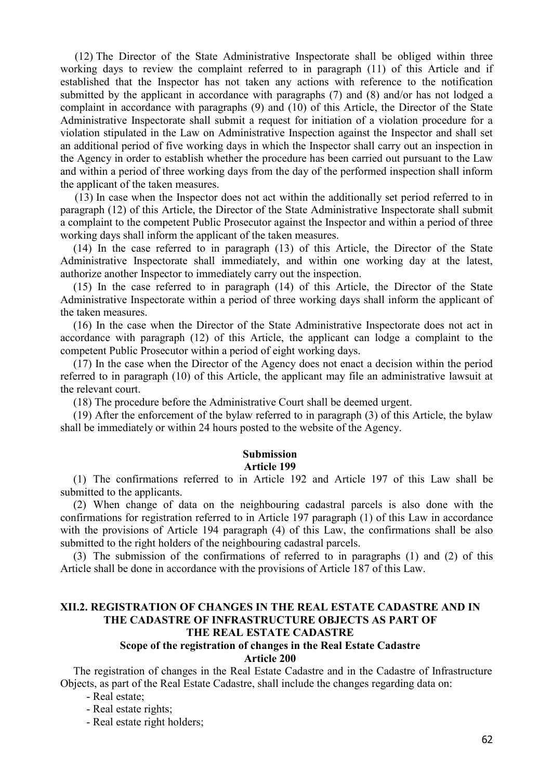(12) The Director of the State Administrative Inspectorate shall be obliged within three working days to review the complaint referred to in paragraph (11) of this Article and if established that the Inspector has not taken any actions with reference to the notification submitted by the applicant in accordance with paragraphs (7) and (8) and/or has not lodged a complaint in accordance with paragraphs (9) and (10) of this Article, the Director of the State Administrative Inspectorate shall submit a request for initiation of a violation procedure for a violation stipulated in the Law on Administrative Inspection against the Inspector and shall set an additional period of five working days in which the Inspector shall carry out an inspection in the Agency in order to establish whether the procedure has been carried out pursuant to the Law and within a period of three working days from the day of the performed inspection shall inform the applicant of the taken measures.

(13) In case when the Inspector does not act within the additionally set period referred to in paragraph (12) of this Article, the Director of the State Administrative Inspectorate shall submit a complaint to the competent Public Prosecutor against the Inspector and within a period of three working days shall inform the applicant of the taken measures.

(14) In the case referred to in paragraph (13) of this Article, the Director of the State Administrative Inspectorate shall immediately, and within one working day at the latest, authorize another Inspector to immediately carry out the inspection.

(15) In the case referred to in paragraph (14) of this Article, the Director of the State Administrative Inspectorate within a period of three working days shall inform the applicant of the taken measures.

(16) In the case when the Director of the State Administrative Inspectorate does not act in accordance with paragraph (12) of this Article, the applicant can lodge a complaint to the competent Public Prosecutor within a period of eight working days.

(17) In the case when the Director of the Agency does not enact a decision within the period referred to in paragraph (10) of this Article, the applicant may file an administrative lawsuit at the relevant court.

(18) The procedure before the Administrative Court shall be deemed urgent.

(19) After the enforcement of the bylaw referred to in paragraph (3) of this Article, the bylaw shall be immediately or within 24 hours posted to the website of the Agency.

#### **Submission**

#### **Article 199**

(1) The confirmations referred to in Article 192 and Article 197 of this Law shall be submitted to the applicants.

(2) When change of data on the neighbouring cadastral parcels is also done with the confirmations for registration referred to in Article 197 paragraph (1) of this Law in accordance with the provisions of Article 194 paragraph (4) of this Law, the confirmations shall be also submitted to the right holders of the neighbouring cadastral parcels.

(3) The submission of the confirmations of referred to in paragraphs (1) and (2) of this Article shall be done in accordance with the provisions of Article 187 of this Law.

## **XII.2. REGISTRATION OF CHANGES IN THE REAL ESTATE CADASTRE AND IN THE CADASTRE OF INFRASTRUCTURE OBJECTS AS PART OF THE REAL ESTATE CADASTRE**

#### **Scope of the registration of changes in the Real Estate Cadastre Article 200**

The registration of changes in the Real Estate Cadastre and in the Cadastre of Infrastructure Objects, as part of the Real Estate Cadastre, shall include the changes regarding data on:

- Real estate;

- Real estate rights;

- Real estate right holders;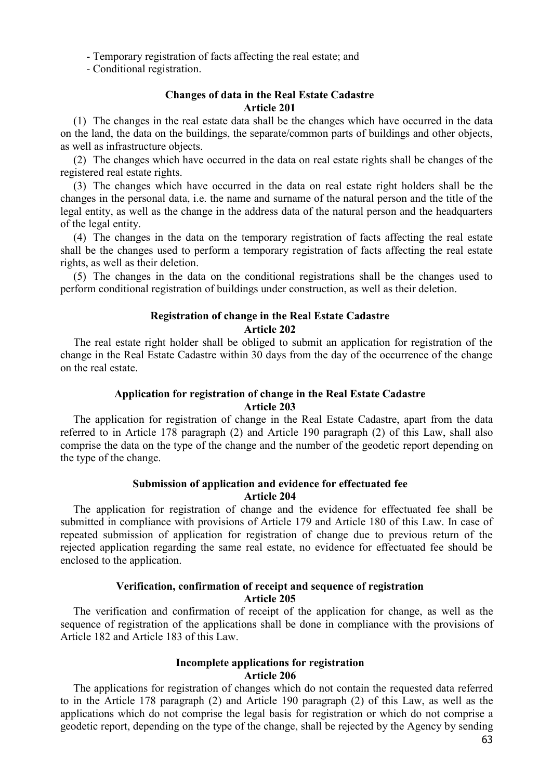- Temporary registration of facts affecting the real estate; and

- Conditional registration.

#### **Changes of data in the Real Estate Cadastre Article 201**

(1) The changes in the real estate data shall be the changes which have occurred in the data on the land, the data on the buildings, the separate/common parts of buildings and other objects, as well as infrastructure objects.

(2) The changes which have occurred in the data on real estate rights shall be changes of the registered real estate rights.

(3) The changes which have occurred in the data on real estate right holders shall be the changes in the personal data, i.e. the name and surname of the natural person and the title of the legal entity, as well as the change in the address data of the natural person and the headquarters of the legal entity.

(4) The changes in the data on the temporary registration of facts affecting the real estate shall be the changes used to perform a temporary registration of facts affecting the real estate rights, as well as their deletion.

(5) The changes in the data on the conditional registrations shall be the changes used to perform conditional registration of buildings under construction, as well as their deletion.

## **Registration of change in the Real Estate Cadastre Article 202**

The real estate right holder shall be obliged to submit an application for registration of the change in the Real Estate Cadastre within 30 days from the day of the occurrence of the change on the real estate.

## **Application for registration of change in the Real Estate Cadastre Article 203**

The application for registration of change in the Real Estate Cadastre, apart from the data referred to in Article 178 paragraph (2) and Article 190 paragraph (2) of this Law, shall also comprise the data on the type of the change and the number of the geodetic report depending on the type of the change.

## **Submission of application and evidence for effectuated fee Article 204**

The application for registration of change and the evidence for effectuated fee shall be submitted in compliance with provisions of Article 179 and Article 180 of this Law. In case of repeated submission of application for registration of change due to previous return of the rejected application regarding the same real estate, no evidence for effectuated fee should be enclosed to the application.

## **Verification, confirmation of receipt and sequence of registration Article 205**

The verification and confirmation of receipt of the application for change, as well as the sequence of registration of the applications shall be done in compliance with the provisions of Article 182 and Article 183 of this Law.

## **Incomplete applications for registration Article 206**

The applications for registration of changes which do not contain the requested data referred to in the Article 178 paragraph (2) and Article 190 paragraph (2) of this Law, as well as the applications which do not comprise the legal basis for registration or which do not comprise a geodetic report, depending on the type of the change, shall be rejected by the Agency by sending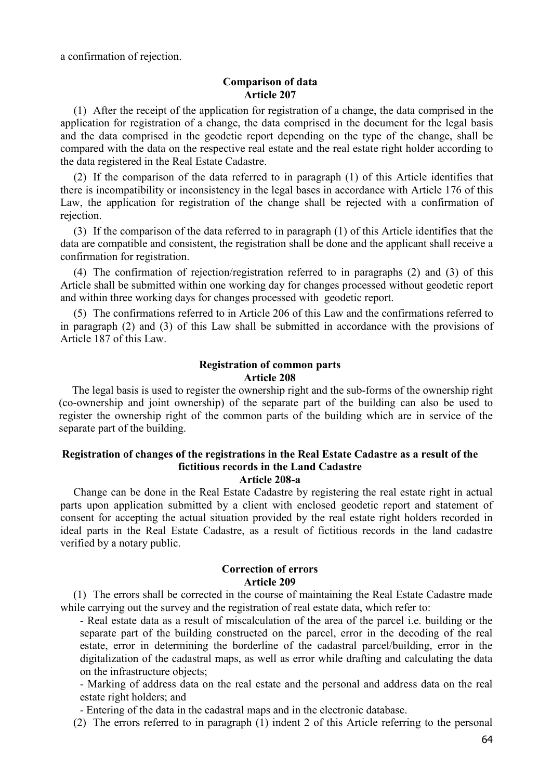a confirmation of rejection.

#### **Comparison of data Article 207**

(1) After the receipt of the application for registration of a change, the data comprised in the application for registration of a change, the data comprised in the document for the legal basis and the data comprised in the geodetic report depending on the type of the change, shall be compared with the data on the respective real estate and the real estate right holder according to the data registered in the Real Estate Cadastre.

(2) If the comparison of the data referred to in paragraph (1) of this Article identifies that there is incompatibility or inconsistency in the legal bases in accordance with Article 176 of this Law, the application for registration of the change shall be rejected with a confirmation of rejection.

(3) If the comparison of the data referred to in paragraph (1) of this Article identifies that the data are compatible and consistent, the registration shall be done and the applicant shall receive a confirmation for registration.

(4) The confirmation of rejection/registration referred to in paragraphs (2) and (3) of this Article shall be submitted within one working day for changes processed without geodetic report and within three working days for changes processed with geodetic report.

(5) The confirmations referred to in Article 206 of this Law and the confirmations referred to in paragraph (2) and (3) of this Law shall be submitted in accordance with the provisions of Article 187 of this Law.

## **Registration of common parts Article 208**

The legal basis is used to register the ownership right and the sub-forms of the ownership right (co-ownership and joint ownership) of the separate part of the building can also be used to register the ownership right of the common parts of the building which are in service of the separate part of the building.

# **Registration of changes of the registrations in the Real Estate Cadastre as a result of the fictitious records in the Land Cadastre**

**Article 208-a**

Change can be done in the Real Estate Cadastre by registering the real estate right in actual parts upon application submitted by a client with enclosed geodetic report and statement of consent for accepting the actual situation provided by the real estate right holders recorded in ideal parts in the Real Estate Cadastre, as a result of fictitious records in the land cadastre verified by a notary public.

## **Correction of errors Article 209**

(1) The errors shall be corrected in the course of maintaining the Real Estate Cadastre made while carrying out the survey and the registration of real estate data, which refer to:

- Real estate data as a result of miscalculation of the area of the parcel i.e. building or the separate part of the building constructed on the parcel, error in the decoding of the real estate, error in determining the borderline of the cadastral parcel/building, error in the digitalization of the cadastral maps, as well as error while drafting and calculating the data on the infrastructure objects;

- Marking of address data on the real estate and the personal and address data on the real estate right holders; and

- Entering of the data in the cadastral maps and in the electronic database.

(2) The errors referred to in paragraph (1) indent 2 of this Article referring to the personal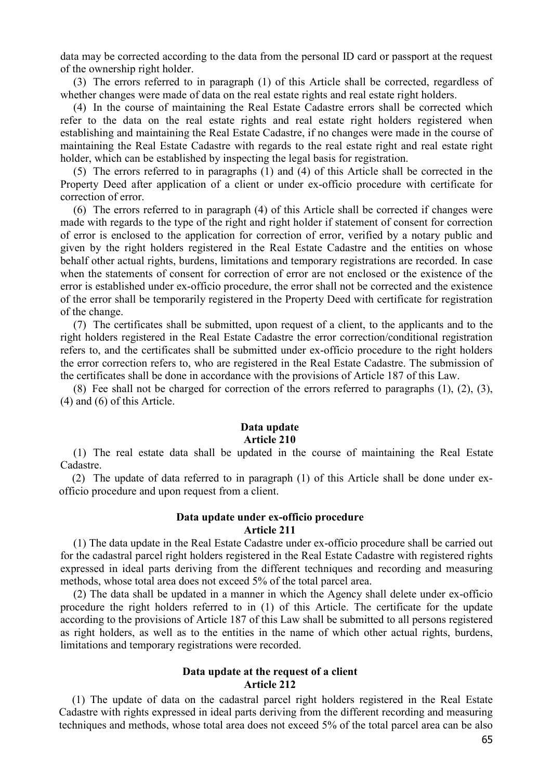data may be corrected according to the data from the personal ID card or passport at the request of the ownership right holder.

(3) The errors referred to in paragraph (1) of this Article shall be corrected, regardless of whether changes were made of data on the real estate rights and real estate right holders.

(4) In the course of maintaining the Real Estate Cadastre errors shall be corrected which refer to the data on the real estate rights and real estate right holders registered when establishing and maintaining the Real Estate Cadastre, if no changes were made in the course of maintaining the Real Estate Cadastre with regards to the real estate right and real estate right holder, which can be established by inspecting the legal basis for registration.

(5) The errors referred to in paragraphs (1) and (4) of this Article shall be corrected in the Property Deed after application of a client or under ex-officio procedure with certificate for correction of error.

(6) The errors referred to in paragraph (4) of this Article shall be corrected if changes were made with regards to the type of the right and right holder if statement of consent for correction of error is enclosed to the application for correction of error, verified by a notary public and given by the right holders registered in the Real Estate Cadastre and the entities on whose behalf other actual rights, burdens, limitations and temporary registrations are recorded. In case when the statements of consent for correction of error are not enclosed or the existence of the error is established under ex-officio procedure, the error shall not be corrected and the existence of the error shall be temporarily registered in the Property Deed with certificate for registration of the change.

(7) The certificates shall be submitted, upon request of a client, to the applicants and to the right holders registered in the Real Estate Cadastre the error correction/conditional registration refers to, and the certificates shall be submitted under ex-officio procedure to the right holders the error correction refers to, who are registered in the Real Estate Cadastre. The submission of the certificates shall be done in accordance with the provisions of Article 187 of this Law.

(8) Fee shall not be charged for correction of the errors referred to paragraphs (1), (2), (3), (4) and (6) of this Article.

#### **Data update Article 210**

(1) The real estate data shall be updated in the course of maintaining the Real Estate Cadastre.

(2) The update of data referred to in paragraph (1) of this Article shall be done under exofficio procedure and upon request from a client.

#### **Data update under ex-officio procedure Article 211**

(1) The data update in the Real Estate Cadastre under ex-officio procedure shall be carried out for the cadastral parcel right holders registered in the Real Estate Cadastre with registered rights expressed in ideal parts deriving from the different techniques and recording and measuring methods, whose total area does not exceed 5% of the total parcel area.

(2) The data shall be updated in a manner in which the Agency shall delete under ex-officio procedure the right holders referred to in (1) of this Article. The certificate for the update according to the provisions of Article 187 of this Law shall be submitted to all persons registered as right holders, as well as to the entities in the name of which other actual rights, burdens, limitations and temporary registrations were recorded.

## **Data update at the request of a client Article 212**

(1) The update of data on the cadastral parcel right holders registered in the Real Estate Cadastre with rights expressed in ideal parts deriving from the different recording and measuring techniques and methods, whose total area does not exceed 5% of the total parcel area can be also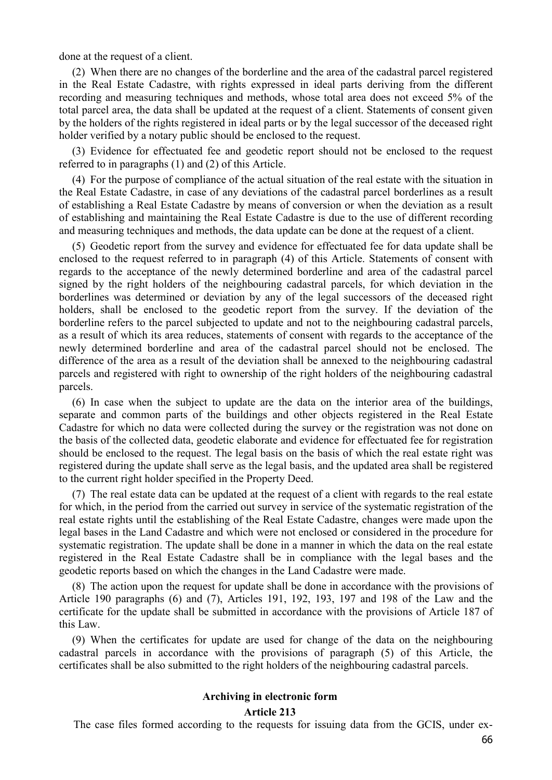done at the request of a client.

(2) When there are no changes of the borderline and the area of the cadastral parcel registered in the Real Estate Cadastre, with rights expressed in ideal parts deriving from the different recording and measuring techniques and methods, whose total area does not exceed 5% of the total parcel area, the data shall be updated at the request of a client. Statements of consent given by the holders of the rights registered in ideal parts or by the legal successor of the deceased right holder verified by a notary public should be enclosed to the request.

(3) Evidence for effectuated fee and geodetic report should not be enclosed to the request referred to in paragraphs (1) and (2) of this Article.

(4) For the purpose of compliance of the actual situation of the real estate with the situation in the Real Estate Cadastre, in case of any deviations of the cadastral parcel borderlines as a result of establishing a Real Estate Cadastre by means of conversion or when the deviation as a result of establishing and maintaining the Real Estate Cadastre is due to the use of different recording and measuring techniques and methods, the data update can be done at the request of a client.

(5) Geodetic report from the survey and evidence for effectuated fee for data update shall be enclosed to the request referred to in paragraph (4) of this Article. Statements of consent with regards to the acceptance of the newly determined borderline and area of the cadastral parcel signed by the right holders of the neighbouring cadastral parcels, for which deviation in the borderlines was determined or deviation by any of the legal successors of the deceased right holders, shall be enclosed to the geodetic report from the survey. If the deviation of the borderline refers to the parcel subjected to update and not to the neighbouring cadastral parcels, as a result of which its area reduces, statements of consent with regards to the acceptance of the newly determined borderline and area of the cadastral parcel should not be enclosed. The difference of the area as a result of the deviation shall be annexed to the neighbouring cadastral parcels and registered with right to ownership of the right holders of the neighbouring cadastral parcels.

(6) In case when the subject to update are the data on the interior area of the buildings, separate and common parts of the buildings and other objects registered in the Real Estate Cadastre for which no data were collected during the survey or the registration was not done on the basis of the collected data, geodetic elaborate and evidence for effectuated fee for registration should be enclosed to the request. The legal basis on the basis of which the real estate right was registered during the update shall serve as the legal basis, and the updated area shall be registered to the current right holder specified in the Property Deed.

(7) The real estate data can be updated at the request of a client with regards to the real estate for which, in the period from the carried out survey in service of the systematic registration of the real estate rights until the establishing of the Real Estate Cadastre, changes were made upon the legal bases in the Land Cadastre and which were not enclosed or considered in the procedure for systematic registration. The update shall be done in a manner in which the data on the real estate registered in the Real Estate Cadastre shall be in compliance with the legal bases and the geodetic reports based on which the changes in the Land Cadastre were made.

(8) The action upon the request for update shall be done in accordance with the provisions of Article 190 paragraphs (6) and (7), Articles 191, 192, 193, 197 and 198 of the Law and the certificate for the update shall be submitted in accordance with the provisions of Article 187 of this Law.

(9) When the certificates for update are used for change of the data on the neighbouring cadastral parcels in accordance with the provisions of paragraph (5) of this Article, the certificates shall be also submitted to the right holders of the neighbouring cadastral parcels.

## **Archiving in electronic form**

**Article 213**

The case files formed according to the requests for issuing data from the GCIS, under ex-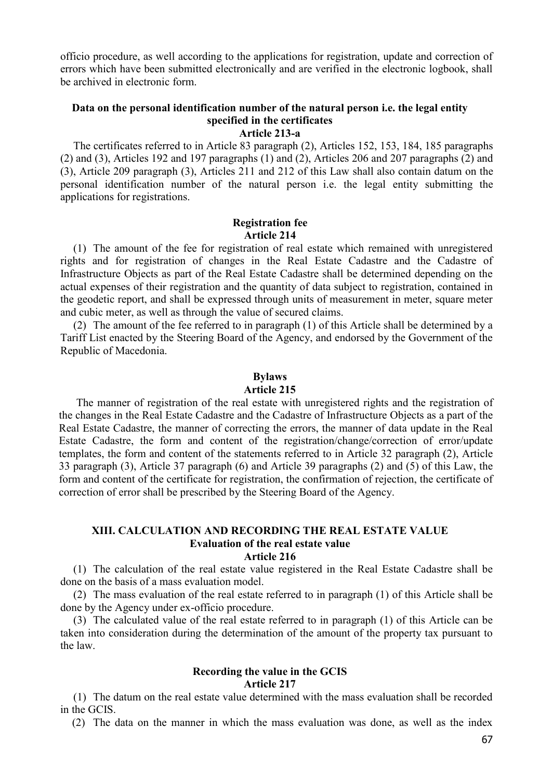officio procedure, as well according to the applications for registration, update and correction of errors which have been submitted electronically and are verified in the electronic logbook, shall be archived in electronic form.

#### **Data on the personal identification number of the natural person i.e. the legal entity specified in the certificates Article 213-a**

The certificates referred to in Article 83 paragraph (2), Articles 152, 153, 184, 185 paragraphs (2) and (3), Articles 192 and 197 paragraphs (1) and (2), Articles 206 and 207 paragraphs (2) and (3), Article 209 paragraph (3), Articles 211 and 212 of this Law shall also contain datum on the personal identification number of the natural person i.e. the legal entity submitting the applications for registrations.

#### **Registration fee Article 214**

(1) The amount of the fee for registration of real estate which remained with unregistered rights and for registration of changes in the Real Estate Cadastre and the Cadastre of Infrastructure Objects as part of the Real Estate Cadastre shall be determined depending on the actual expenses of their registration and the quantity of data subject to registration, contained in the geodetic report, and shall be expressed through units of measurement in meter, square meter and cubic meter, as well as through the value of secured claims.

(2) The amount of the fee referred to in paragraph (1) of this Article shall be determined by a Tariff List enacted by the Steering Board of the Agency, and endorsed by the Government of the Republic of Macedonia.

## **Bylaws**

#### **Article 215**

The manner of registration of the real estate with unregistered rights and the registration of the changes in the Real Estate Cadastre and the Cadastre of Infrastructure Objects as a part of the Real Estate Cadastre, the manner of correcting the errors, the manner of data update in the Real Estate Cadastre, the form and content of the registration/change/correction of error/update templates, the form and content of the statements referred to in Article 32 paragraph (2), Article 33 paragraph (3), Article 37 paragraph (6) and Article 39 paragraphs (2) and (5) of this Law, the form and content of the certificate for registration, the confirmation of rejection, the certificate of correction of error shall be prescribed by the Steering Board of the Agency.

#### **XIII. CALCULATION AND RECORDING THE REAL ESTATE VALUE Evaluation of the real estate value Article 216**

(1) The calculation of the real estate value registered in the Real Estate Cadastre shall be done on the basis of a mass evaluation model.

(2) The mass evaluation of the real estate referred to in paragraph (1) of this Article shall be done by the Agency under ex-officio procedure.

(3) The calculated value of the real estate referred to in paragraph (1) of this Article can be taken into consideration during the determination of the amount of the property tax pursuant to the law.

#### **Recording the value in the GCIS Article 217**

(1) The datum on the real estate value determined with the mass evaluation shall be recorded in the GCIS.

(2) The data on the manner in which the mass evaluation was done, as well as the index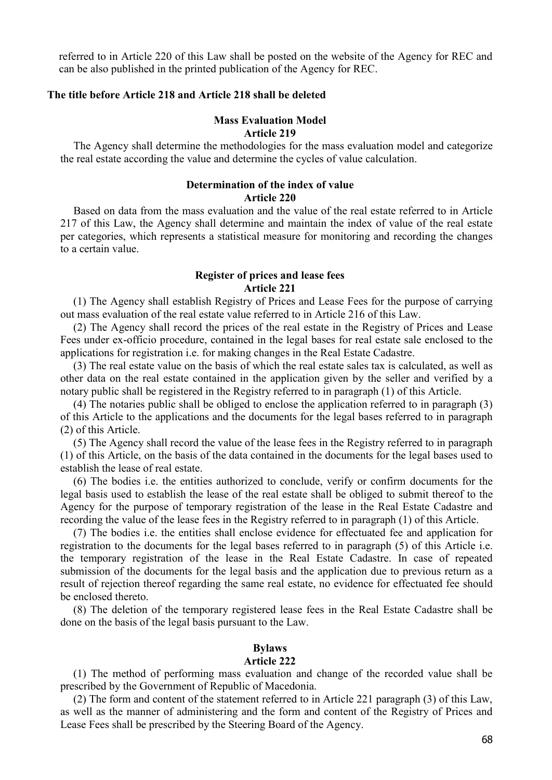referred to in Article 220 of this Law shall be posted on the website of the Agency for REC and can be also published in the printed publication of the Agency for REC.

## **The title before Article 218 and Article 218 shall be deleted**

## **Mass Evaluation Model Article 219**

The Agency shall determine the methodologies for the mass evaluation model and categorize the real estate according the value and determine the cycles of value calculation.

## **Determination of the index of value Article 220**

Based on data from the mass evaluation and the value of the real estate referred to in Article 217 of this Law, the Agency shall determine and maintain the index of value of the real estate per categories, which represents a statistical measure for monitoring and recording the changes to a certain value.

#### **Register of prices and lease fees Article 221**

(1) The Agency shall establish Registry of Prices and Lease Fees for the purpose of carrying out mass evaluation of the real estate value referred to in Article 216 of this Law.

(2) The Agency shall record the prices of the real estate in the Registry of Prices and Lease Fees under ex-officio procedure, contained in the legal bases for real estate sale enclosed to the applications for registration i.e. for making changes in the Real Estate Cadastre.

(3) The real estate value on the basis of which the real estate sales tax is calculated, as well as other data on the real estate contained in the application given by the seller and verified by a notary public shall be registered in the Registry referred to in paragraph (1) of this Article.

(4) The notaries public shall be obliged to enclose the application referred to in paragraph (3) of this Article to the applications and the documents for the legal bases referred to in paragraph (2) of this Article.

(5) The Agency shall record the value of the lease fees in the Registry referred to in paragraph (1) of this Article, on the basis of the data contained in the documents for the legal bases used to establish the lease of real estate.

(6) The bodies i.e. the entities authorized to conclude, verify or confirm documents for the legal basis used to establish the lease of the real estate shall be obliged to submit thereof to the Agency for the purpose of temporary registration of the lease in the Real Estate Cadastre and recording the value of the lease fees in the Registry referred to in paragraph (1) of this Article.

(7) The bodies i.e. the entities shall enclose evidence for effectuated fee and application for registration to the documents for the legal bases referred to in paragraph (5) of this Article i.e. the temporary registration of the lease in the Real Estate Cadastre. In case of repeated submission of the documents for the legal basis and the application due to previous return as a result of rejection thereof regarding the same real estate, no evidence for effectuated fee should be enclosed thereto.

(8) The deletion of the temporary registered lease fees in the Real Estate Cadastre shall be done on the basis of the legal basis pursuant to the Law.

## **Bylaws**

#### **Article 222**

(1) The method of performing mass evaluation and change of the recorded value shall be prescribed by the Government of Republic of Macedonia.

(2) The form and content of the statement referred to in Article 221 paragraph (3) of this Law, as well as the manner of administering and the form and content of the Registry of Prices and Lease Fees shall be prescribed by the Steering Board of the Agency.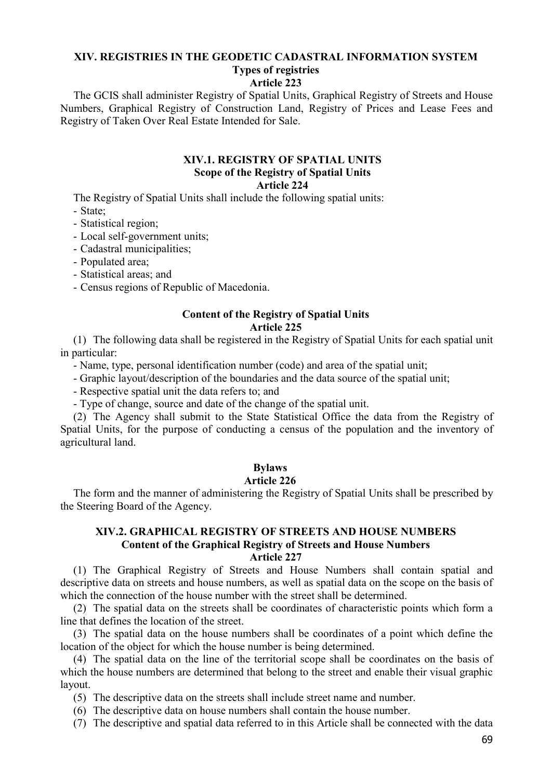# **XIV. REGISTRIES IN THE GEODETIC CADASTRAL INFORMATION SYSTEM**

# **Types of registries**

## **Article 223**

The GCIS shall administer Registry of Spatial Units, Graphical Registry of Streets and House Numbers, Graphical Registry of Construction Land, Registry of Prices and Lease Fees and Registry of Taken Over Real Estate Intended for Sale.

#### **XIV.1. REGISTRY OF SPATIAL UNITS Scope of the Registry of Spatial Units Article 224**

The Registry of Spatial Units shall include the following spatial units:

- State;

- Statistical region;
- Local self-government units;
- Cadastral municipalities;
- Populated area;
- Statistical areas; and
- Census regions of Republic of Macedonia.

#### **Content of the Registry of Spatial Units Article 225**

(1) The following data shall be registered in the Registry of Spatial Units for each spatial unit in particular:

- Name, type, personal identification number (code) and area of the spatial unit;

- Graphic layout/description of the boundaries and the data source of the spatial unit;

- Respective spatial unit the data refers to; and

- Type of change, source and date of the change of the spatial unit.

(2) The Agency shall submit to the State Statistical Office the data from the Registry of Spatial Units, for the purpose of conducting a census of the population and the inventory of agricultural land.

#### **Bylaws**

## **Article 226**

The form and the manner of administering the Registry of Spatial Units shall be prescribed by the Steering Board of the Agency.

## **XIV.2. GRAPHICAL REGISTRY OF STREETS AND HOUSE NUMBERS Content of the Graphical Registry of Streets and House Numbers Article 227**

(1) The Graphical Registry of Streets and House Numbers shall contain spatial and descriptive data on streets and house numbers, as well as spatial data on the scope on the basis of which the connection of the house number with the street shall be determined.

(2) The spatial data on the streets shall be coordinates of characteristic points which form a line that defines the location of the street.

(3) The spatial data on the house numbers shall be coordinates of a point which define the location of the object for which the house number is being determined.

(4) The spatial data on the line of the territorial scope shall be coordinates on the basis of which the house numbers are determined that belong to the street and enable their visual graphic layout.

(5) The descriptive data on the streets shall include street name and number.

(6) The descriptive data on house numbers shall contain the house number.

(7) The descriptive and spatial data referred to in this Article shall be connected with the data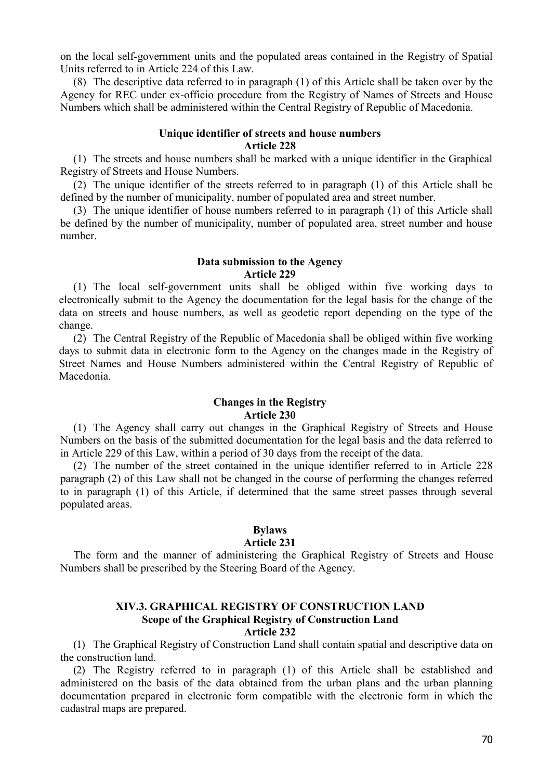on the local self-government units and the populated areas contained in the Registry of Spatial Units referred to in Article 224 of this Law.

(8) The descriptive data referred to in paragraph (1) of this Article shall be taken over by the Agency for REC under ex-officio procedure from the Registry of Names of Streets and House Numbers which shall be administered within the Central Registry of Republic of Macedonia.

## **Unique identifier of streets and house numbers Article 228**

(1) The streets and house numbers shall be marked with a unique identifier in the Graphical Registry of Streets and House Numbers.

(2) The unique identifier of the streets referred to in paragraph (1) of this Article shall be defined by the number of municipality, number of populated area and street number.

(3) The unique identifier of house numbers referred to in paragraph (1) of this Article shall be defined by the number of municipality, number of populated area, street number and house number.

#### **Data submission to the Agency Article 229**

(1) The local self-government units shall be obliged within five working days to electronically submit to the Agency the documentation for the legal basis for the change of the data on streets and house numbers, as well as geodetic report depending on the type of the change.

(2) The Central Registry of the Republic of Macedonia shall be obliged within five working days to submit data in electronic form to the Agency on the changes made in the Registry of Street Names and House Numbers administered within the Central Registry of Republic of Macedonia.

#### **Changes in the Registry Article 230**

(1) The Agency shall carry out changes in the Graphical Registry of Streets and House Numbers on the basis of the submitted documentation for the legal basis and the data referred to in Article 229 of this Law, within a period of 30 days from the receipt of the data.

(2) The number of the street contained in the unique identifier referred to in Article 228 paragraph (2) of this Law shall not be changed in the course of performing the changes referred to in paragraph (1) of this Article, if determined that the same street passes through several populated areas.

## **Bylaws**

## **Article 231**

The form and the manner of administering the Graphical Registry of Streets and House Numbers shall be prescribed by the Steering Board of the Agency.

# **XIV.3. GRAPHICAL REGISTRY OF CONSTRUCTION LAND Scope of the Graphical Registry of Construction Land**

**Article 232**

(1) The Graphical Registry of Construction Land shall contain spatial and descriptive data on the construction land.

(2) The Registry referred to in paragraph (1) of this Article shall be established and administered on the basis of the data obtained from the urban plans and the urban planning documentation prepared in electronic form compatible with the electronic form in which the cadastral maps are prepared.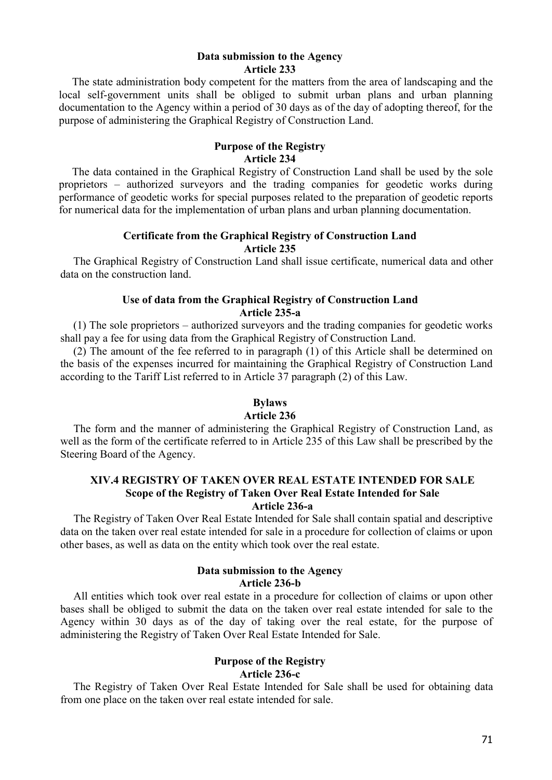#### **Data submission to the Agency Article 233**

The state administration body competent for the matters from the area of landscaping and the local self-government units shall be obliged to submit urban plans and urban planning documentation to the Agency within a period of 30 days as of the day of adopting thereof, for the purpose of administering the Graphical Registry of Construction Land.

#### **Purpose of the Registry Article 234**

The data contained in the Graphical Registry of Construction Land shall be used by the sole proprietors – authorized surveyors and the trading companies for geodetic works during performance of geodetic works for special purposes related to the preparation of geodetic reports for numerical data for the implementation of urban plans and urban planning documentation.

## **Certificate from the Graphical Registry of Construction Land Article 235**

The Graphical Registry of Construction Land shall issue certificate, numerical data and other data on the construction land.

## **Use of data from the Graphical Registry of Construction Land Article 235-a**

(1) The sole proprietors – authorized surveyors and the trading companies for geodetic works shall pay a fee for using data from the Graphical Registry of Construction Land.

(2) The amount of the fee referred to in paragraph (1) of this Article shall be determined on the basis of the expenses incurred for maintaining the Graphical Registry of Construction Land according to the Tariff List referred to in Article 37 paragraph (2) of this Law.

## **Bylaws**

## **Article 236**

The form and the manner of administering the Graphical Registry of Construction Land, as well as the form of the certificate referred to in Article 235 of this Law shall be prescribed by the Steering Board of the Agency.

# **XIV.4 REGISTRY OF TAKEN OVER REAL ESTATE INTENDED FOR SALE Scope of the Registry of Taken Over Real Estate Intended for Sale**

## **Article 236-a**

The Registry of Taken Over Real Estate Intended for Sale shall contain spatial and descriptive data on the taken over real estate intended for sale in a procedure for collection of claims or upon other bases, as well as data on the entity which took over the real estate.

## **Data submission to the Agency Article 236-b**

All entities which took over real estate in a procedure for collection of claims or upon other bases shall be obliged to submit the data on the taken over real estate intended for sale to the Agency within 30 days as of the day of taking over the real estate, for the purpose of administering the Registry of Taken Over Real Estate Intended for Sale.

## **Purpose of the Registry Article 236-c**

The Registry of Taken Over Real Estate Intended for Sale shall be used for obtaining data from one place on the taken over real estate intended for sale.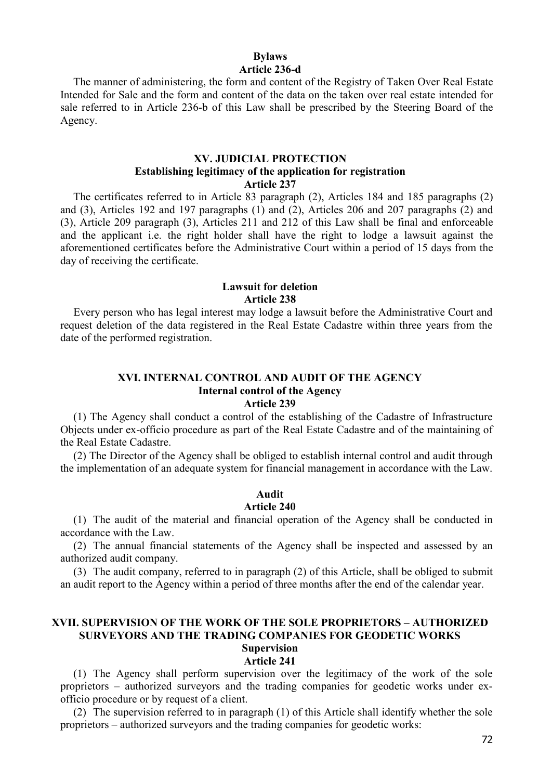## **Bylaws Article 236-d**

The manner of administering, the form and content of the Registry of Taken Over Real Estate Intended for Sale and the form and content of the data on the taken over real estate intended for sale referred to in Article 236-b of this Law shall be prescribed by the Steering Board of the Agency.

#### **XV. JUDICIAL PROTECTION Establishing legitimacy of the application for registration Article 237**

The certificates referred to in Article 83 paragraph (2), Articles 184 and 185 paragraphs (2) and (3), Articles 192 and 197 paragraphs (1) and (2), Articles 206 and 207 paragraphs (2) and (3), Article 209 paragraph (3), Articles 211 and 212 of this Law shall be final and enforceable and the applicant i.e. the right holder shall have the right to lodge a lawsuit against the aforementioned certificates before the Administrative Court within a period of 15 days from the day of receiving the certificate.

## **Lawsuit for deletion Article 238**

Every person who has legal interest may lodge a lawsuit before the Administrative Court and request deletion of the data registered in the Real Estate Cadastre within three years from the date of the performed registration.

## **XVI. INTERNAL CONTROL AND AUDIT OF THE AGENCY Internal control of the Agency Article 239**

(1) The Agency shall conduct a control of the establishing of the Cadastre of Infrastructure Objects under ex-officio procedure as part of the Real Estate Cadastre and of the maintaining of the Real Estate Cadastre.

(2) The Director of the Agency shall be obliged to establish internal control and audit through the implementation of an adequate system for financial management in accordance with the Law.

## **Audit**

## **Article 240**

(1) The audit of the material and financial operation of the Agency shall be conducted in accordance with the Law.

(2) The annual financial statements of the Agency shall be inspected and assessed by an authorized audit company.

(3) The audit company, referred to in paragraph (2) of this Article, shall be obliged to submit an audit report to the Agency within a period of three months after the end of the calendar year.

#### **XVII. SUPERVISION OF THE WORK OF THE SOLE PROPRIETORS – AUTHORIZED SURVEYORS AND THE TRADING COMPANIES FOR GEODETIC WORKS Supervision**

# **Article 241**

(1) The Agency shall perform supervision over the legitimacy of the work of the sole proprietors – authorized surveyors and the trading companies for geodetic works under exofficio procedure or by request of a client.

(2) The supervision referred to in paragraph (1) of this Article shall identify whether the sole proprietors – authorized surveyors and the trading companies for geodetic works: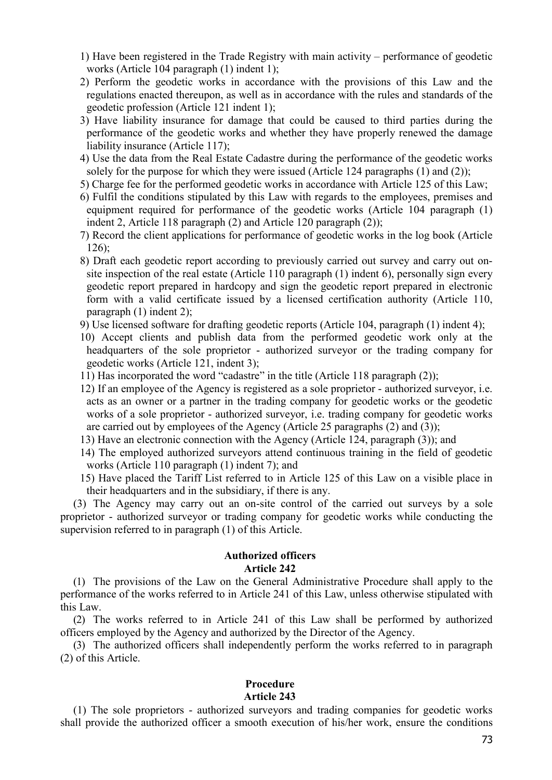- 1) Have been registered in the Trade Registry with main activity performance of geodetic works (Article 104 paragraph (1) indent 1);
- 2) Perform the geodetic works in accordance with the provisions of this Law and the regulations enacted thereupon, as well as in accordance with the rules and standards of the geodetic profession (Article 121 indent 1);
- 3) Have liability insurance for damage that could be caused to third parties during the performance of the geodetic works and whether they have properly renewed the damage liability insurance (Article 117);
- 4) Use the data from the Real Estate Cadastre during the performance of the geodetic works solely for the purpose for which they were issued (Article 124 paragraphs  $(1)$  and  $(2)$ );
- 5) Charge fee for the performed geodetic works in accordance with Article 125 of this Law;
- 6) Fulfil the conditions stipulated by this Law with regards to the employees, premises and equipment required for performance of the geodetic works (Article 104 paragraph (1) indent 2, Article 118 paragraph (2) and Article 120 paragraph (2));
- 7) Record the client applications for performance of geodetic works in the log book (Article 126);
- 8) Draft each geodetic report according to previously carried out survey and carry out onsite inspection of the real estate (Article 110 paragraph (1) indent 6), personally sign every geodetic report prepared in hardcopy and sign the geodetic report prepared in electronic form with a valid certificate issued by a licensed certification authority (Article 110, paragraph (1) indent 2);
- 9) Use licensed software for drafting geodetic reports (Article 104, paragraph (1) indent 4);
- 10) Accept clients and publish data from the performed geodetic work only at the headquarters of the sole proprietor - authorized surveyor or the trading company for geodetic works (Article 121, indent 3);
- 11) Has incorporated the word "cadastre" in the title (Article 118 paragraph (2));
- 12) If an employee of the Agency is registered as a sole proprietor authorized surveyor, i.e. acts as an owner or a partner in the trading company for geodetic works or the geodetic works of a sole proprietor - authorized surveyor, i.e. trading company for geodetic works are carried out by employees of the Agency (Article 25 paragraphs (2) and (3));
- 13) Have an electronic connection with the Agency (Article 124, paragraph (3)); and
- 14) The employed authorized surveyors attend continuous training in the field of geodetic works (Article 110 paragraph (1) indent 7); and
- 15) Have placed the Tariff List referred to in Article 125 of this Law on a visible place in their headquarters and in the subsidiary, if there is any.

(3) The Agency may carry out an on-site control of the carried out surveys by a sole proprietor - authorized surveyor or trading company for geodetic works while conducting the supervision referred to in paragraph (1) of this Article.

## **Authorized officers Article 242**

(1) The provisions of the Law on the General Administrative Procedure shall apply to the performance of the works referred to in Article 241 of this Law, unless otherwise stipulated with this Law.

(2) The works referred to in Article 241 of this Law shall be performed by authorized officers employed by the Agency and authorized by the Director of the Agency.

(3) The authorized officers shall independently perform the works referred to in paragraph (2) of this Article.

# **Procedure**

## **Article 243**

(1) The sole proprietors - authorized surveyors and trading companies for geodetic works shall provide the authorized officer a smooth execution of his/her work, ensure the conditions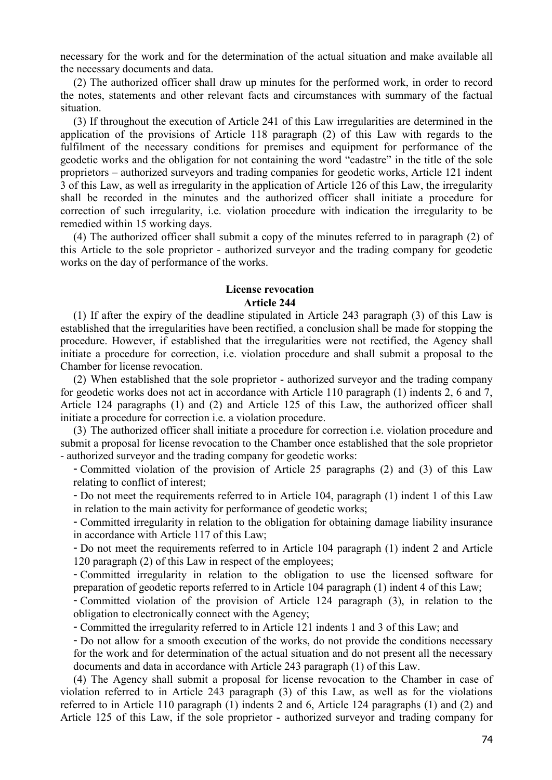necessary for the work and for the determination of the actual situation and make available all the necessary documents and data.

(2) The authorized officer shall draw up minutes for the performed work, in order to record the notes, statements and other relevant facts and circumstances with summary of the factual situation.

(3) If throughout the execution of Article 241 of this Law irregularities are determined in the application of the provisions of Article 118 paragraph (2) of this Law with regards to the fulfilment of the necessary conditions for premises and equipment for performance of the geodetic works and the obligation for not containing the word "cadastre" in the title of the sole proprietors – authorized surveyors and trading companies for geodetic works, Article 121 indent 3 of this Law, as well as irregularity in the application of Article 126 of this Law, the irregularity shall be recorded in the minutes and the authorized officer shall initiate a procedure for correction of such irregularity, i.e. violation procedure with indication the irregularity to be remedied within 15 working days.

(4) The authorized officer shall submit a copy of the minutes referred to in paragraph (2) of this Article to the sole proprietor - authorized surveyor and the trading company for geodetic works on the day of performance of the works.

## **License revocation Article 244**

(1) If after the expiry of the deadline stipulated in Article 243 paragraph (3) of this Law is established that the irregularities have been rectified, a conclusion shall be made for stopping the procedure. However, if established that the irregularities were not rectified, the Agency shall initiate a procedure for correction, i.e. violation procedure and shall submit a proposal to the Chamber for license revocation.

(2) When established that the sole proprietor - authorized surveyor and the trading company for geodetic works does not act in accordance with Article 110 paragraph (1) indents 2, 6 and 7, Article 124 paragraphs (1) and (2) and Article 125 of this Law, the authorized officer shall initiate a procedure for correction i.e. a violation procedure.

(3) The authorized officer shall initiate a procedure for correction i.e. violation procedure and submit a proposal for license revocation to the Chamber once established that the sole proprietor - authorized surveyor and the trading company for geodetic works:

- Committed violation of the provision of Article 25 paragraphs (2) and (3) of this Law relating to conflict of interest;

- Do not meet the requirements referred to in Article 104, paragraph (1) indent 1 of this Law in relation to the main activity for performance of geodetic works;

- Committed irregularity in relation to the obligation for obtaining damage liability insurance in accordance with Article 117 of this Law;

- Do not meet the requirements referred to in Article 104 paragraph (1) indent 2 and Article 120 paragraph (2) of this Law in respect of the employees;

- Committed irregularity in relation to the obligation to use the licensed software for preparation of geodetic reports referred to in Article 104 paragraph (1) indent 4 of this Law;

- Committed violation of the provision of Article 124 paragraph (3), in relation to the obligation to electronically connect with the Agency;

- Committed the irregularity referred to in Article 121 indents 1 and 3 of this Law; and

- Do not allow for a smooth execution of the works, do not provide the conditions necessary for the work and for determination of the actual situation and do not present all the necessary documents and data in accordance with Article 243 paragraph (1) of this Law.

(4) The Agency shall submit a proposal for license revocation to the Chamber in case of violation referred to in Article 243 paragraph (3) of this Law, as well as for the violations referred to in Article 110 paragraph (1) indents 2 and 6, Article 124 paragraphs (1) and (2) and Article 125 of this Law, if the sole proprietor - authorized surveyor and trading company for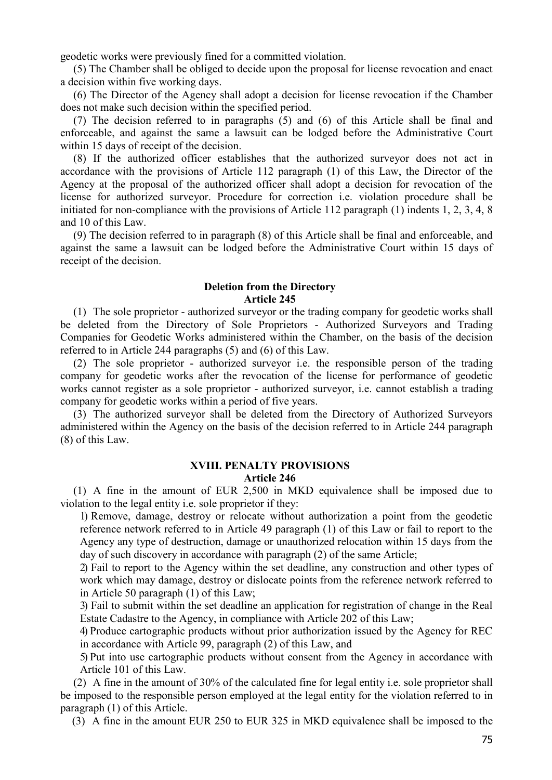geodetic works were previously fined for a committed violation.

(5) The Chamber shall be obliged to decide upon the proposal for license revocation and enact a decision within five working days.

(6) The Director of the Agency shall adopt a decision for license revocation if the Chamber does not make such decision within the specified period.

(7) The decision referred to in paragraphs (5) and (6) of this Article shall be final and enforceable, and against the same a lawsuit can be lodged before the Administrative Court within 15 days of receipt of the decision.

(8) If the authorized officer establishes that the authorized surveyor does not act in accordance with the provisions of Article 112 paragraph (1) of this Law, the Director of the Agency at the proposal of the authorized officer shall adopt a decision for revocation of the license for authorized surveyor. Procedure for correction i.e. violation procedure shall be initiated for non-compliance with the provisions of Article 112 paragraph (1) indents 1, 2, 3, 4, 8 and 10 of this Law.

(9) The decision referred to in paragraph (8) of this Article shall be final and enforceable, and against the same a lawsuit can be lodged before the Administrative Court within 15 days of receipt of the decision.

## **Deletion from the Directory Article 245**

(1) The sole proprietor - authorized surveyor or the trading company for geodetic works shall be deleted from the Directory of Sole Proprietors - Authorized Surveyors and Trading Companies for Geodetic Works administered within the Chamber, on the basis of the decision referred to in Article 244 paragraphs (5) and (6) of this Law.

(2) The sole proprietor - authorized surveyor i.e. the responsible person of the trading company for geodetic works after the revocation of the license for performance of geodetic works cannot register as a sole proprietor - authorized surveyor, i.e. cannot establish a trading company for geodetic works within a period of five years.

(3) The authorized surveyor shall be deleted from the Directory of Authorized Surveyors administered within the Agency on the basis of the decision referred to in Article 244 paragraph (8) of this Law.

## **XVIII. PENALTY PROVISIONS Article 246**

(1) A fine in the amount of EUR 2,500 in MKD equivalence shall be imposed due to violation to the legal entity i.e. sole proprietor if they:

1) Remove, damage, destroy or relocate without authorization a point from the geodetic reference network referred to in Article 49 paragraph (1) of this Law or fail to report to the Agency any type of destruction, damage or unauthorized relocation within 15 days from the day of such discovery in accordance with paragraph (2) of the same Article;

2) Fail to report to the Agency within the set deadline, any construction and other types of work which may damage, destroy or dislocate points from the reference network referred to in Article 50 paragraph (1) of this Law;

3) Fail to submit within the set deadline an application for registration of change in the Real Estate Cadastre to the Agency, in compliance with Article 202 of this Law;

4) Produce cartographic products without prior authorization issued by the Agency for REC in accordance with Article 99, paragraph (2) of this Law, and

5) Put into use cartographic products without consent from the Agency in accordance with Article 101 of this Law.

(2) A fine in the amount of 30% of the calculated fine for legal entity i.e. sole proprietor shall be imposed to the responsible person employed at the legal entity for the violation referred to in paragraph (1) of this Article.

(3) A fine in the amount EUR 250 to EUR 325 in MKD equivalence shall be imposed to the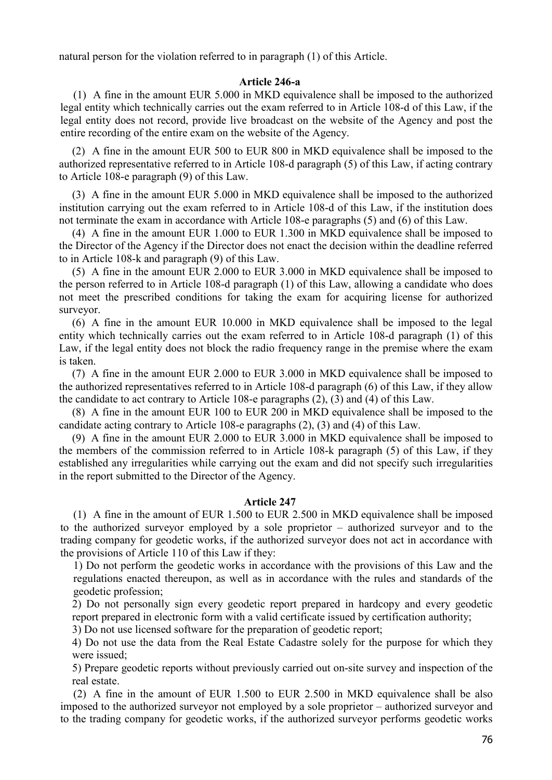natural person for the violation referred to in paragraph (1) of this Article.

## **Article 246-a**

(1) A fine in the amount EUR 5.000 in MKD equivalence shall be imposed to the authorized legal entity which technically carries out the exam referred to in Article 108-d of this Law, if the legal entity does not record, provide live broadcast on the website of the Agency and post the entire recording of the entire exam on the website of the Agency.

(2) A fine in the amount EUR 500 to EUR 800 in MKD equivalence shall be imposed to the authorized representative referred to in Article 108-d paragraph (5) of this Law, if acting contrary to Article 108-e paragraph (9) of this Law.

(3) A fine in the amount EUR 5.000 in MKD equivalence shall be imposed to the authorized institution carrying out the exam referred to in Article 108-d of this Law, if the institution does not terminate the exam in accordance with Article 108-e paragraphs (5) and (6) of this Law.

(4) A fine in the amount EUR 1.000 to EUR 1.300 in MKD equivalence shall be imposed to the Director of the Agency if the Director does not enact the decision within the deadline referred to in Article 108-k and paragraph (9) of this Law.

(5) A fine in the amount EUR 2.000 to EUR 3.000 in MKD equivalence shall be imposed to the person referred to in Article 108-d paragraph (1) of this Law, allowing a candidate who does not meet the prescribed conditions for taking the exam for acquiring license for authorized surveyor.

(6) A fine in the amount EUR 10.000 in MKD equivalence shall be imposed to the legal entity which technically carries out the exam referred to in Article 108-d paragraph (1) of this Law, if the legal entity does not block the radio frequency range in the premise where the exam is taken.

(7) A fine in the amount EUR 2.000 to EUR 3.000 in MKD equivalence shall be imposed to the authorized representatives referred to in Article 108-d paragraph (6) of this Law, if they allow the candidate to act contrary to Article 108-e paragraphs (2), (3) and (4) of this Law.

(8) A fine in the amount EUR 100 to EUR 200 in MKD equivalence shall be imposed to the candidate acting contrary to Article 108-e paragraphs (2), (3) and (4) of this Law.

(9) A fine in the amount EUR 2.000 to EUR 3.000 in MKD equivalence shall be imposed to the members of the commission referred to in Article 108-k paragraph (5) of this Law, if they established any irregularities while carrying out the exam and did not specify such irregularities in the report submitted to the Director of the Agency.

## **Article 247**

(1) A fine in the amount of EUR 1.500 to EUR 2.500 in MKD equivalence shall be imposed to the authorized surveyor employed by a sole proprietor – authorized surveyor and to the trading company for geodetic works, if the authorized surveyor does not act in accordance with the provisions of Article 110 of this Law if they:

1) Do not perform the geodetic works in accordance with the provisions of this Law and the regulations enacted thereupon, as well as in accordance with the rules and standards of the geodetic profession;

2) Do not personally sign every geodetic report prepared in hardcopy and every geodetic report prepared in electronic form with a valid certificate issued by certification authority;

3) Do not use licensed software for the preparation of geodetic report;

4) Do not use the data from the Real Estate Cadastre solely for the purpose for which they were issued;

5) Prepare geodetic reports without previously carried out on-site survey and inspection of the real estate.

(2) A fine in the amount of EUR 1.500 to EUR 2.500 in MKD equivalence shall be also imposed to the authorized surveyor not employed by a sole proprietor – authorized surveyor and to the trading company for geodetic works, if the authorized surveyor performs geodetic works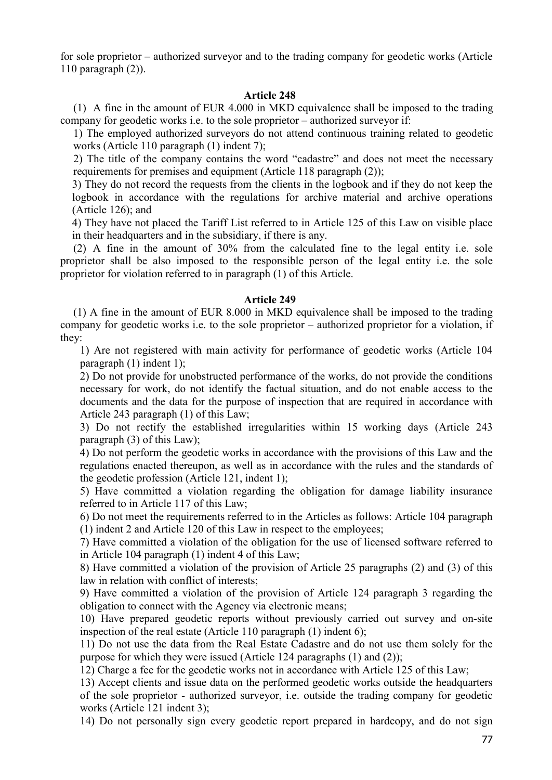for sole proprietor – authorized surveyor and to the trading company for geodetic works (Article 110 paragraph (2)).

## **Article 248**

(1) A fine in the amount of EUR 4.000 in MKD equivalence shall be imposed to the trading company for geodetic works i.e. to the sole proprietor – authorized surveyor if:

1) The employed authorized surveyors do not attend continuous training related to geodetic works (Article 110 paragraph (1) indent 7);

2) The title of the company contains the word "cadastre" and does not meet the necessary requirements for premises and equipment (Article 118 paragraph (2));

3) They do not record the requests from the clients in the logbook and if they do not keep the logbook in accordance with the regulations for archive material and archive operations (Article 126); and

4) They have not placed the Tariff List referred to in Article 125 of this Law on visible place in their headquarters and in the subsidiary, if there is any.

(2) A fine in the amount of 30% from the calculated fine to the legal entity i.e. sole proprietor shall be also imposed to the responsible person of the legal entity i.e. the sole proprietor for violation referred to in paragraph (1) of this Article.

### **Article 249**

(1) A fine in the amount of EUR 8.000 in MKD equivalence shall be imposed to the trading company for geodetic works i.e. to the sole proprietor – authorized proprietor for a violation, if they:

1) Are not registered with main activity for performance of geodetic works (Article 104 paragraph (1) indent 1);

2) Do not provide for unobstructed performance of the works, do not provide the conditions necessary for work, do not identify the factual situation, and do not enable access to the documents and the data for the purpose of inspection that are required in accordance with Article 243 paragraph (1) of this Law;

3) Do not rectify the established irregularities within 15 working days (Article 243 paragraph (3) of this Law);

4) Do not perform the geodetic works in accordance with the provisions of this Law and the regulations enacted thereupon, as well as in accordance with the rules and the standards of the geodetic profession (Article 121, indent 1);

5) Have committed a violation regarding the obligation for damage liability insurance referred to in Article 117 of this Law;

6) Do not meet the requirements referred to in the Articles as follows: Article 104 paragraph (1) indent 2 and Article 120 of this Law in respect to the employees;

7) Have committed a violation of the obligation for the use of licensed software referred to in Article 104 paragraph (1) indent 4 of this Law;

8) Have committed a violation of the provision of Article 25 paragraphs (2) and (3) of this law in relation with conflict of interests;

9) Have committed a violation of the provision of Article 124 paragraph 3 regarding the obligation to connect with the Agency via electronic means;

10) Have prepared geodetic reports without previously carried out survey and on-site inspection of the real estate (Article 110 paragraph (1) indent 6);

11) Do not use the data from the Real Estate Cadastre and do not use them solely for the purpose for which they were issued (Article 124 paragraphs (1) and (2));

12) Charge a fee for the geodetic works not in accordance with Article 125 of this Law;

13) Accept clients and issue data on the performed geodetic works outside the headquarters of the sole proprietor - authorized surveyor, i.e. outside the trading company for geodetic works (Article 121 indent 3);

14) Do not personally sign every geodetic report prepared in hardcopy, and do not sign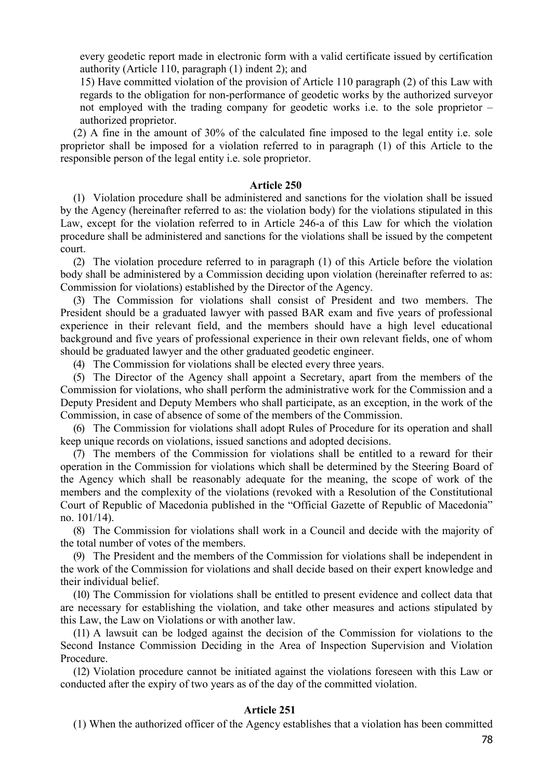every geodetic report made in electronic form with a valid certificate issued by certification authority (Article 110, paragraph (1) indent 2); and

15) Have committed violation of the provision of Article 110 paragraph (2) of this Law with regards to the obligation for non-performance of geodetic works by the authorized surveyor not employed with the trading company for geodetic works i.e. to the sole proprietor – authorized proprietor.

(2) A fine in the amount of 30% of the calculated fine imposed to the legal entity i.e. sole proprietor shall be imposed for a violation referred to in paragraph (1) of this Article to the responsible person of the legal entity i.e. sole proprietor.

#### **Article 250**

(1) Violation procedure shall be administered and sanctions for the violation shall be issued by the Agency (hereinafter referred to as: the violation body) for the violations stipulated in this Law, except for the violation referred to in Article 246-a of this Law for which the violation procedure shall be administered and sanctions for the violations shall be issued by the competent court.

(2) The violation procedure referred to in paragraph (1) of this Article before the violation body shall be administered by a Commission deciding upon violation (hereinafter referred to as: Commission for violations) established by the Director of the Agency.

(3) The Commission for violations shall consist of President and two members. The President should be a graduated lawyer with passed BAR exam and five years of professional experience in their relevant field, and the members should have a high level educational background and five years of professional experience in their own relevant fields, one of whom should be graduated lawyer and the other graduated geodetic engineer.

(4) The Commission for violations shall be elected every three years.

(5) The Director of the Agency shall appoint a Secretary, apart from the members of the Commission for violations, who shall perform the administrative work for the Commission and a Deputy President and Deputy Members who shall participate, as an exception, in the work of the Commission, in case of absence of some of the members of the Commission.

(6) The Commission for violations shall adopt Rules of Procedure for its operation and shall keep unique records on violations, issued sanctions and adopted decisions.

(7) The members of the Commission for violations shall be entitled to a reward for their operation in the Commission for violations which shall be determined by the Steering Board of the Agency which shall be reasonably adequate for the meaning, the scope of work of the members and the complexity of the violations (revoked with a Resolution of the Constitutional Court of Republic of Macedonia published in the "Official Gazette of Republic of Macedonia" no. 101/14).

(8) The Commission for violations shall work in a Council and decide with the majority of the total number of votes of the members.

(9) The President and the members of the Commission for violations shall be independent in the work of the Commission for violations and shall decide based on their expert knowledge and their individual belief.

(10) The Commission for violations shall be entitled to present evidence and collect data that are necessary for establishing the violation, and take other measures and actions stipulated by this Law, the Law on Violations or with another law.

(11) A lawsuit can be lodged against the decision of the Commission for violations to the Second Instance Commission Deciding in the Area of Inspection Supervision and Violation Procedure.

(12) Violation procedure cannot be initiated against the violations foreseen with this Law or conducted after the expiry of two years as of the day of the committed violation.

#### **Article 251**

(1) When the authorized officer of the Agency establishes that a violation has been committed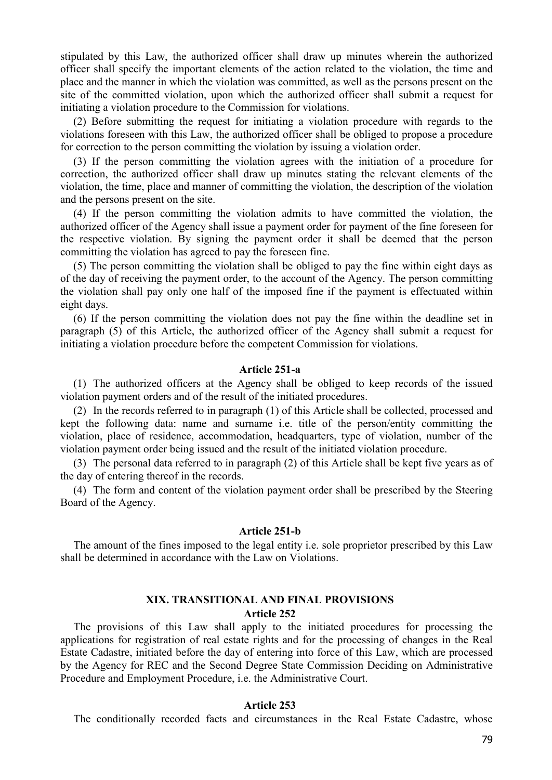stipulated by this Law, the authorized officer shall draw up minutes wherein the authorized officer shall specify the important elements of the action related to the violation, the time and place and the manner in which the violation was committed, as well as the persons present on the site of the committed violation, upon which the authorized officer shall submit a request for initiating a violation procedure to the Commission for violations.

(2) Before submitting the request for initiating a violation procedure with regards to the violations foreseen with this Law, the authorized officer shall be obliged to propose a procedure for correction to the person committing the violation by issuing a violation order.

(3) If the person committing the violation agrees with the initiation of a procedure for correction, the authorized officer shall draw up minutes stating the relevant elements of the violation, the time, place and manner of committing the violation, the description of the violation and the persons present on the site.

(4) If the person committing the violation admits to have committed the violation, the authorized officer of the Agency shall issue a payment order for payment of the fine foreseen for the respective violation. By signing the payment order it shall be deemed that the person committing the violation has agreed to pay the foreseen fine.

(5) The person committing the violation shall be obliged to pay the fine within eight days as of the day of receiving the payment order, to the account of the Agency. The person committing the violation shall pay only one half of the imposed fine if the payment is effectuated within eight days.

(6) If the person committing the violation does not pay the fine within the deadline set in paragraph (5) of this Article, the authorized officer of the Agency shall submit a request for initiating a violation procedure before the competent Commission for violations.

## **Article 251-a**

(1) The authorized officers at the Agency shall be obliged to keep records of the issued violation payment orders and of the result of the initiated procedures.

(2) In the records referred to in paragraph (1) of this Article shall be collected, processed and kept the following data: name and surname i.e. title of the person/entity committing the violation, place of residence, accommodation, headquarters, type of violation, number of the violation payment order being issued and the result of the initiated violation procedure.

(3) The personal data referred to in paragraph (2) of this Article shall be kept five years as of the day of entering thereof in the records.

(4) The form and content of the violation payment order shall be prescribed by the Steering Board of the Agency.

#### **Article 251-b**

The amount of the fines imposed to the legal entity i.e. sole proprietor prescribed by this Law shall be determined in accordance with the Law on Violations.

## **XIX. TRANSITIONAL AND FINAL PROVISIONS Article 252**

The provisions of this Law shall apply to the initiated procedures for processing the applications for registration of real estate rights and for the processing of changes in the Real Estate Cadastre, initiated before the day of entering into force of this Law, which are processed by the Agency for REC and the Second Degree State Commission Deciding on Administrative Procedure and Employment Procedure, i.e. the Administrative Court.

#### **Article 253**

The conditionally recorded facts and circumstances in the Real Estate Cadastre, whose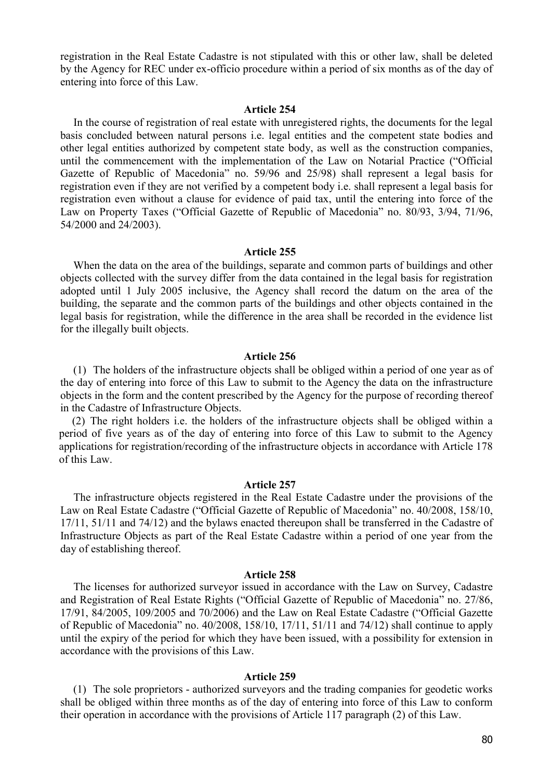registration in the Real Estate Cadastre is not stipulated with this or other law, shall be deleted by the Agency for REC under ex-officio procedure within a period of six months as of the day of entering into force of this Law.

#### **Article 254**

In the course of registration of real estate with unregistered rights, the documents for the legal basis concluded between natural persons i.e. legal entities and the competent state bodies and other legal entities authorized by competent state body, as well as the construction companies, until the commencement with the implementation of the Law on Notarial Practice ("Official Gazette of Republic of Macedonia" no. 59/96 and 25/98) shall represent a legal basis for registration even if they are not verified by a competent body i.e. shall represent a legal basis for registration even without a clause for evidence of paid tax, until the entering into force of the Law on Property Taxes ("Official Gazette of Republic of Macedonia" no. 80/93, 3/94, 71/96, 54/2000 and 24/2003).

#### **Article 255**

When the data on the area of the buildings, separate and common parts of buildings and other objects collected with the survey differ from the data contained in the legal basis for registration adopted until 1 July 2005 inclusive, the Agency shall record the datum on the area of the building, the separate and the common parts of the buildings and other objects contained in the legal basis for registration, while the difference in the area shall be recorded in the evidence list for the illegally built objects.

#### **Article 256**

(1) The holders of the infrastructure objects shall be obliged within a period of one year as of the day of entering into force of this Law to submit to the Agency the data on the infrastructure objects in the form and the content prescribed by the Agency for the purpose of recording thereof in the Cadastre of Infrastructure Objects.

(2) The right holders i.e. the holders of the infrastructure objects shall be obliged within a period of five years as of the day of entering into force of this Law to submit to the Agency applications for registration/recording of the infrastructure objects in accordance with Article 178 of this Law.

#### **Article 257**

The infrastructure objects registered in the Real Estate Cadastre under the provisions of the Law on Real Estate Cadastre ("Official Gazette of Republic of Macedonia" no. 40/2008, 158/10, 17/11, 51/11 and 74/12) and the bylaws enacted thereupon shall be transferred in the Cadastre of Infrastructure Objects as part of the Real Estate Cadastre within a period of one year from the day of establishing thereof.

#### **Article 258**

The licenses for authorized surveyor issued in accordance with the Law on Survey, Cadastre and Registration of Real Estate Rights ("Official Gazette of Republic of Macedonia" no. 27/86, 17/91, 84/2005, 109/2005 and 70/2006) and the Law on Real Estate Cadastre ("Official Gazette of Republic of Macedonia" no. 40/2008, 158/10, 17/11, 51/11 and 74/12) shall continue to apply until the expiry of the period for which they have been issued, with a possibility for extension in accordance with the provisions of this Law.

#### **Article 259**

(1) The sole proprietors - authorized surveyors and the trading companies for geodetic works shall be obliged within three months as of the day of entering into force of this Law to conform their operation in accordance with the provisions of Article 117 paragraph (2) of this Law.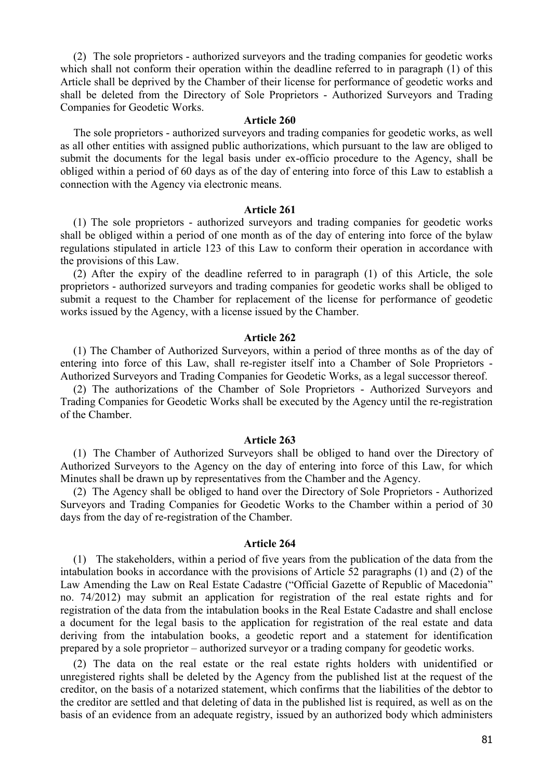(2) The sole proprietors - authorized surveyors and the trading companies for geodetic works which shall not conform their operation within the deadline referred to in paragraph (1) of this Article shall be deprived by the Chamber of their license for performance of geodetic works and shall be deleted from the Directory of Sole Proprietors - Authorized Surveyors and Trading Companies for Geodetic Works.

### **Article 260**

The sole proprietors - authorized surveyors and trading companies for geodetic works, as well as all other entities with assigned public authorizations, which pursuant to the law are obliged to submit the documents for the legal basis under ex-officio procedure to the Agency, shall be obliged within a period of 60 days as of the day of entering into force of this Law to establish a connection with the Agency via electronic means.

## **Article 261**

(1) The sole proprietors - authorized surveyors and trading companies for geodetic works shall be obliged within a period of one month as of the day of entering into force of the bylaw regulations stipulated in article 123 of this Law to conform their operation in accordance with the provisions of this Law.

(2) After the expiry of the deadline referred to in paragraph (1) of this Article, the sole proprietors - authorized surveyors and trading companies for geodetic works shall be obliged to submit a request to the Chamber for replacement of the license for performance of geodetic works issued by the Agency, with a license issued by the Chamber.

#### **Article 262**

(1) The Chamber of Authorized Surveyors, within a period of three months as of the day of entering into force of this Law, shall re-register itself into a Chamber of Sole Proprietors - Authorized Surveyors and Trading Companies for Geodetic Works, as a legal successor thereof.

(2) The authorizations of the Chamber of Sole Proprietors - Authorized Surveyors and Trading Companies for Geodetic Works shall be executed by the Agency until the re-registration of the Chamber.

## **Article 263**

(1) The Chamber of Authorized Surveyors shall be obliged to hand over the Directory of Authorized Surveyors to the Agency on the day of entering into force of this Law, for which Minutes shall be drawn up by representatives from the Chamber and the Agency.

(2) The Agency shall be obliged to hand over the Directory of Sole Proprietors - Authorized Surveyors and Trading Companies for Geodetic Works to the Chamber within a period of 30 days from the day of re-registration of the Chamber.

#### **Article 264**

(1) The stakeholders, within a period of five years from the publication of the data from the intabulation books in accordance with the provisions of Article 52 paragraphs (1) and (2) of the Law Amending the Law on Real Estate Cadastre ("Official Gazette of Republic of Macedonia" no. 74/2012) may submit an application for registration of the real estate rights and for registration of the data from the intabulation books in the Real Estate Cadastre and shall enclose a document for the legal basis to the application for registration of the real estate and data deriving from the intabulation books, a geodetic report and a statement for identification prepared by a sole proprietor – authorized surveyor or a trading company for geodetic works.

(2) The data on the real estate or the real estate rights holders with unidentified or unregistered rights shall be deleted by the Agency from the published list at the request of the creditor, on the basis of a notarized statement, which confirms that the liabilities of the debtor to the creditor are settled and that deleting of data in the published list is required, as well as on the basis of an evidence from an adequate registry, issued by an authorized body which administers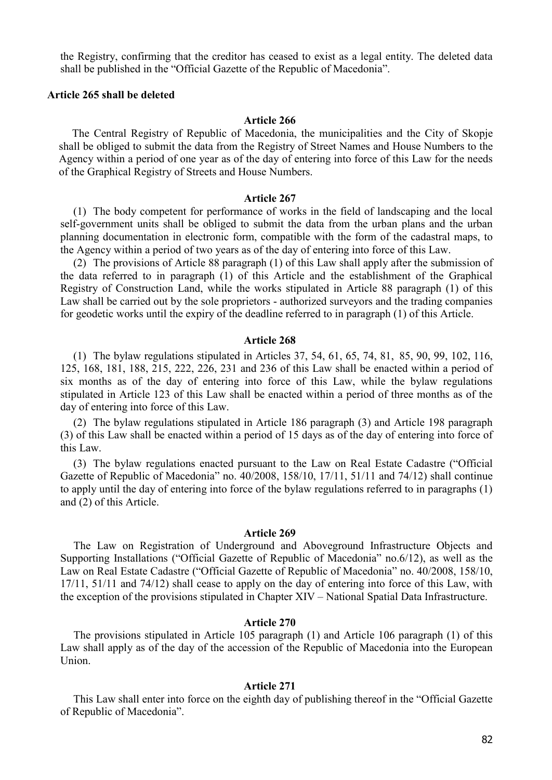the Registry, confirming that the creditor has ceased to exist as a legal entity. The deleted data shall be published in the "Official Gazette of the Republic of Macedonia".

## **Article 265 shall be deleted**

## **Article 266**

The Central Registry of Republic of Macedonia, the municipalities and the City of Skopje shall be obliged to submit the data from the Registry of Street Names and House Numbers to the Agency within a period of one year as of the day of entering into force of this Law for the needs of the Graphical Registry of Streets and House Numbers.

## **Article 267**

(1) The body competent for performance of works in the field of landscaping and the local self-government units shall be obliged to submit the data from the urban plans and the urban planning documentation in electronic form, compatible with the form of the cadastral maps, to the Agency within a period of two years as of the day of entering into force of this Law.

(2) The provisions of Article 88 paragraph (1) of this Law shall apply after the submission of the data referred to in paragraph (1) of this Article and the establishment of the Graphical Registry of Construction Land, while the works stipulated in Article 88 paragraph (1) of this Law shall be carried out by the sole proprietors - authorized surveyors and the trading companies for geodetic works until the expiry of the deadline referred to in paragraph (1) of this Article.

#### **Article 268**

(1) The bylaw regulations stipulated in Articles 37, 54, 61, 65, 74, 81, 85, 90, 99, 102, 116, 125, 168, 181, 188, 215, 222, 226, 231 and 236 of this Law shall be enacted within a period of six months as of the day of entering into force of this Law, while the bylaw regulations stipulated in Article 123 of this Law shall be enacted within a period of three months as of the day of entering into force of this Law.

(2) The bylaw regulations stipulated in Article 186 paragraph (3) and Article 198 paragraph (3) of this Law shall be enacted within a period of 15 days as of the day of entering into force of this Law.

(3) The bylaw regulations enacted pursuant to the Law on Real Estate Cadastre ("Official Gazette of Republic of Macedonia" no. 40/2008, 158/10, 17/11, 51/11 and 74/12) shall continue to apply until the day of entering into force of the bylaw regulations referred to in paragraphs (1) and (2) of this Article.

#### **Article 269**

The Law on Registration of Underground and Aboveground Infrastructure Objects and Supporting Installations ("Official Gazette of Republic of Macedonia" no.6/12), as well as the Law on Real Estate Cadastre ("Official Gazette of Republic of Macedonia" no. 40/2008, 158/10, 17/11, 51/11 and 74/12) shall cease to apply on the day of entering into force of this Law, with the exception of the provisions stipulated in Chapter XIV – National Spatial Data Infrastructure.

### **Article 270**

The provisions stipulated in Article 105 paragraph (1) and Article 106 paragraph (1) of this Law shall apply as of the day of the accession of the Republic of Macedonia into the European Union.

#### **Article 271**

This Law shall enter into force on the eighth day of publishing thereof in the "Official Gazette of Republic of Macedonia".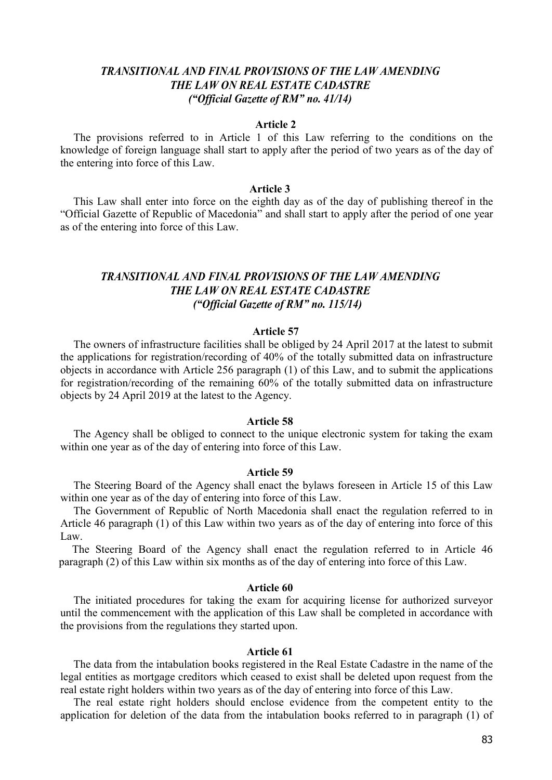## *TRANSITIONAL AND FINAL PROVISIONS OF THE LAW AMENDING THE LAW ON REAL ESTATE CADASTRE ("Official Gazette of RM" no. 41/14)*

#### **Article 2**

The provisions referred to in Article 1 of this Law referring to the conditions on the knowledge of foreign language shall start to apply after the period of two years as of the day of the entering into force of this Law.

## **Article 3**

This Law shall enter into force on the eighth day as of the day of publishing thereof in the "Official Gazette of Republic of Macedonia" and shall start to apply after the period of one year as of the entering into force of this Law.

## *TRANSITIONAL AND FINAL PROVISIONS OF THE LAW AMENDING THE LAW ON REAL ESTATE CADASTRE ("Official Gazette of RM" no. 115/14)*

#### **Article 57**

The owners of infrastructure facilities shall be obliged by 24 April 2017 at the latest to submit the applications for registration/recording of 40% of the totally submitted data on infrastructure objects in accordance with Article 256 paragraph (1) of this Law, and to submit the applications for registration/recording of the remaining 60% of the totally submitted data on infrastructure objects by 24 April 2019 at the latest to the Agency.

#### **Article 58**

The Agency shall be obliged to connect to the unique electronic system for taking the exam within one year as of the day of entering into force of this Law.

#### **Article 59**

The Steering Board of the Agency shall enact the bylaws foreseen in Article 15 of this Law within one year as of the day of entering into force of this Law.

The Government of Republic of North Macedonia shall enact the regulation referred to in Article 46 paragraph (1) of this Law within two years as of the day of entering into force of this Law.

The Steering Board of the Agency shall enact the regulation referred to in Article 46 paragraph (2) of this Law within six months as of the day of entering into force of this Law.

#### **Article 60**

The initiated procedures for taking the exam for acquiring license for authorized surveyor until the commencement with the application of this Law shall be completed in accordance with the provisions from the regulations they started upon.

## **Article 61**

The data from the intabulation books registered in the Real Estate Cadastre in the name of the legal entities as mortgage creditors which ceased to exist shall be deleted upon request from the real estate right holders within two years as of the day of entering into force of this Law.

The real estate right holders should enclose evidence from the competent entity to the application for deletion of the data from the intabulation books referred to in paragraph (1) of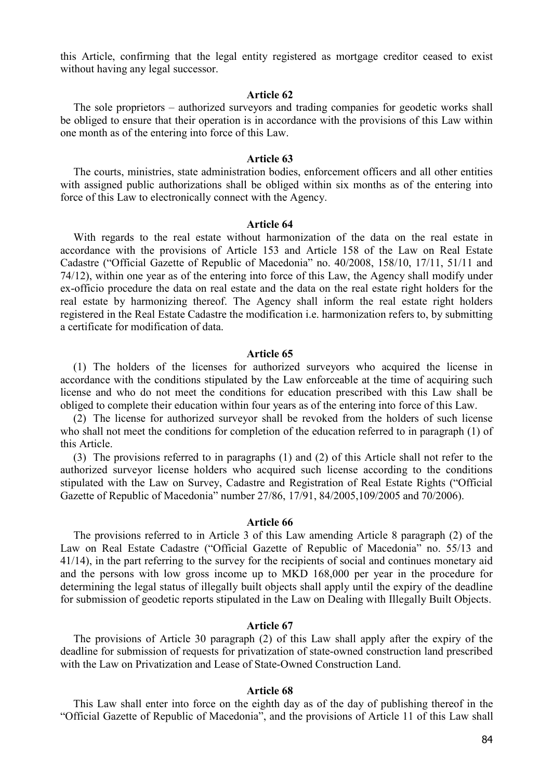this Article, confirming that the legal entity registered as mortgage creditor ceased to exist without having any legal successor.

#### **Article 62**

The sole proprietors – authorized surveyors and trading companies for geodetic works shall be obliged to ensure that their operation is in accordance with the provisions of this Law within one month as of the entering into force of this Law.

### **Article 63**

The courts, ministries, state administration bodies, enforcement officers and all other entities with assigned public authorizations shall be obliged within six months as of the entering into force of this Law to electronically connect with the Agency.

#### **Article 64**

With regards to the real estate without harmonization of the data on the real estate in accordance with the provisions of Article 153 and Article 158 of the Law on Real Estate Cadastre ("Official Gazette of Republic of Macedonia" no. 40/2008, 158/10, 17/11, 51/11 and 74/12), within one year as of the entering into force of this Law, the Agency shall modify under ex-officio procedure the data on real estate and the data on the real estate right holders for the real estate by harmonizing thereof. The Agency shall inform the real estate right holders registered in the Real Estate Cadastre the modification i.e. harmonization refers to, by submitting a certificate for modification of data.

#### **Article 65**

(1) The holders of the licenses for authorized surveyors who acquired the license in accordance with the conditions stipulated by the Law enforceable at the time of acquiring such license and who do not meet the conditions for education prescribed with this Law shall be obliged to complete their education within four years as of the entering into force of this Law.

(2) The license for authorized surveyor shall be revoked from the holders of such license who shall not meet the conditions for completion of the education referred to in paragraph (1) of this Article.

(3) The provisions referred to in paragraphs (1) and (2) of this Article shall not refer to the authorized surveyor license holders who acquired such license according to the conditions stipulated with the Law on Survey, Cadastre and Registration of Real Estate Rights ("Official Gazette of Republic of Macedonia" number 27/86, 17/91, 84/2005,109/2005 and 70/2006).

### **Article 66**

The provisions referred to in Article 3 of this Law amending Article 8 paragraph (2) of the Law on Real Estate Cadastre ("Official Gazette of Republic of Macedonia" no. 55/13 and 41/14), in the part referring to the survey for the recipients of social and continues monetary aid and the persons with low gross income up to MKD 168,000 per year in the procedure for determining the legal status of illegally built objects shall apply until the expiry of the deadline for submission of geodetic reports stipulated in the Law on Dealing with Illegally Built Objects.

#### **Article 67**

The provisions of Article 30 paragraph (2) of this Law shall apply after the expiry of the deadline for submission of requests for privatization of state-owned construction land prescribed with the Law on Privatization and Lease of State-Owned Construction Land.

## **Article 68**

This Law shall enter into force on the eighth day as of the day of publishing thereof in the "Official Gazette of Republic of Macedonia", and the provisions of Article 11 of this Law shall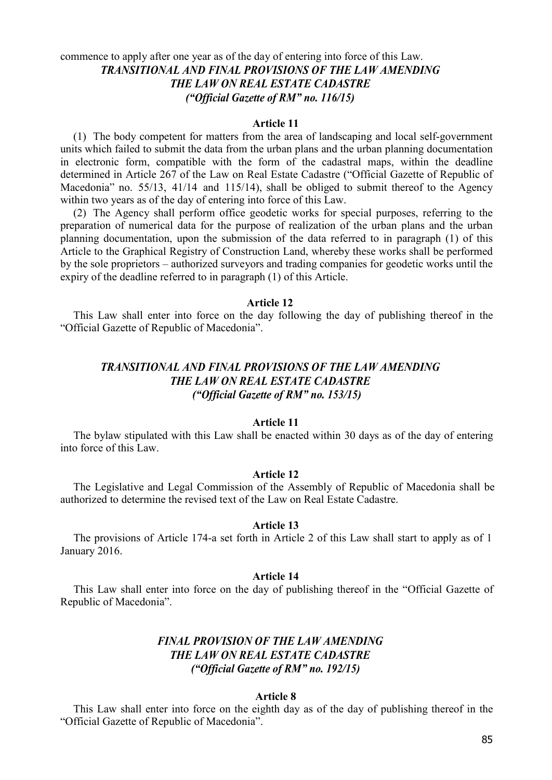## commence to apply after one year as of the day of entering into force of this Law. *TRANSITIONAL AND FINAL PROVISIONS OF THE LAW AMENDING THE LAW ON REAL ESTATE CADASTRE ("Official Gazette of RM" no. 116/15)*

### **Article 11**

(1) The body competent for matters from the area of landscaping and local self-government units which failed to submit the data from the urban plans and the urban planning documentation in electronic form, compatible with the form of the cadastral maps, within the deadline determined in Article 267 of the Law on Real Estate Cadastre ("Official Gazette of Republic of Macedonia" no. 55/13, 41/14 and 115/14), shall be obliged to submit thereof to the Agency within two years as of the day of entering into force of this Law.

(2) The Agency shall perform office geodetic works for special purposes, referring to the preparation of numerical data for the purpose of realization of the urban plans and the urban planning documentation, upon the submission of the data referred to in paragraph (1) of this Article to the Graphical Registry of Construction Land, whereby these works shall be performed by the sole proprietors – authorized surveyors and trading companies for geodetic works until the expiry of the deadline referred to in paragraph (1) of this Article.

## **Article 12**

This Law shall enter into force on the day following the day of publishing thereof in the "Official Gazette of Republic of Macedonia".

## *TRANSITIONAL AND FINAL PROVISIONS OF THE LAW AMENDING THE LAW ON REAL ESTATE CADASTRE ("Official Gazette of RM" no. 153/15)*

## **Article 11**

The bylaw stipulated with this Law shall be enacted within 30 days as of the day of entering into force of this Law.

## **Article 12**

The Legislative and Legal Commission of the Assembly of Republic of Macedonia shall be authorized to determine the revised text of the Law on Real Estate Cadastre.

## **Article 13**

The provisions of Article 174-a set forth in Article 2 of this Law shall start to apply as of 1 January 2016.

#### **Article 14**

This Law shall enter into force on the day of publishing thereof in the "Official Gazette of Republic of Macedonia".

## *FINAL PROVISION OF THE LAW AMENDING THE LAW ON REAL ESTATE CADASTRE ("Official Gazette of RM" no. 192/15)*

### **Article 8**

This Law shall enter into force on the eighth day as of the day of publishing thereof in the "Official Gazette of Republic of Macedonia".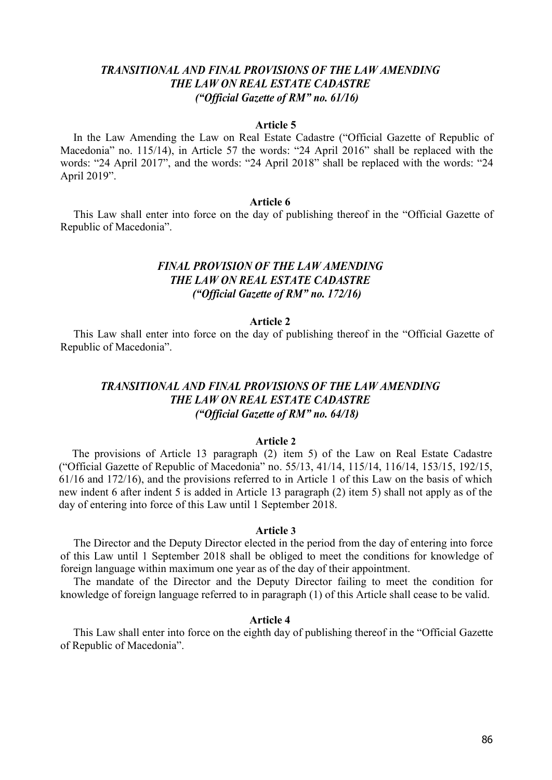## *TRANSITIONAL AND FINAL PROVISIONS OF THE LAW AMENDING THE LAW ON REAL ESTATE CADASTRE ("Official Gazette of RM" no. 61/16)*

#### **Article 5**

In the Law Amending the Law on Real Estate Cadastre ("Official Gazette of Republic of Macedonia" no. 115/14), in Article 57 the words: "24 April 2016" shall be replaced with the words: "24 April 2017", and the words: "24 April 2018" shall be replaced with the words: "24 April 2019".

## **Article 6**

This Law shall enter into force on the day of publishing thereof in the "Official Gazette of Republic of Macedonia".

## *FINAL PROVISION OF THE LAW AMENDING THE LAW ON REAL ESTATE CADASTRE ("Official Gazette of RM" no. 172/16)*

### **Article 2**

This Law shall enter into force on the day of publishing thereof in the "Official Gazette of Republic of Macedonia".

## *TRANSITIONAL AND FINAL PROVISIONS OF THE LAW AMENDING THE LAW ON REAL ESTATE CADASTRE ("Official Gazette of RM" no. 64/18)*

## **Article 2**

The provisions of Article 13 paragraph (2) item 5) of the Law on Real Estate Cadastre ("Official Gazette of Republic of Macedonia" no. 55/13, 41/14, 115/14, 116/14, 153/15, 192/15, 61/16 and 172/16), and the provisions referred to in Article 1 of this Law on the basis of which new indent 6 after indent 5 is added in Article 13 paragraph (2) item 5) shall not apply as of the day of entering into force of this Law until 1 September 2018.

#### **Article 3**

The Director and the Deputy Director elected in the period from the day of entering into force of this Law until 1 September 2018 shall be obliged to meet the conditions for knowledge of foreign language within maximum one year as of the day of their appointment.

The mandate of the Director and the Deputy Director failing to meet the condition for knowledge of foreign language referred to in paragraph (1) of this Article shall cease to be valid.

## **Article 4**

This Law shall enter into force on the eighth day of publishing thereof in the "Official Gazette of Republic of Macedonia".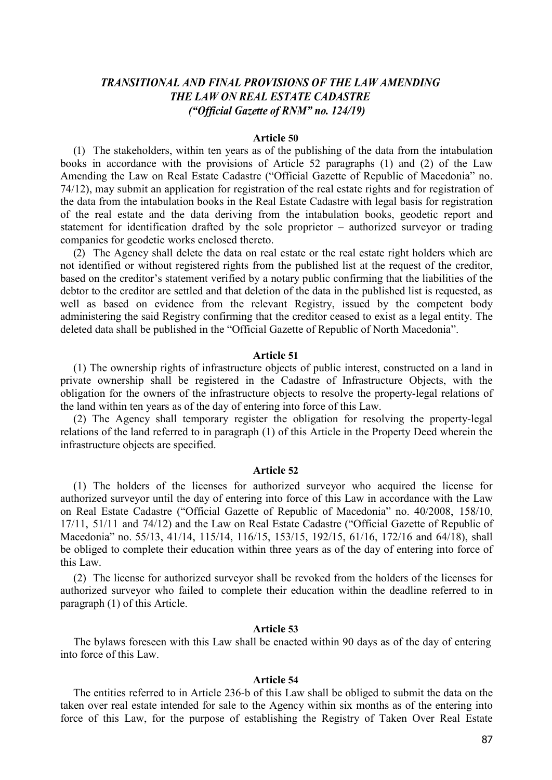## *TRANSITIONAL AND FINAL PROVISIONS OF THE LAW AMENDING THE LAW ON REAL ESTATE CADASTRE ("Official Gazette of RNM" no. 124/19)*

#### **Article 50**

(1) The stakeholders, within ten years as of the publishing of the data from the intabulation books in accordance with the provisions of Article 52 paragraphs (1) and (2) of the Law Amending the Law on Real Estate Cadastre ("Official Gazette of Republic of Macedonia" no. 74/12), may submit an application for registration of the real estate rights and for registration of the data from the intabulation books in the Real Estate Cadastre with legal basis for registration of the real estate and the data deriving from the intabulation books, geodetic report and statement for identification drafted by the sole proprietor – authorized surveyor or trading companies for geodetic works enclosed thereto.

(2) The Agency shall delete the data on real estate or the real estate right holders which are not identified or without registered rights from the published list at the request of the creditor, based on the creditor's statement verified by a notary public confirming that the liabilities of the debtor to the creditor are settled and that deletion of the data in the published list is requested, as well as based on evidence from the relevant Registry, issued by the competent body administering the said Registry confirming that the creditor ceased to exist as a legal entity. The deleted data shall be published in the "Official Gazette of Republic of North Macedonia".

#### **Article 51**

(1) The ownership rights of infrastructure objects of public interest, constructed on a land in private ownership shall be registered in the Cadastre of Infrastructure Objects, with the obligation for the owners of the infrastructure objects to resolve the property-legal relations of the land within ten years as of the day of entering into force of this Law.

(2) The Agency shall temporary register the obligation for resolving the property-legal relations of the land referred to in paragraph (1) of this Article in the Property Deed wherein the infrastructure objects are specified.

## **Article 52**

(1) The holders of the licenses for authorized surveyor who acquired the license for authorized surveyor until the day of entering into force of this Law in accordance with the Law on Real Estate Cadastre ("Official Gazette of Republic of Macedonia" no. 40/2008, 158/10, 17/11, 51/11 and 74/12) and the Law on Real Estate Cadastre ("Official Gazette of Republic of Macedonia" no. 55/13, 41/14, 115/14, 116/15, 153/15, 192/15, 61/16, 172/16 and 64/18), shall be obliged to complete their education within three years as of the day of entering into force of this Law.

(2) The license for authorized surveyor shall be revoked from the holders of the licenses for authorized surveyor who failed to complete their education within the deadline referred to in paragraph (1) of this Article.

#### **Article 53**

The bylaws foreseen with this Law shall be enacted within 90 days as of the day of entering into force of this Law.

#### **Article 54**

The entities referred to in Article 236-b of this Law shall be obliged to submit the data on the taken over real estate intended for sale to the Agency within six months as of the entering into force of this Law, for the purpose of establishing the Registry of Taken Over Real Estate